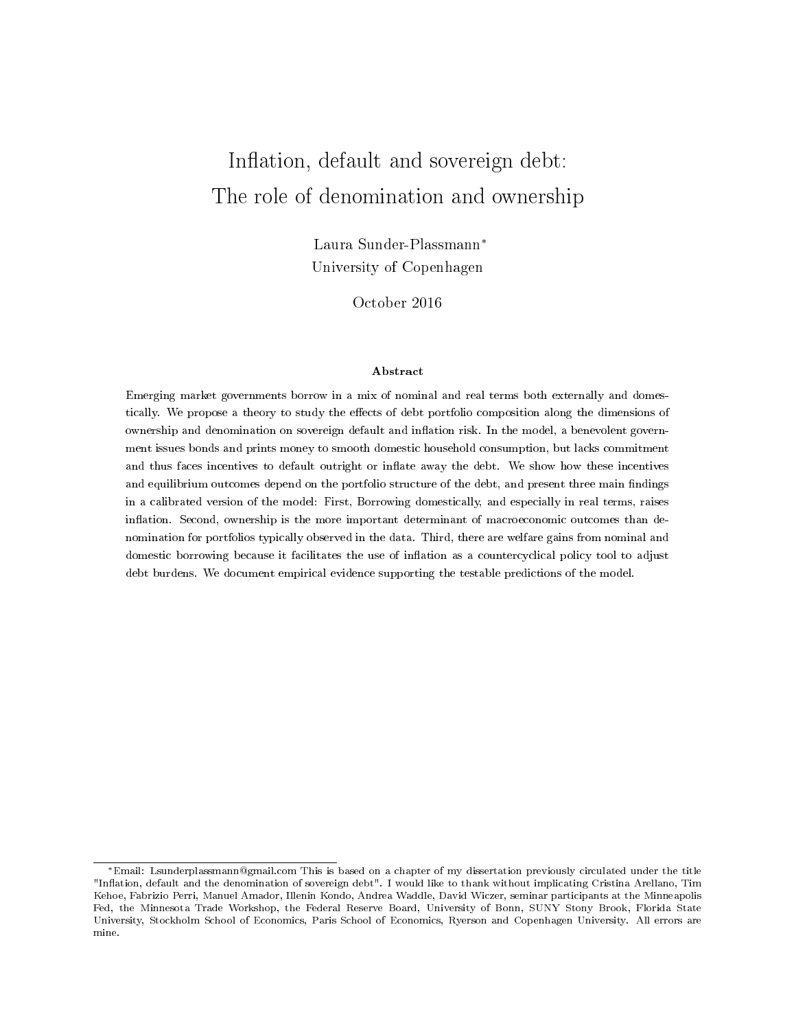# Inflation, default and sovereign debt: The role of denomination and ownership

Laura Sunder-Plassmann<sup>∗</sup> University of Copenhagen

October 2016

#### Abstract

Emerging market governments borrow in a mix of nominal and real terms both externally and domestically. We propose a theory to study the effects of debt portfolio composition along the dimensions of ownership and denomination on sovereign default and inflation risk. In the model, a benevolent government issues bonds and prints money to smooth domestic household consumption, but lacks commitment and thus faces incentives to default outright or inflate away the debt. We show how these incentives and equilibrium outcomes depend on the portfolio structure of the debt, and present three main findings in a calibrated version of the model: First, Borrowing domestically, and especially in real terms, raises inflation. Second, ownership is the more important determinant of macroeconomic outcomes than denomination for portfolios typically observed in the data. Third, there are welfare gains from nominal and domestic borrowing because it facilitates the use of inflation as a countercyclical policy tool to adjust debt burdens. We document empirical evidence supporting the testable predictions of the model.

<sup>∗</sup>Email: Lsunderplassmann@gmail.com This is based on a chapter of my dissertation previously circulated under the title "Inflation, default and the denomination of sovereign debt". I would like to thank without implicating Cristina Arellano, Tim Kehoe, Fabrizio Perri, Manuel Amador, Illenin Kondo, Andrea Waddle, David Wiczer, seminar participants at the Minneapolis Fed, the Minnesota Trade Workshop, the Federal Reserve Board, University of Bonn, SUNY Stony Brook, Florida State University, Stockholm School of Economics, Paris School of Economics, Ryerson and Copenhagen University. All errors are mine.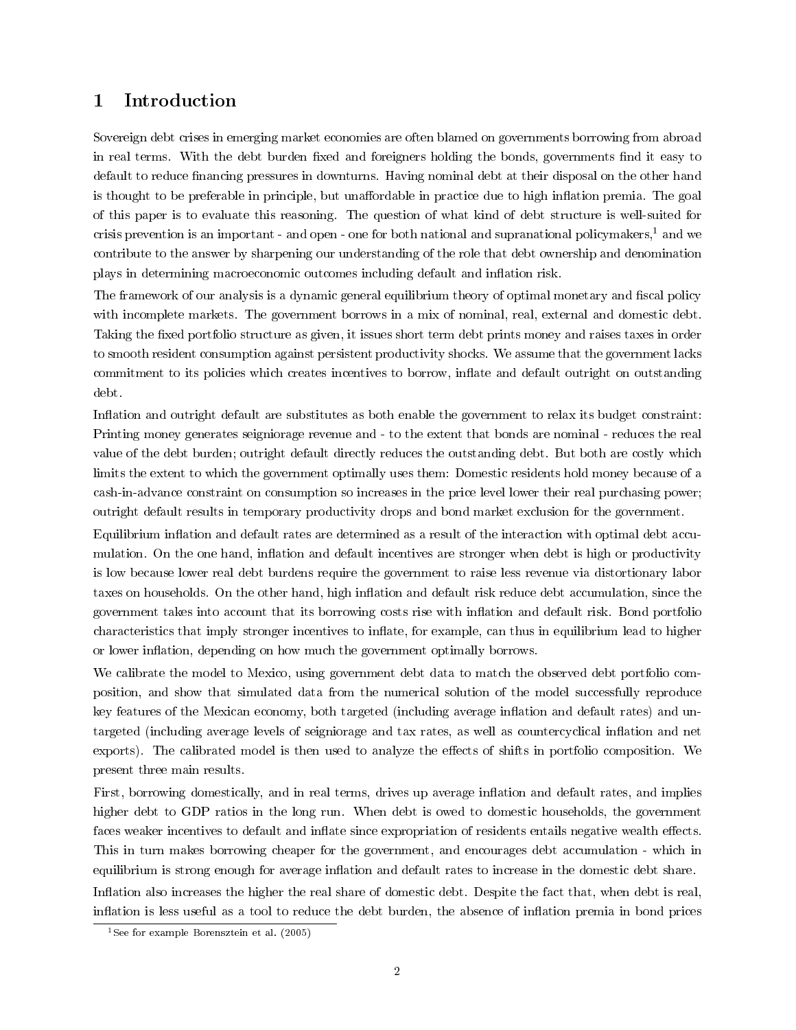## <span id="page-1-1"></span>1 Introduction

Sovereign debt crises in emerging market economies are often blamed on governments borrowing from abroad in real terms. With the debt burden fixed and foreigners holding the bonds, governments find it easy to default to reduce financing pressures in downturns. Having nominal debt at their disposal on the other hand is thought to be preferable in principle, but unaffordable in practice due to high inflation premia. The goal of this paper is to evaluate this reasoning. The question of what kind of debt structure is well-suited for crisis prevention is an important - and open - one for both national and supranational policymakers,<sup>[1](#page-1-0)</sup> and we contribute to the answer by sharpening our understanding of the role that debt ownership and denomination plays in determining macroeconomic outcomes including default and inflation risk.

The framework of our analysis is a dynamic general equilibrium theory of optimal monetary and fiscal policy with incomplete markets. The government borrows in a mix of nominal, real, external and domestic debt. Taking the fixed portfolio structure as given, it issues short term debt prints money and raises taxes in order to smooth resident consumption against persistent productivity shocks. We assume that the government lacks commitment to its policies which creates incentives to borrow, inflate and default outright on outstanding debt.

Inflation and outright default are substitutes as both enable the government to relax its budget constraint: Printing money generates seigniorage revenue and - to the extent that bonds are nominal - reduces the real value of the debt burden; outright default directly reduces the outstanding debt. But both are costly which limits the extent to which the government optimally uses them: Domestic residents hold money because of a cash-in-advance constraint on consumption so increases in the price level lower their real purchasing power; outright default results in temporary productivity drops and bond market exclusion for the government.

Equilibrium inflation and default rates are determined as a result of the interaction with optimal debt accumulation. On the one hand, inflation and default incentives are stronger when debt is high or productivity is low because lower real debt burdens require the government to raise less revenue via distortionary labor taxes on households. On the other hand, high inflation and default risk reduce debt accumulation, since the government takes into account that its borrowing costs rise with inflation and default risk. Bond portfolio characteristics that imply stronger incentives to inflate, for example, can thus in equilibrium lead to higher or lower inflation, depending on how much the government optimally borrows.

We calibrate the model to Mexico, using government debt data to match the observed debt portfolio composition, and show that simulated data from the numerical solution of the model successfully reproduce key features of the Mexican economy, both targeted (including average inflation and default rates) and untargeted (including average levels of seigniorage and tax rates, as well as countercyclical inflation and net exports). The calibrated model is then used to analyze the effects of shifts in portfolio composition. We present three main results.

First, borrowing domestically, and in real terms, drives up average inflation and default rates, and implies higher debt to GDP ratios in the long run. When debt is owed to domestic households, the government faces weaker incentives to default and inflate since expropriation of residents entails negative wealth effects. This in turn makes borrowing cheaper for the government, and encourages debt accumulation - which in equilibrium is strong enough for average inflation and default rates to increase in the domestic debt share. Inflation also increases the higher the real share of domestic debt. Despite the fact that, when debt is real, inflation is less useful as a tool to reduce the debt burden, the absence of inflation premia in bond prices

<span id="page-1-0"></span><sup>&</sup>lt;sup>1</sup>See for example [Borensztein et al.](#page-33-0)  $(2005)$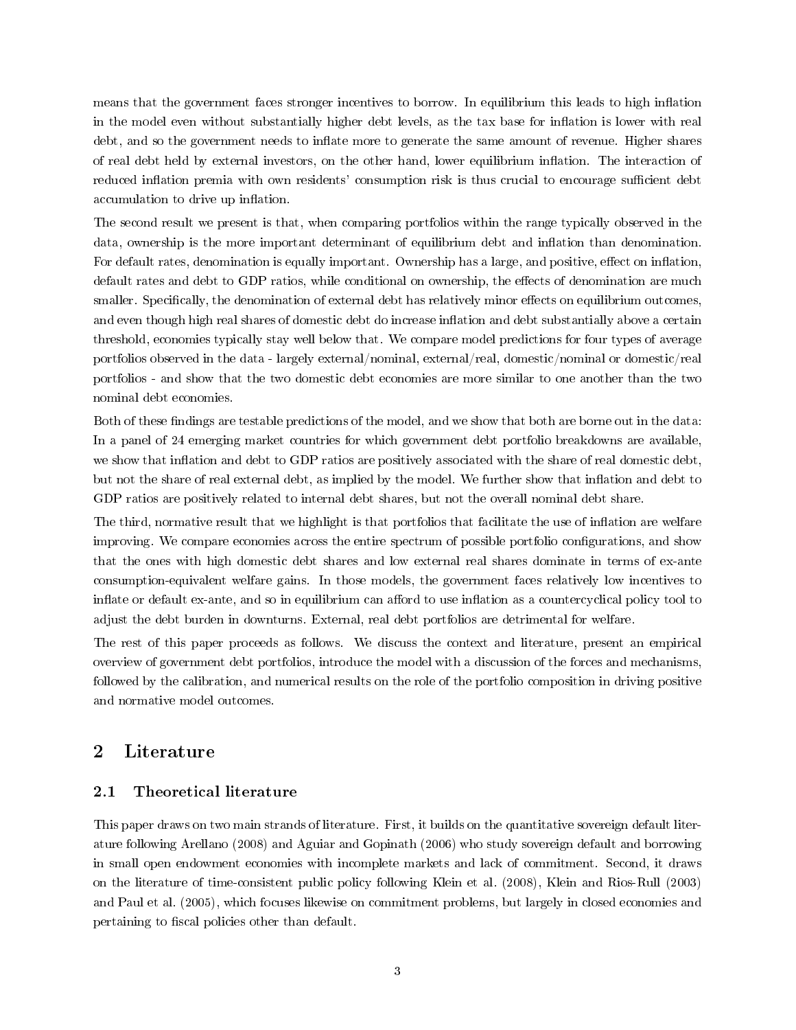<span id="page-2-0"></span>means that the government faces stronger incentives to borrow. In equilibrium this leads to high inflation in the model even without substantially higher debt levels, as the tax base for inflation is lower with real debt, and so the government needs to inflate more to generate the same amount of revenue. Higher shares of real debt held by external investors, on the other hand, lower equilibrium inflation. The interaction of reduced inflation premia with own residents' consumption risk is thus crucial to encourage sufficient debt accumulation to drive up inflation.

The second result we present is that, when comparing portfolios within the range typically observed in the data, ownership is the more important determinant of equilibrium debt and inflation than denomination. For default rates, denomination is equally important. Ownership has a large, and positive, effect on inflation, default rates and debt to GDP ratios, while conditional on ownership, the effects of denomination are much smaller. Specifically, the denomination of external debt has relatively minor effects on equilibrium outcomes, and even though high real shares of domestic debt do increase inflation and debt substantially above a certain threshold, economies typically stay well below that. We compare model predictions for four types of average portfolios observed in the data - largely external/nominal, external/real, domestic/nominal or domestic/real portfolios - and show that the two domestic debt economies are more similar to one another than the two nominal debt economies.

Both of these findings are testable predictions of the model, and we show that both are borne out in the data: In a panel of 24 emerging market countries for which government debt portfolio breakdowns are available, we show that inflation and debt to GDP ratios are positively associated with the share of real domestic debt, but not the share of real external debt, as implied by the model. We further show that inflation and debt to GDP ratios are positively related to internal debt shares, but not the overall nominal debt share.

The third, normative result that we highlight is that portfolios that facilitate the use of inflation are welfare improving. We compare economies across the entire spectrum of possible portfolio configurations, and show that the ones with high domestic debt shares and low external real shares dominate in terms of ex-ante consumption-equivalent welfare gains. In those models, the government faces relatively low incentives to inflate or default ex-ante, and so in equilibrium can afford to use inflation as a countercyclical policy tool to adjust the debt burden in downturns. External, real debt portfolios are detrimental for welfare.

The rest of this paper proceeds as follows. We discuss the context and literature, present an empirical overview of government debt portfolios, introduce the model with a discussion of the forces and mechanisms, followed by the calibration, and numerical results on the role of the portfolio composition in driving positive and normative model outcomes.

## 2 Literature

#### 2.1 Theoretical literature

This paper draws on two main strands of literature. First, it builds on the quantitative sovereign default literature following [Arellano](#page-33-1) [\(2008\)](#page-33-1) and [Aguiar and Gopinath](#page-33-2) [\(2006\)](#page-33-2) who study sovereign default and borrowing in small open endowment economies with incomplete markets and lack of commitment. Second, it draws on the literature of time-consistent public policy following [Klein et al.](#page-35-0) [\(2008\)](#page-35-0), [Klein and Rios-Rull](#page-35-1) [\(2003\)](#page-35-1) and [Paul et al.](#page-35-2) [\(2005\)](#page-35-2), which focuses likewise on commitment problems, but largely in closed economies and pertaining to fiscal policies other than default.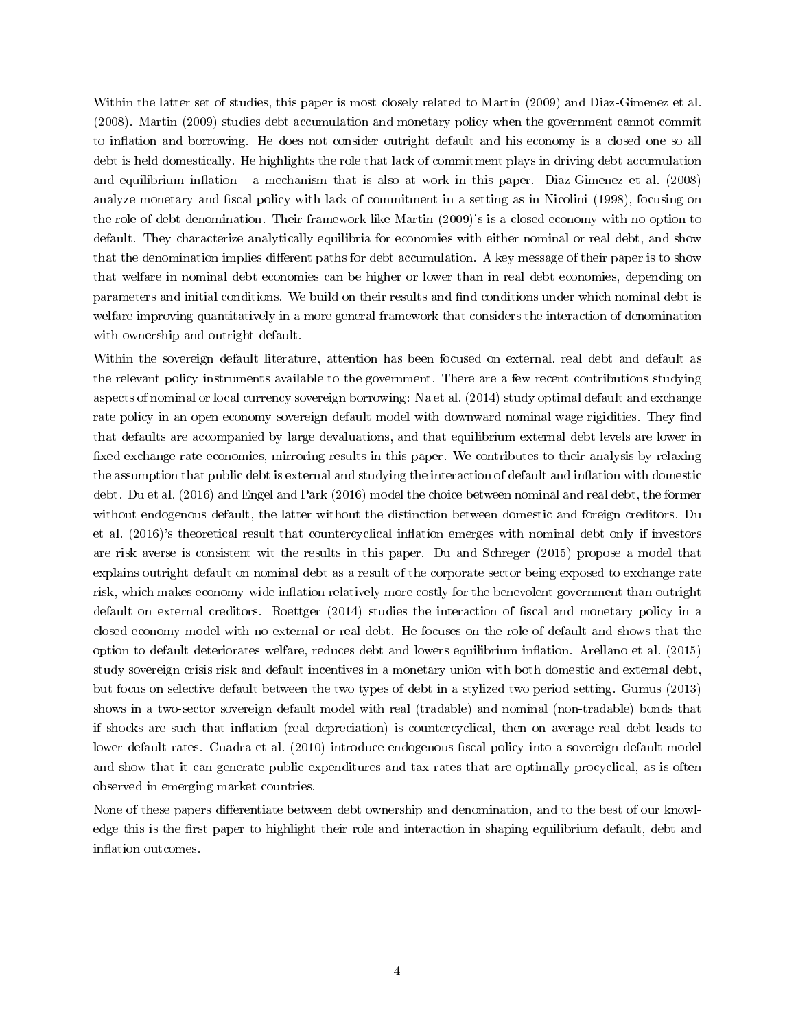<span id="page-3-0"></span>Within the latter set of studies, this paper is most closely related to [Martin](#page-35-3) [\(2009\)](#page-35-3) and [Diaz-Gimenez et al.](#page-34-0) [\(2008\)](#page-34-0). [Martin](#page-35-3) [\(2009\)](#page-35-3) studies debt accumulation and monetary policy when the government cannot commit to inflation and borrowing. He does not consider outright default and his economy is a closed one so all debt is held domestically. He highlights the role that lack of commitment plays in driving debt accumulation and equilibrium inflation - a mechanism that is also at work in this paper. [Diaz-Gimenez et al.](#page-34-0)  $(2008)$ analyze monetary and fiscal policy with lack of commitment in a setting as in [Nicolini](#page-35-4) [\(1998\)](#page-35-4), focusing on the role of debt denomination. Their framework like [Martin](#page-35-3) [\(2009\)](#page-35-3)'s is a closed economy with no option to default. They characterize analytically equilibria for economies with either nominal or real debt, and show that the denomination implies different paths for debt accumulation. A key message of their paper is to show that welfare in nominal debt economies can be higher or lower than in real debt economies, depending on parameters and initial conditions. We build on their results and find conditions under which nominal debt is welfare improving quantitatively in a more general framework that considers the interaction of denomination with ownership and outright default.

Within the sovereign default literature, attention has been focused on external, real debt and default as the relevant policy instruments available to the government. There are a few recent contributions studying aspects of nominal or local currency sovereign borrowing: [Na et al.](#page-35-5) [\(2014\)](#page-35-5) study optimal default and exchange rate policy in an open economy sovereign default model with downward nominal wage rigidities. They find that defaults are accompanied by large devaluations, and that equilibrium external debt levels are lower in fixed-exchange rate economies, mirroring results in this paper. We contributes to their analysis by relaxing the assumption that public debt is external and studying the interaction of default and inflation with domestic debt. [Du et al.](#page-34-1) [\(2016\)](#page-34-1) and [Engel and Park](#page-34-2) [\(2016\)](#page-34-2) model the choice between nominal and real debt, the former without endogenous default, the latter without the distinction between domestic and foreign creditors. [Du](#page-34-1) [et al.](#page-34-1) [\(2016\)](#page-34-1)'s theoretical result that countercyclical inflation emerges with nominal debt only if investors are risk averse is consistent wit the results in this paper. [Du and Schreger](#page-34-3) [\(2015\)](#page-34-3) propose a model that explains outright default on nominal debt as a result of the corporate sector being exposed to exchange rate risk, which makes economy-wide inflation relatively more costly for the benevolent government than outright default on external creditors. [Roettger](#page-35-6) [\(2014\)](#page-35-6) studies the interaction of fiscal and monetary policy in a closed economy model with no external or real debt. He focuses on the role of default and shows that the option to default deteriorates welfare, reduces debt and lowers equilibrium inflation. [Arellano et al.](#page-33-3) [\(2015\)](#page-33-3) study sovereign crisis risk and default incentives in a monetary union with both domestic and external debt, but focus on selective default between the two types of debt in a stylized two period setting. [Gumus](#page-34-4) [\(2013\)](#page-34-4) shows in a two-sector sovereign default model with real (tradable) and nominal (non-tradable) bonds that if shocks are such that inflation (real depreciation) is countercyclical, then on average real debt leads to lower default rates. [Cuadra et al.](#page-34-5) [\(2010\)](#page-34-5) introduce endogenous fiscal policy into a sovereign default model and show that it can generate public expenditures and tax rates that are optimally procyclical, as is often observed in emerging market countries.

None of these papers differentiate between debt ownership and denomination, and to the best of our knowledge this is the first paper to highlight their role and interaction in shaping equilibrium default, debt and inflation outcomes.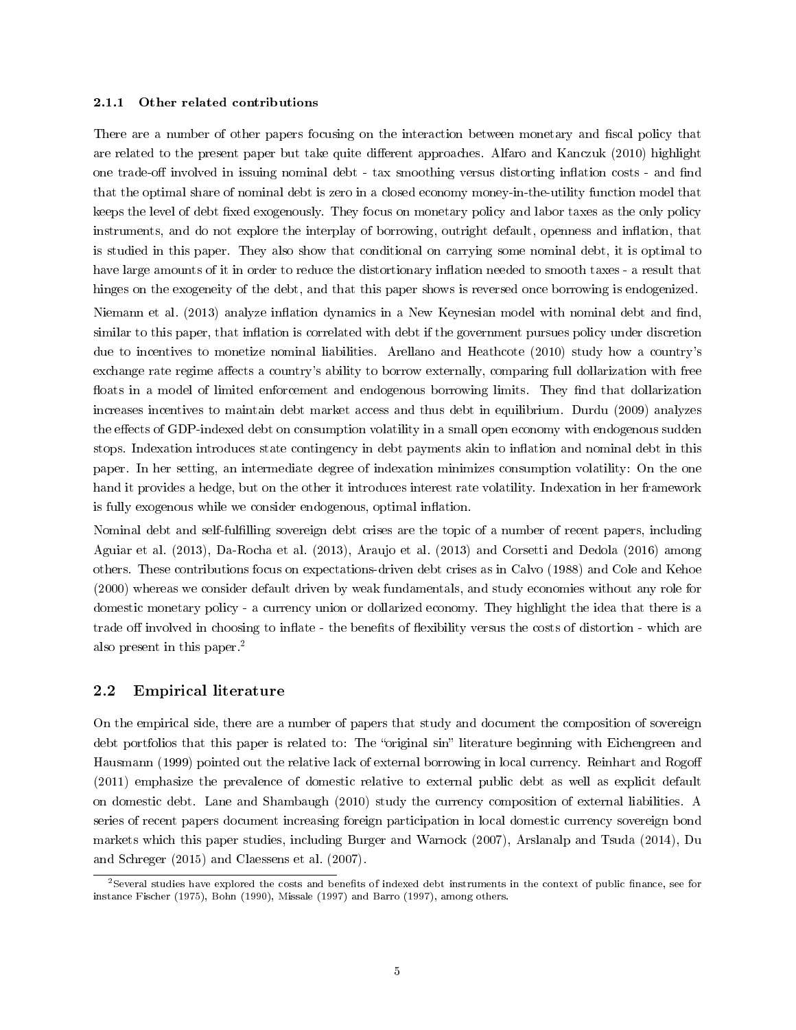#### <span id="page-4-1"></span>2.1.1 Other related contributions

There are a number of other papers focusing on the interaction between monetary and fiscal policy that are related to the present paper but take quite different approaches. [Alfaro and Kanczuk](#page-33-4) [\(2010\)](#page-33-4) highlight one trade-off involved in issuing nominal debt - tax smoothing versus distorting inflation costs - and find that the optimal share of nominal debt is zero in a closed economy money-in-the-utility function model that keeps the level of debt fixed exogenously. They focus on monetary policy and labor taxes as the only policy instruments, and do not explore the interplay of borrowing, outright default, openness and inflation, that is studied in this paper. They also show that conditional on carrying some nominal debt, it is optimal to have large amounts of it in order to reduce the distortionary inflation needed to smooth taxes - a result that hinges on the exogeneity of the debt, and that this paper shows is reversed once borrowing is endogenized.

[Niemann et al.](#page-35-7) [\(2013\)](#page-35-7) analyze inflation dynamics in a New Keynesian model with nominal debt and find, similar to this paper, that inflation is correlated with debt if the government pursues policy under discretion due to incentives to monetize nominal liabilities. [Arellano and Heathcote](#page-33-5) [\(2010\)](#page-33-5) study how a country's exchange rate regime affects a country's ability to borrow externally, comparing full dollarization with free floats in a model of limited enforcement and endogenous borrowing limits. They find that dollarization increases incentives to maintain debt market access and thus debt in equilibrium. [Durdu](#page-34-6) [\(2009\)](#page-34-6) analyzes the effects of GDP-indexed debt on consumption volatility in a small open economy with endogenous sudden stops. Indexation introduces state contingency in debt payments akin to inflation and nominal debt in this paper. In her setting, an intermediate degree of indexation minimizes consumption volatility: On the one hand it provides a hedge, but on the other it introduces interest rate volatility. Indexation in her framework is fully exogenous while we consider endogenous, optimal inflation.

Nominal debt and self-fullling sovereign debt crises are the topic of a number of recent papers, including [Aguiar et al.](#page-33-6) [\(2013\)](#page-33-6), [Da-Rocha et al.](#page-34-7) [\(2013\)](#page-34-7), [Araujo et al.](#page-33-7) [\(2013\)](#page-33-7) and [Corsetti and Dedola](#page-34-8) [\(2016\)](#page-34-8) among others. These contributions focus on expectations-driven debt crises as in [Calvo](#page-33-8) [\(1988\)](#page-33-8) and [Cole and Kehoe](#page-34-9) [\(2000\)](#page-34-9) whereas we consider default driven by weak fundamentals, and study economies without any role for domestic monetary policy - a currency union or dollarized economy. They highlight the idea that there is a trade off involved in choosing to inflate - the benefits of flexibility versus the costs of distortion - which are also present in this paper.[2](#page-4-0)

#### 2.2 Empirical literature

On the empirical side, there are a number of papers that study and document the composition of sovereign debt portfolios that this paper is related to: The "original sin" literature beginning with [Eichengreen and](#page-34-10) [Hausmann](#page-34-10) [\(1999\)](#page-34-10) pointed out the relative lack of external borrowing in local currency. [Reinhart and Rogo](#page-35-8) [\(2011\)](#page-35-8) emphasize the prevalence of domestic relative to external public debt as well as explicit default on domestic debt. [Lane and Shambaugh](#page-35-9) [\(2010\)](#page-35-9) study the currency composition of external liabilities. A series of recent papers document increasing foreign participation in local domestic currency sovereign bond markets which this paper studies, including [Burger and Warnock](#page-33-9) [\(2007\)](#page-33-9), [Arslanalp and Tsuda](#page-33-10) [\(2014\)](#page-33-10), [Du](#page-34-3) [and Schreger](#page-34-3) [\(2015\)](#page-34-3) and [Claessens et al.](#page-34-11) [\(2007\)](#page-34-11).

<span id="page-4-0"></span><sup>&</sup>lt;sup>2</sup>Several studies have explored the costs and benefits of indexed debt instruments in the context of public finance, see for instance [Fischer](#page-34-12) [\(1975\)](#page-34-12), [Bohn](#page-33-11) [\(1990\)](#page-33-11), [Missale](#page-35-10) [\(1997\)](#page-35-10) and [Barro](#page-33-12) [\(1997\)](#page-33-12), among others.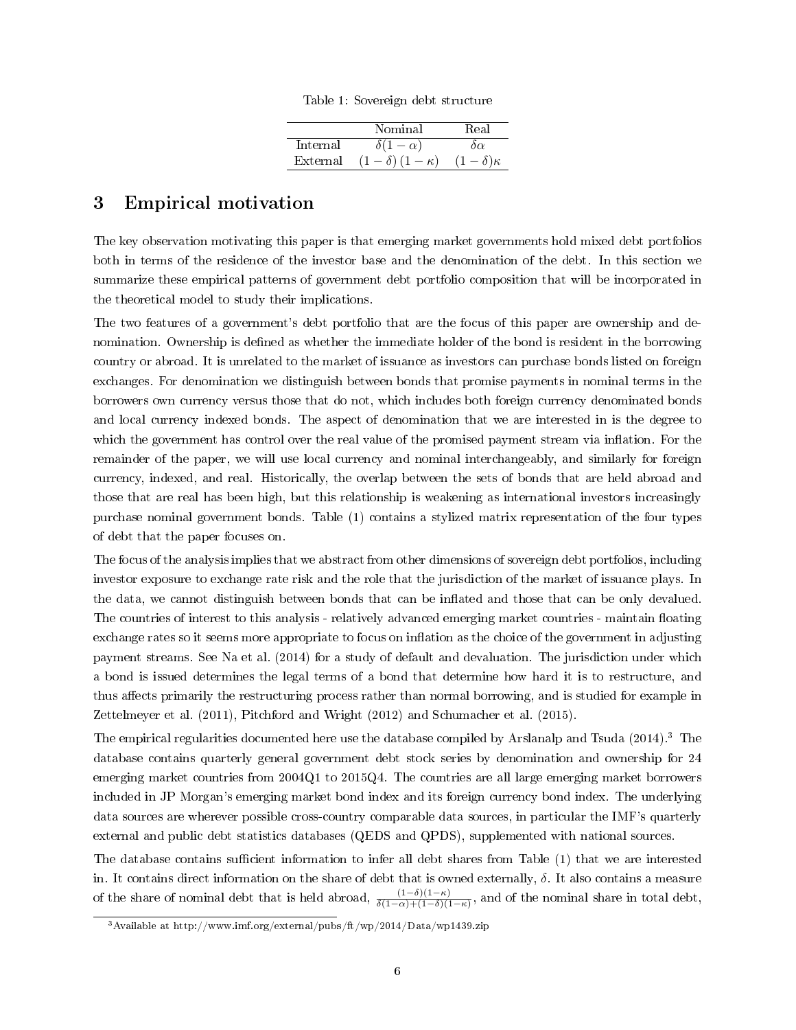|  | Table 1: Sovereign debt structure |  |
|--|-----------------------------------|--|
|  |                                   |  |

|          | Nominal                | Real               |
|----------|------------------------|--------------------|
| Internal | $\delta(1-\alpha)$     | $\alpha$           |
| External | $(1-\delta)(1-\kappa)$ | $(1-\delta)\kappa$ |

## <span id="page-5-2"></span><span id="page-5-0"></span>3 Empirical motivation

The key observation motivating this paper is that emerging market governments hold mixed debt portfolios both in terms of the residence of the investor base and the denomination of the debt. In this section we summarize these empirical patterns of government debt portfolio composition that will be incorporated in the theoretical model to study their implications.

The two features of a government's debt portfolio that are the focus of this paper are ownership and denomination. Ownership is defined as whether the immediate holder of the bond is resident in the borrowing country or abroad. It is unrelated to the market of issuance as investors can purchase bonds listed on foreign exchanges. For denomination we distinguish between bonds that promise payments in nominal terms in the borrowers own currency versus those that do not, which includes both foreign currency denominated bonds and local currency indexed bonds. The aspect of denomination that we are interested in is the degree to which the government has control over the real value of the promised payment stream via inflation. For the remainder of the paper, we will use local currency and nominal interchangeably, and similarly for foreign currency, indexed, and real. Historically, the overlap between the sets of bonds that are held abroad and those that are real has been high, but this relationship is weakening as international investors increasingly purchase nominal government bonds. Table [\(1\)](#page-5-0) contains a stylized matrix representation of the four types of debt that the paper focuses on.

The focus of the analysis implies that we abstract from other dimensions of sovereign debt portfolios, including investor exposure to exchange rate risk and the role that the jurisdiction of the market of issuance plays. In the data, we cannot distinguish between bonds that can be inflated and those that can be only devalued. The countries of interest to this analysis - relatively advanced emerging market countries - maintain floating exchange rates so it seems more appropriate to focus on inflation as the choice of the government in adjusting payment streams. See [Na et al.](#page-35-5) [\(2014\)](#page-35-5) for a study of default and devaluation. The jurisdiction under which a bond is issued determines the legal terms of a bond that determine how hard it is to restructure, and thus affects primarily the restructuring process rather than normal borrowing, and is studied for example in [Zettelmeyer et al.](#page-35-11) [\(2011\)](#page-35-11), [Pitchford and Wright](#page-35-12) [\(2012\)](#page-35-12) and [Schumacher et al.](#page-35-13) [\(2015\)](#page-35-13).

The empirical regularities documented here use the database compiled by [Arslanalp and Tsuda](#page-33-10) [\(2014\)](#page-33-10).[3](#page-5-1) The database contains quarterly general government debt stock series by denomination and ownership for 24 emerging market countries from 2004Q1 to 2015Q4. The countries are all large emerging market borrowers included in JP Morgan's emerging market bond index and its foreign currency bond index. The underlying data sources are wherever possible cross-country comparable data sources, in particular the IMF's quarterly external and public debt statistics databases (QEDS and QPDS), supplemented with national sources.

The database contains sufficient information to infer all debt shares from Table [\(1\)](#page-5-0) that we are interested in. It contains direct information on the share of debt that is owned externally,  $\delta$ . It also contains a measure of the share of nominal debt that is held abroad,  $\frac{(1-\delta)(1-\kappa)}{\delta(1-\alpha)+(1-\delta)(1-\kappa)}$ , and of the nominal share in total debt,

<span id="page-5-1"></span><sup>3</sup>Available at<http://www.imf.org/external/pubs/ft/wp/2014/Data/wp1439.zip>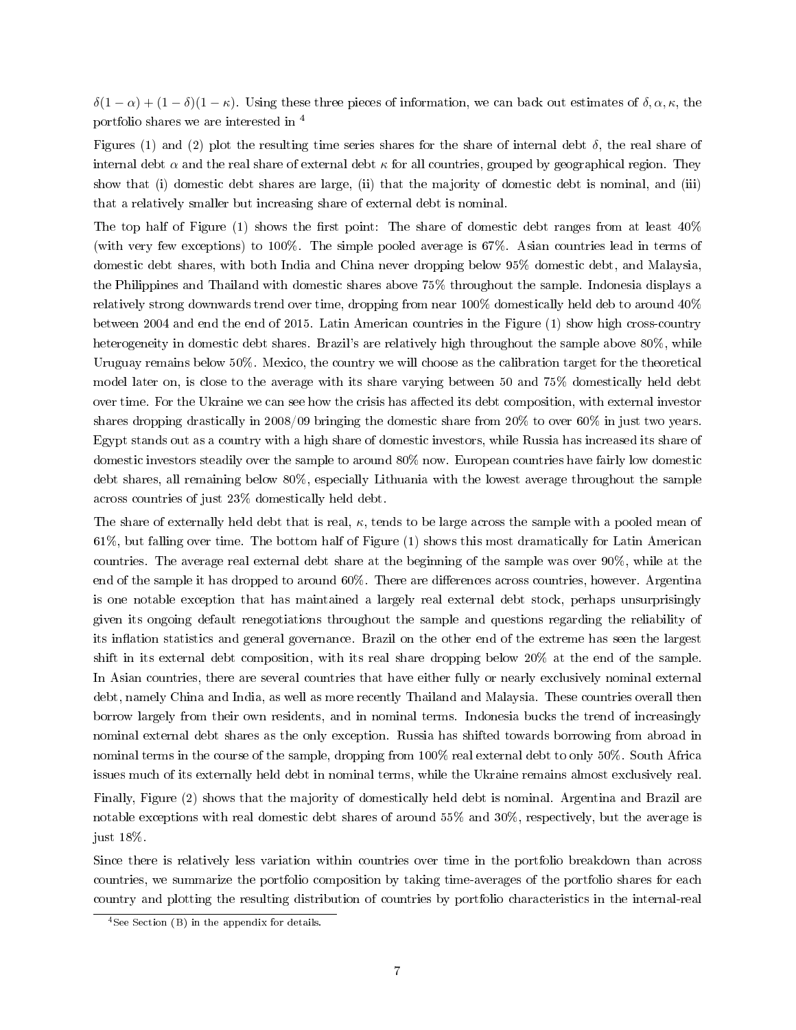$\delta(1-\alpha) + (1-\delta)(1-\kappa)$ . Using these three pieces of information, we can back out estimates of  $\delta, \alpha, \kappa$ , the portfolio shares we are interested in [4](#page-6-0)

Figures [\(1\)](#page-7-0) and [\(2\)](#page-8-0) plot the resulting time series shares for the share of internal debt  $\delta$ , the real share of internal debt  $\alpha$  and the real share of external debt  $\kappa$  for all countries, grouped by geographical region. They show that (i) domestic debt shares are large, (ii) that the majority of domestic debt is nominal, and (iii) that a relatively smaller but increasing share of external debt is nominal.

The top half of Figure  $(1)$  shows the first point: The share of domestic debt ranges from at least  $40\%$ (with very few exceptions) to 100%. The simple pooled average is 67%. Asian countries lead in terms of domestic debt shares, with both India and China never dropping below 95% domestic debt, and Malaysia, the Philippines and Thailand with domestic shares above 75% throughout the sample. Indonesia displays a relatively strong downwards trend over time, dropping from near 100% domestically held deb to around 40% between 2004 and end the end of 2015. Latin American countries in the Figure [\(1\)](#page-7-0) show high cross-country heterogeneity in domestic debt shares. Brazil's are relatively high throughout the sample above 80%, while Uruguay remains below 50%. Mexico, the country we will choose as the calibration target for the theoretical model later on, is close to the average with its share varying between 50 and 75% domestically held debt over time. For the Ukraine we can see how the crisis has affected its debt composition, with external investor shares dropping drastically in 2008/09 bringing the domestic share from 20% to over 60% in just two years. Egypt stands out as a country with a high share of domestic investors, while Russia has increased its share of domestic investors steadily over the sample to around 80% now. European countries have fairly low domestic debt shares, all remaining below 80%, especially Lithuania with the lowest average throughout the sample across countries of just 23% domestically held debt.

The share of externally held debt that is real,  $\kappa$ , tends to be large across the sample with a pooled mean of 61%, but falling over time. The bottom half of Figure [\(1\)](#page-7-0) shows this most dramatically for Latin American countries. The average real external debt share at the beginning of the sample was over 90%, while at the end of the sample it has dropped to around 60%. There are differences across countries, however. Argentina is one notable exception that has maintained a largely real external debt stock, perhaps unsurprisingly given its ongoing default renegotiations throughout the sample and questions regarding the reliability of its inflation statistics and general governance. Brazil on the other end of the extreme has seen the largest shift in its external debt composition, with its real share dropping below 20% at the end of the sample. In Asian countries, there are several countries that have either fully or nearly exclusively nominal external debt, namely China and India, as well as more recently Thailand and Malaysia. These countries overall then borrow largely from their own residents, and in nominal terms. Indonesia bucks the trend of increasingly nominal external debt shares as the only exception. Russia has shifted towards borrowing from abroad in nominal terms in the course of the sample, dropping from 100% real external debt to only 50%. South Africa issues much of its externally held debt in nominal terms, while the Ukraine remains almost exclusively real.

Finally, Figure [\(2\)](#page-8-0) shows that the majority of domestically held debt is nominal. Argentina and Brazil are notable exceptions with real domestic debt shares of around 55% and 30%, respectively, but the average is just 18%.

Since there is relatively less variation within countries over time in the portfolio breakdown than across countries, we summarize the portfolio composition by taking time-averages of the portfolio shares for each country and plotting the resulting distribution of countries by portfolio characteristics in the internal-real

<span id="page-6-0"></span><sup>4</sup>See Section [\(B\)](#page-37-0) in the appendix for details.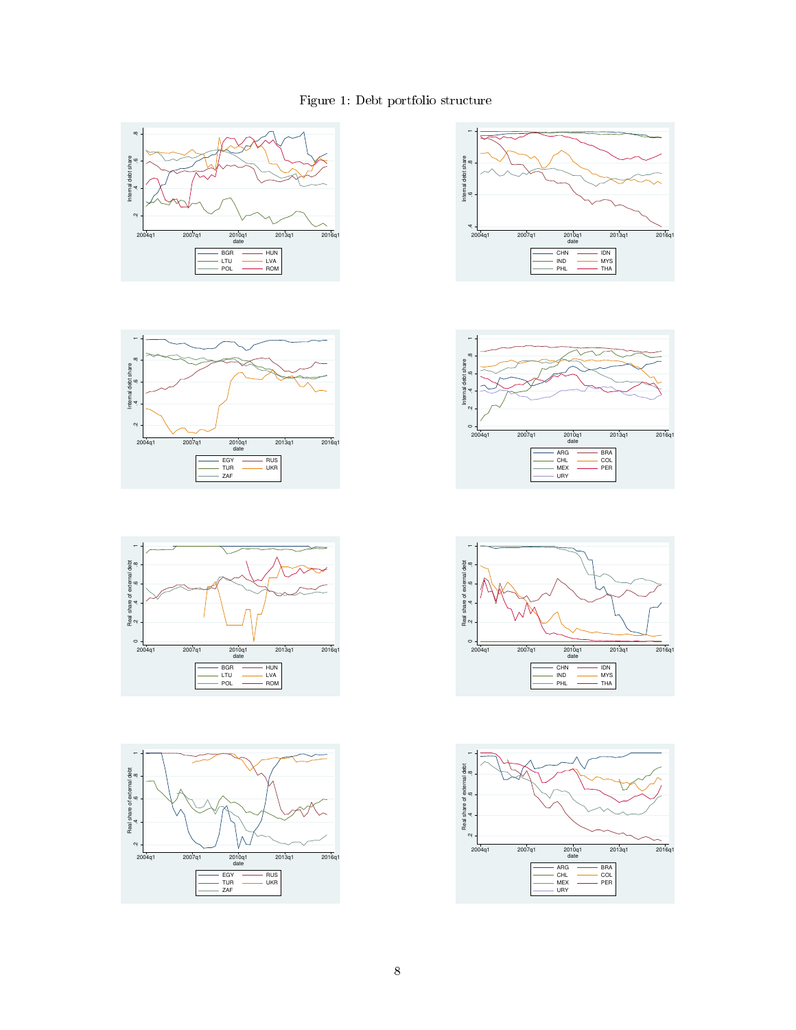## Figure 1: Debt portfolio structure

<span id="page-7-0"></span>













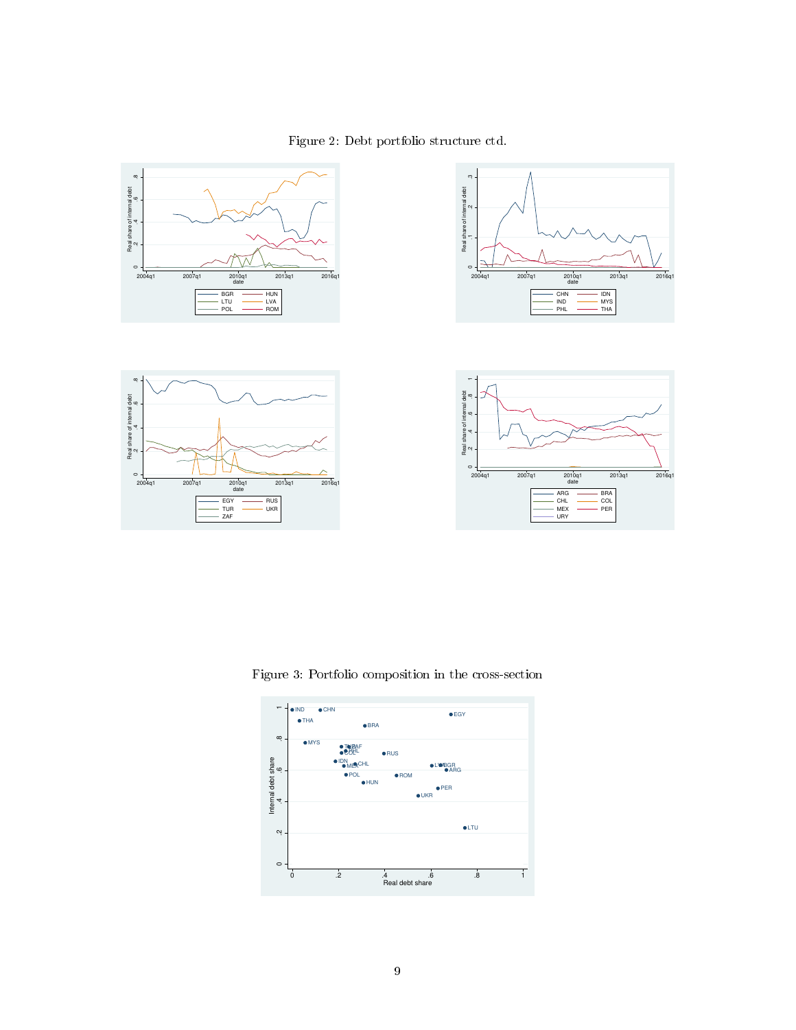

<span id="page-8-0"></span>

<span id="page-8-1"></span>Figure 3: Portfolio composition in the cross-section

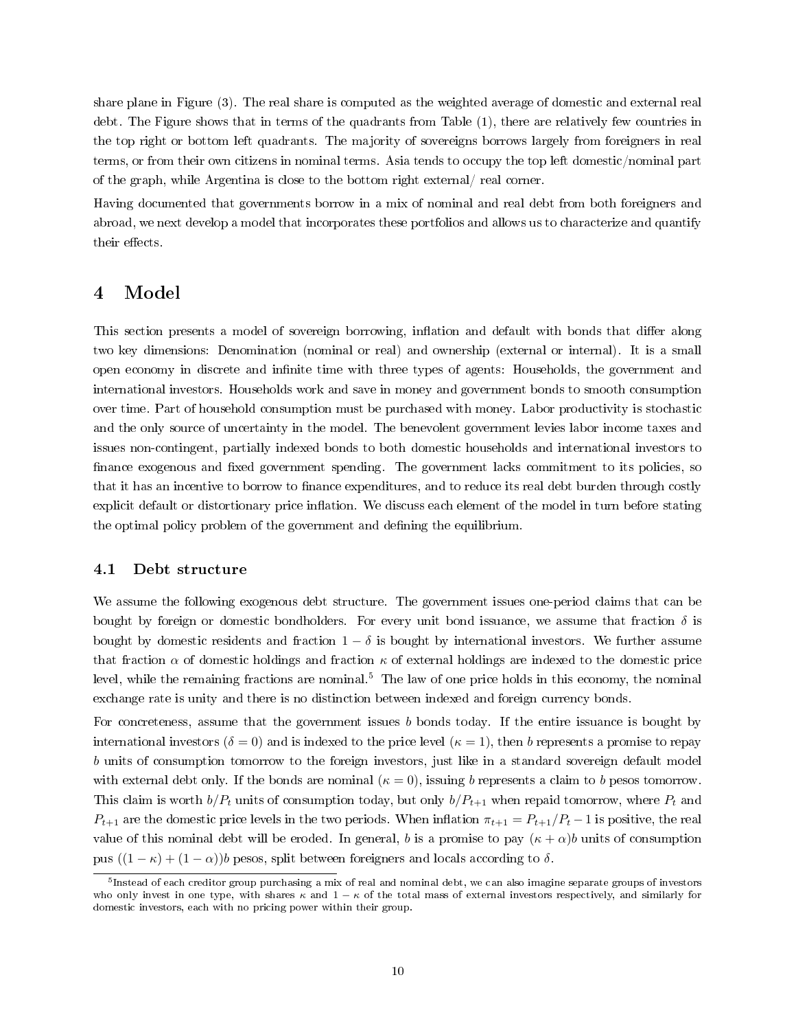share plane in Figure [\(3\)](#page-8-1). The real share is computed as the weighted average of domestic and external real debt. The Figure shows that in terms of the quadrants from Table [\(1\)](#page-5-0), there are relatively few countries in the top right or bottom left quadrants. The majority of sovereigns borrows largely from foreigners in real terms, or from their own citizens in nominal terms. Asia tends to occupy the top left domestic/nominal part of the graph, while Argentina is close to the bottom right external/ real corner.

Having documented that governments borrow in a mix of nominal and real debt from both foreigners and abroad, we next develop a model that incorporates these portfolios and allows us to characterize and quantify their effects.

## 4 Model

This section presents a model of sovereign borrowing, inflation and default with bonds that differ along two key dimensions: Denomination (nominal or real) and ownership (external or internal). It is a small open economy in discrete and infinite time with three types of agents: Households, the government and international investors. Households work and save in money and government bonds to smooth consumption over time. Part of household consumption must be purchased with money. Labor productivity is stochastic and the only source of uncertainty in the model. The benevolent government levies labor income taxes and issues non-contingent, partially indexed bonds to both domestic households and international investors to finance exogenous and fixed government spending. The government lacks commitment to its policies, so that it has an incentive to borrow to finance expenditures, and to reduce its real debt burden through costly explicit default or distortionary price inflation. We discuss each element of the model in turn before stating the optimal policy problem of the government and dening the equilibrium.

#### 4.1 Debt structure

We assume the following exogenous debt structure. The government issues one-period claims that can be bought by foreign or domestic bondholders. For every unit bond issuance, we assume that fraction  $\delta$  is bought by domestic residents and fraction  $1 - \delta$  is bought by international investors. We further assume that fraction  $\alpha$  of domestic holdings and fraction  $\kappa$  of external holdings are indexed to the domestic price level, while the remaining fractions are nominal.<sup>[5](#page-9-0)</sup> The law of one price holds in this economy, the nominal exchange rate is unity and there is no distinction between indexed and foreign currency bonds.

For concreteness, assume that the government issues  $b$  bonds today. If the entire issuance is bought by international investors ( $\delta = 0$ ) and is indexed to the price level ( $\kappa = 1$ ), then b represents a promise to repay b units of consumption tomorrow to the foreign investors, just like in a standard sovereign default model with external debt only. If the bonds are nominal  $(\kappa = 0)$ , issuing b represents a claim to b pesos tomorrow. This claim is worth  $b/P_t$  units of consumption today, but only  $b/P_{t+1}$  when repaid tomorrow, where  $P_t$  and  $P_{t+1}$  are the domestic price levels in the two periods. When inflation  $\pi_{t+1} = P_{t+1}/P_t - 1$  is positive, the real value of this nominal debt will be eroded. In general, b is a promise to pay  $(\kappa + \alpha)b$  units of consumption pus  $((1 - \kappa) + (1 - \alpha))b$  pesos, split between foreigners and locals according to  $\delta$ .

<span id="page-9-0"></span><sup>&</sup>lt;sup>5</sup>Instead of each creditor group purchasing a mix of real and nominal debt, we can also imagine separate groups of investors who only invest in one type, with shares  $\kappa$  and  $1 - \kappa$  of the total mass of external investors respectively, and similarly for domestic investors, each with no pricing power within their group.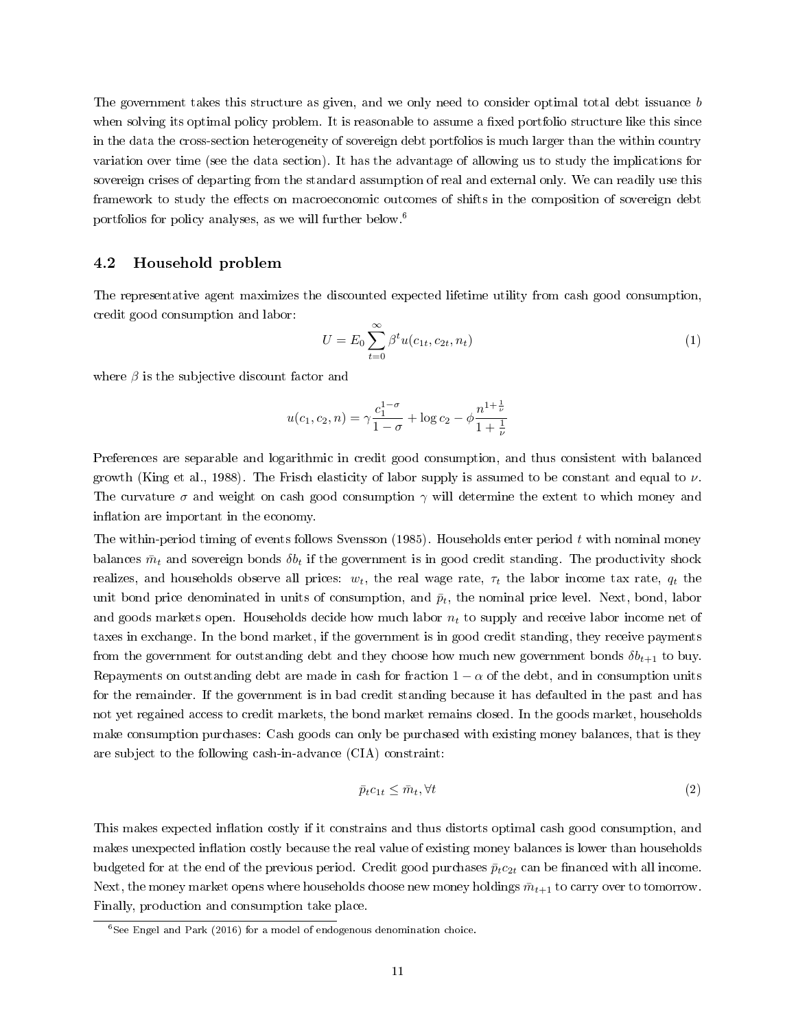<span id="page-10-3"></span>The government takes this structure as given, and we only need to consider optimal total debt issuance b when solving its optimal policy problem. It is reasonable to assume a fixed portfolio structure like this since in the data the cross-section heterogeneity of sovereign debt portfolios is much larger than the within country variation over time (see the data section). It has the advantage of allowing us to study the implications for sovereign crises of departing from the standard assumption of real and external only. We can readily use this framework to study the effects on macroeconomic outcomes of shifts in the composition of sovereign debt portfolios for policy analyses, as we will further below.[6](#page-10-0)

#### 4.2 Household problem

The representative agent maximizes the discounted expected lifetime utility from cash good consumption, credit good consumption and labor:

<span id="page-10-1"></span>
$$
U = E_0 \sum_{t=0}^{\infty} \beta^t u(c_{1t}, c_{2t}, n_t)
$$
 (1)

where  $\beta$  is the subjective discount factor and

$$
u(c_1, c_2, n) = \gamma \frac{c_1^{1-\sigma}}{1-\sigma} + \log c_2 - \phi \frac{n^{1+\frac{1}{\nu}}}{1+\frac{1}{\nu}}
$$

Preferences are separable and logarithmic in credit good consumption, and thus consistent with balanced growth [\(King et al., 1988\)](#page-34-13). The Frisch elasticity of labor supply is assumed to be constant and equal to  $\nu$ . The curvature  $\sigma$  and weight on cash good consumption  $\gamma$  will determine the extent to which money and inflation are important in the economy.

The within-period timing of events follows [Svensson](#page-35-14) [\(1985\)](#page-35-14). Households enter period t with nominal money balances  $\bar{m}_t$  and sovereign bonds  $\delta b_t$  if the government is in good credit standing. The productivity shock realizes, and households observe all prices:  $w_t$ , the real wage rate,  $\tau_t$  the labor income tax rate,  $q_t$  the unit bond price denominated in units of consumption, and  $\bar{p}_t$ , the nominal price level. Next, bond, labor and goods markets open. Households decide how much labor  $n_t$  to supply and receive labor income net of taxes in exchange. In the bond market, if the government is in good credit standing, they receive payments from the government for outstanding debt and they choose how much new government bonds  $\delta b_{t+1}$  to buy. Repayments on outstanding debt are made in cash for fraction  $1 - \alpha$  of the debt, and in consumption units for the remainder. If the government is in bad credit standing because it has defaulted in the past and has not yet regained access to credit markets, the bond market remains closed. In the goods market, households make consumption purchases: Cash goods can only be purchased with existing money balances, that is they are subject to the following cash-in-advance (CIA) constraint:

<span id="page-10-2"></span>
$$
\bar{p}_t c_{1t} \leq \bar{m}_t, \forall t \tag{2}
$$

This makes expected inflation costly if it constrains and thus distorts optimal cash good consumption, and makes unexpected inflation costly because the real value of existing money balances is lower than households budgeted for at the end of the previous period. Credit good purchases  $\bar{p}_t c_{2t}$  can be financed with all income. Next, the money market opens where households choose new money holdings  $\bar{m}_{t+1}$  to carry over to tomorrow. Finally, production and consumption take place.

<span id="page-10-0"></span> $6$ See [Engel and Park](#page-34-2) [\(2016\)](#page-34-2) for a model of endogenous denomination choice.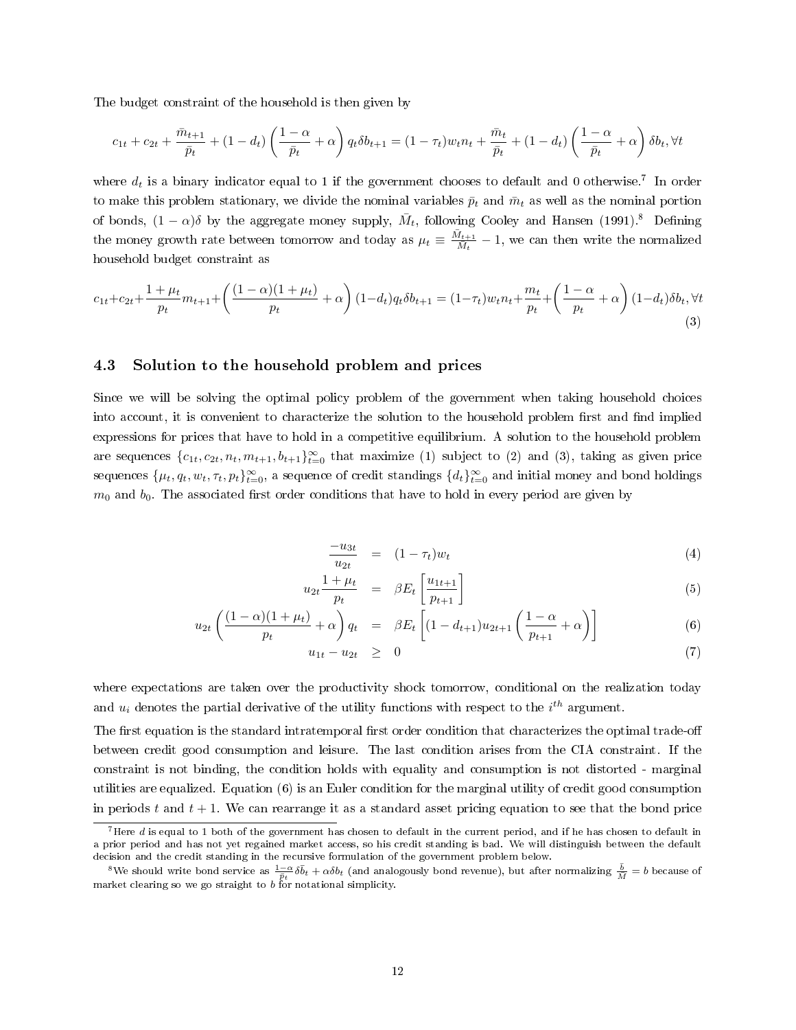<span id="page-11-4"></span>The budget constraint of the household is then given by

$$
c_{1t} + c_{2t} + \frac{\bar{m}_{t+1}}{\bar{p}_t} + (1 - d_t) \left( \frac{1 - \alpha}{\bar{p}_t} + \alpha \right) q_t \delta b_{t+1} = (1 - \tau_t) w_t n_t + \frac{\bar{m}_t}{\bar{p}_t} + (1 - d_t) \left( \frac{1 - \alpha}{\bar{p}_t} + \alpha \right) \delta b_t, \forall t
$$

where  $d_t$  is a binary indicator equal to 1 if the government chooses to default and 0 otherwise.<sup>[7](#page-11-0)</sup> In order to make this problem stationary, we divide the nominal variables  $\bar{p}_t$  and  $\bar{m}_t$  as well as the nominal portion of bonds,  $(1 - \alpha)\delta$  by the aggregate money supply,  $\bar{M}_t$ , following [Cooley and Hansen](#page-34-14) [\(1991\)](#page-34-14).<sup>[8](#page-11-1)</sup> Defining the money growth rate between tomorrow and today as  $\mu_t \equiv \frac{\bar{M}_{t+1}}{\bar{M}_t}$  $\frac{M_{t+1}}{M_t} - 1$ , we can then write the normalized household budget constraint as

<span id="page-11-2"></span>
$$
c_{1t} + c_{2t} + \frac{1 + \mu_t}{p_t} m_{t+1} + \left(\frac{(1 - \alpha)(1 + \mu_t)}{p_t} + \alpha\right) (1 - d_t) q_t \delta b_{t+1} = (1 - \tau_t) w_t n_t + \frac{m_t}{p_t} + \left(\frac{1 - \alpha}{p_t} + \alpha\right) (1 - d_t) \delta b_t, \forall t \tag{3}
$$

#### 4.3 Solution to the household problem and prices

 $\iota$ 

Since we will be solving the optimal policy problem of the government when taking household choices into account, it is convenient to characterize the solution to the household problem first and find implied expressions for prices that have to hold in a competitive equilibrium. A solution to the household problem are sequences  $\{c_{1t}, c_{2t}, n_t, m_{t+1}, b_{t+1}\}_{t=0}^{\infty}$  that maximize [\(1\)](#page-10-1) subject to [\(2\)](#page-10-2) and [\(3\)](#page-11-2), taking as given price sequences  $\{\mu_t, q_t, w_t, \tau_t, p_t\}_{t=0}^{\infty}$ , a sequence of credit standings  $\{d_t\}_{t=0}^{\infty}$  and initial money and bond holdings  $m_0$  and  $b_0$ . The associated first order conditions that have to hold in every period are given by

<span id="page-11-3"></span>
$$
\frac{-u_{3t}}{u_{2t}} = (1 - \tau_t)w_t \tag{4}
$$

$$
u_{2t} \frac{1 + \mu_t}{p_t} = \beta E_t \left[ \frac{u_{1t+1}}{p_{t+1}} \right] \tag{5}
$$

$$
u_{2t} \left( \frac{(1-\alpha)(1+\mu_t)}{p_t} + \alpha \right) q_t = \beta E_t \left[ (1-d_{t+1}) u_{2t+1} \left( \frac{1-\alpha}{p_{t+1}} + \alpha \right) \right]
$$
(6)

$$
u_{1t} - u_{2t} \geq 0 \tag{7}
$$

where expectations are taken over the productivity shock tomorrow, conditional on the realization today and  $u_i$  denotes the partial derivative of the utility functions with respect to the  $i^{th}$  argument.

The first equation is the standard intratemporal first order condition that characterizes the optimal trade-off between credit good consumption and leisure. The last condition arises from the CIA constraint. If the constraint is not binding, the condition holds with equality and consumption is not distorted - marginal utilities are equalized. Equation [\(6\)](#page-11-3) is an Euler condition for the marginal utility of credit good consumption in periods t and  $t + 1$ . We can rearrange it as a standard asset pricing equation to see that the bond price

<span id="page-11-0"></span> $^7$ Here d is equal to 1 both of the government has chosen to default in the current period, and if he has chosen to default in a prior period and has not yet regained market access, so his credit standing is bad. We will distinguish between the default decision and the credit standing in the recursive formulation of the government problem below.

<span id="page-11-1"></span><sup>&</sup>lt;sup>8</sup>We should write bond service as  $\frac{1-\alpha}{\bar{p}_t} \delta \bar{b}_t + \alpha \delta b_t$  (and analogously bond revenue), but after normalizing  $\frac{\bar{b}}{\bar{M}} = b$  because of market clearing so we go straight to b for notational simplicity.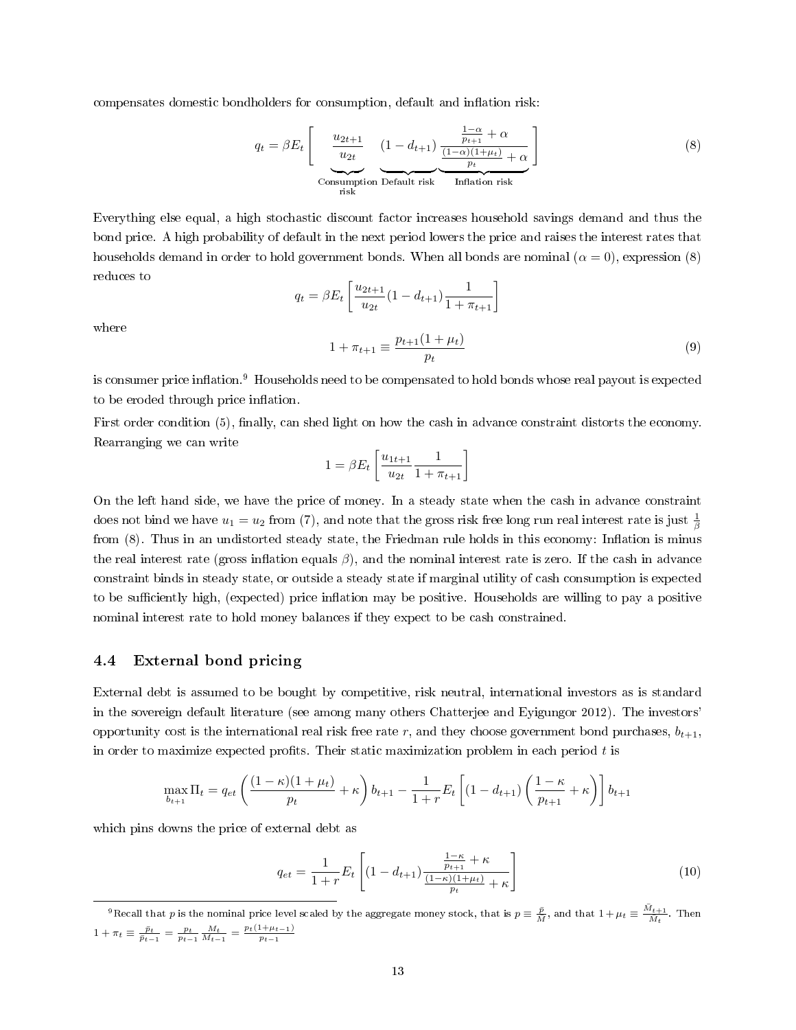<span id="page-12-4"></span>compensates domestic bondholders for consumption, default and inflation risk:

<span id="page-12-0"></span>
$$
q_{t} = \beta E_{t} \left[ \underbrace{\underbrace{\frac{u_{2t+1}}{u_{2t}}}_{\text{Consumption Default risk}} \underbrace{(1 - d_{t+1}) \underbrace{\frac{1 - \alpha}{p_{t+1}} + \alpha}_{\text{Inflation risk}}}_{\text{Inflation risk}} \right]
$$
\n
$$
(8)
$$

Everything else equal, a high stochastic discount factor increases household savings demand and thus the bond price. A high probability of default in the next period lowers the price and raises the interest rates that households demand in order to hold government bonds. When all bonds are nominal  $(\alpha = 0)$ , expression [\(8\)](#page-12-0) reduces to

<span id="page-12-3"></span>
$$
q_t = \beta E_t \left[ \frac{u_{2t+1}}{u_{2t}} (1 - d_{t+1}) \frac{1}{1 + \pi_{t+1}} \right]
$$
  

$$
1 + \pi_{t+1} \equiv \frac{p_{t+1} (1 + \mu_t)}{p_t}
$$
 (9)

where

is consumer price inflation.<sup>[9](#page-12-1)</sup> Households need to be compensated to hold bonds whose real payout is expected to be eroded through price inflation.

First order condition [\(5\)](#page-11-3), finally, can shed light on how the cash in advance constraint distorts the economy. Rearranging we can write

$$
1 = \beta E_t \left[ \frac{u_{1t+1}}{u_{2t}} \frac{1}{1 + \pi_{t+1}} \right]
$$

On the left hand side, we have the price of money. In a steady state when the cash in advance constraint does not bind we have  $u_1 = u_2$  from [\(7\)](#page-11-3), and note that the gross risk free long run real interest rate is just  $\frac{1}{\beta}$ from  $(8)$ . Thus in an undistorted steady state, the Friedman rule holds in this economy: Inflation is minus the real interest rate (gross inflation equals  $\beta$ ), and the nominal interest rate is zero. If the cash in advance constraint binds in steady state, or outside a steady state if marginal utility of cash consumption is expected to be sufficiently high, (expected) price inflation may be positive. Households are willing to pay a positive nominal interest rate to hold money balances if they expect to be cash constrained.

#### 4.4 External bond pricing

External debt is assumed to be bought by competitive, risk neutral, international investors as is standard in the sovereign default literature (see among many others [Chatterjee and Eyigungor 2012\)](#page-33-13). The investors' opportunity cost is the international real risk free rate r, and they choose government bond purchases,  $b_{t+1}$ , in order to maximize expected profits. Their static maximization problem in each period  $t$  is

$$
\max_{b_{t+1}} \Pi_t = q_{et} \left( \frac{(1 - \kappa)(1 + \mu_t)}{p_t} + \kappa \right) b_{t+1} - \frac{1}{1 + r} E_t \left[ (1 - d_{t+1}) \left( \frac{1 - \kappa}{p_{t+1}} + \kappa \right) \right] b_{t+1}
$$

which pins downs the price of external debt as

<span id="page-12-2"></span>
$$
q_{et} = \frac{1}{1+r} E_t \left[ (1 - d_{t+1}) \frac{\frac{1-\kappa}{p_{t+1}} + \kappa}{\frac{(1-\kappa)(1+\mu_t)}{p_t} + \kappa} \right] \tag{10}
$$

<span id="page-12-1"></span><sup>&</sup>lt;sup>9</sup>Recall that  $p$  is the nominal price level scaled by the aggregate money stock, that is  $p \equiv \frac{\bar{p}}{M}$ , and that  $1+\mu_t \equiv \frac{\bar{M}_{t+1}}{\bar{M}_t}$ . Then  $1 + \pi_t \equiv \frac{\bar{p}_t}{\bar{p}_{t-1}} = \frac{p_t}{p_{t-1}} \frac{M_t}{M_{t-1}} = \frac{p_t(1 + \mu_{t-1})}{p_{t-1}}$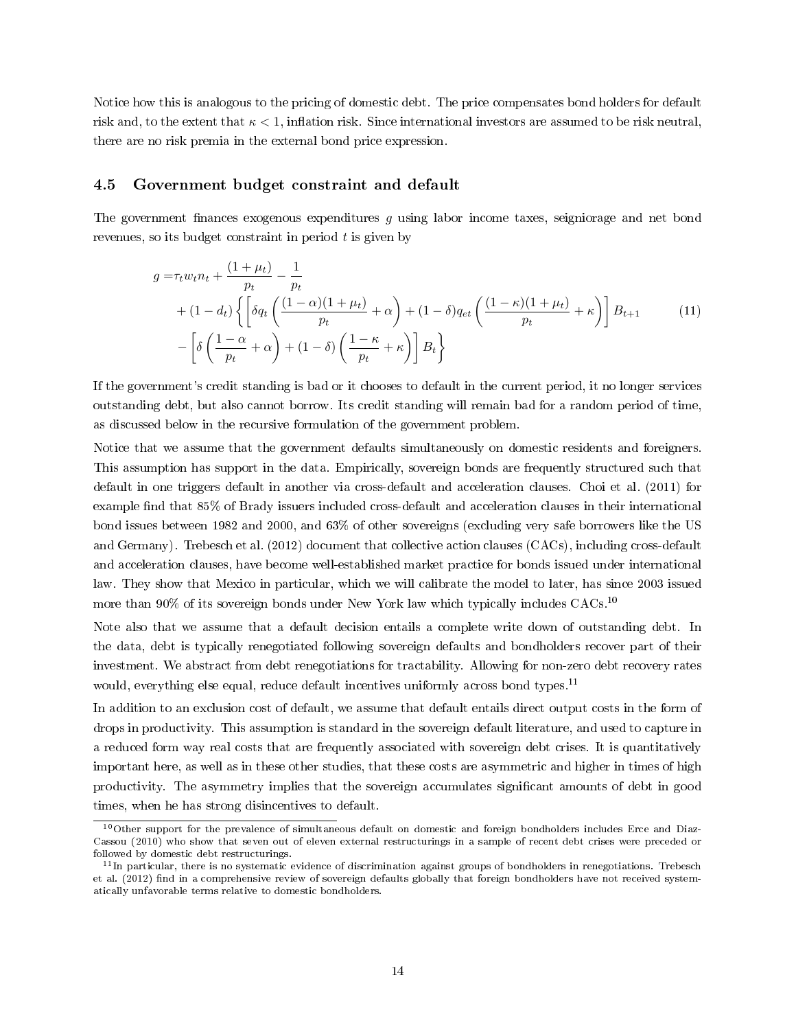<span id="page-13-3"></span>Notice how this is analogous to the pricing of domestic debt. The price compensates bond holders for default risk and, to the extent that  $\kappa < 1$ , inflation risk. Since international investors are assumed to be risk neutral, there are no risk premia in the external bond price expression.

#### 4.5 Government budget constraint and default

The government finances exogenous expenditures q using labor income taxes, seigniorage and net bond revenues, so its budget constraint in period  $t$  is given by

<span id="page-13-2"></span>
$$
g = \tau_t w_t n_t + \frac{(1 + \mu_t)}{p_t} - \frac{1}{p_t}
$$
  
+ 
$$
(1 - d_t) \left\{ \left[ \delta q_t \left( \frac{(1 - \alpha)(1 + \mu_t)}{p_t} + \alpha \right) + (1 - \delta) q_{et} \left( \frac{(1 - \kappa)(1 + \mu_t)}{p_t} + \kappa \right) \right] B_{t+1} \right\}
$$
  
- 
$$
\left[ \delta \left( \frac{1 - \alpha}{p_t} + \alpha \right) + (1 - \delta) \left( \frac{1 - \kappa}{p_t} + \kappa \right) \right] B_t \right\}
$$
 (11)

If the government's credit standing is bad or it chooses to default in the current period, it no longer services outstanding debt, but also cannot borrow. Its credit standing will remain bad for a random period of time, as discussed below in the recursive formulation of the government problem.

Notice that we assume that the government defaults simultaneously on domestic residents and foreigners. This assumption has support in the data. Empirically, sovereign bonds are frequently structured such that default in one triggers default in another via cross-default and acceleration clauses. [Choi et al.](#page-34-15) [\(2011\)](#page-34-15) for example find that 85% of Brady issuers included cross-default and acceleration clauses in their international bond issues between 1982 and 2000, and 63% of other sovereigns (excluding very safe borrowers like the US and Germany). [Trebesch et al.](#page-35-15) [\(2012\)](#page-35-15) document that collective action clauses (CACs), including cross-default and acceleration clauses, have become well-established market practice for bonds issued under international law. They show that Mexico in particular, which we will calibrate the model to later, has since 2003 issued more than 90% of its sovereign bonds under New York law which typically includes CACs.<sup>[10](#page-13-0)</sup>

Note also that we assume that a default decision entails a complete write down of outstanding debt. In the data, debt is typically renegotiated following sovereign defaults and bondholders recover part of their investment. We abstract from debt renegotiations for tractability. Allowing for non-zero debt recovery rates would, everything else equal, reduce default incentives uniformly across bond types.<sup>[11](#page-13-1)</sup>

In addition to an exclusion cost of default, we assume that default entails direct output costs in the form of drops in productivity. This assumption is standard in the sovereign default literature, and used to capture in a reduced form way real costs that are frequently associated with sovereign debt crises. It is quantitatively important here, as well as in these other studies, that these costs are asymmetric and higher in times of high productivity. The asymmetry implies that the sovereign accumulates signicant amounts of debt in good times, when he has strong disincentives to default.

<span id="page-13-0"></span><sup>&</sup>lt;sup>10</sup>Other support for the prevalence of simultaneous default on domestic and foreign bondholders includes [Erce and Diaz-](#page-34-16)[Cassou](#page-34-16) [\(2010\)](#page-34-16) who show that seven out of eleven external restructurings in a sample of recent debt crises were preceded or followed by domestic debt restructurings.

<span id="page-13-1"></span> $11$ In particular, there is no systematic evidence of discrimination against groups of bondholders in renegotiations. [Trebesch](#page-35-15) [et al.](#page-35-15) [\(2012\)](#page-35-15) find in a comprehensive review of sovereign defaults globally that foreign bondholders have not received systematically unfavorable terms relative to domestic bondholders.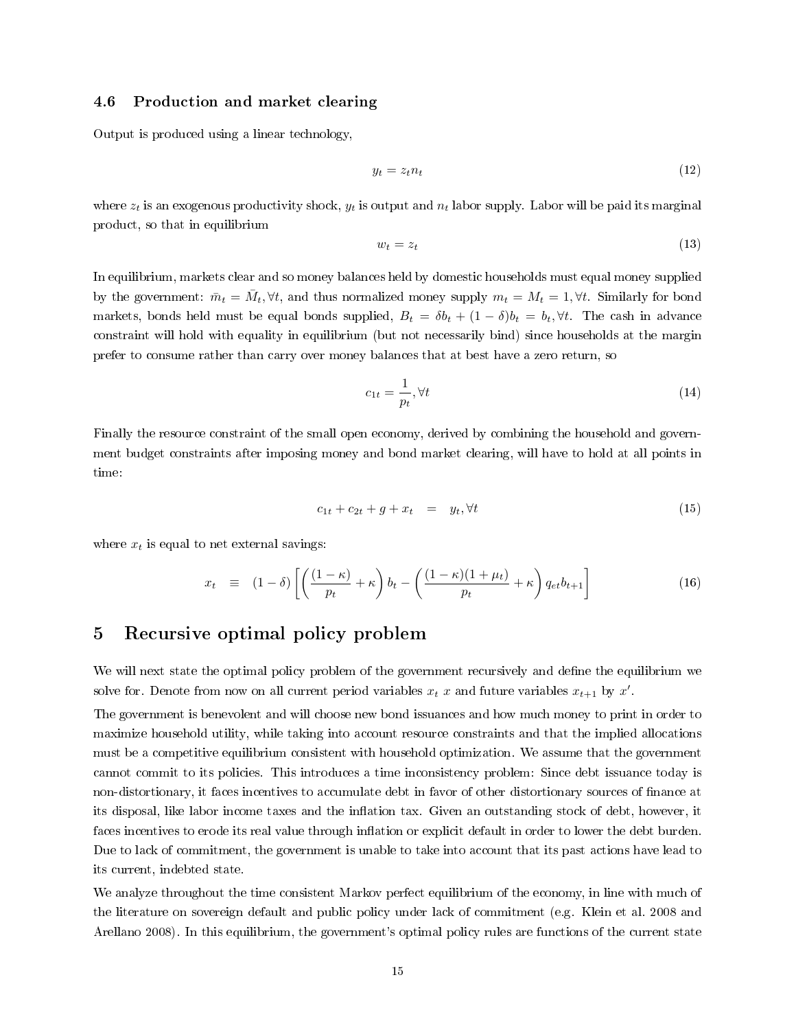#### <span id="page-14-2"></span>4.6 Production and market clearing

Output is produced using a linear technology,

$$
y_t = z_t n_t \tag{12}
$$

where  $z_t$  is an exogenous productivity shock,  $y_t$  is output and  $n_t$  labor supply. Labor will be paid its marginal product, so that in equilibrium

$$
w_t = z_t \tag{13}
$$

In equilibrium, markets clear and so money balances held by domestic households must equal money supplied by the government:  $\bar{m}_t = \bar{M}_t$ ,  $\forall t$ , and thus normalized money supply  $m_t = M_t = 1$ ,  $\forall t$ . Similarly for bond markets, bonds held must be equal bonds supplied,  $B_t = \delta b_t + (1 - \delta)b_t = b_t, \forall t$ . The cash in advance constraint will hold with equality in equilibrium (but not necessarily bind) since households at the margin prefer to consume rather than carry over money balances that at best have a zero return, so

<span id="page-14-0"></span>
$$
c_{1t} = \frac{1}{p_t}, \forall t \tag{14}
$$

Finally the resource constraint of the small open economy, derived by combining the household and government budget constraints after imposing money and bond market clearing, will have to hold at all points in time:

<span id="page-14-1"></span>
$$
c_{1t} + c_{2t} + g + x_t = y_t, \forall t \tag{15}
$$

where  $x_t$  is equal to net external savings:

<span id="page-14-3"></span>
$$
x_t \equiv (1 - \delta) \left[ \left( \frac{(1 - \kappa)}{p_t} + \kappa \right) b_t - \left( \frac{(1 - \kappa)(1 + \mu_t)}{p_t} + \kappa \right) q_{et} b_{t+1} \right]
$$
(16)

### 5 Recursive optimal policy problem

We will next state the optimal policy problem of the government recursively and define the equilibrium we solve for. Denote from now on all current period variables  $x_t$  x and future variables  $x_{t+1}$  by  $x'$ .

The government is benevolent and will choose new bond issuances and how much money to print in order to maximize household utility, while taking into account resource constraints and that the implied allocations must be a competitive equilibrium consistent with household optimization. We assume that the government cannot commit to its policies. This introduces a time inconsistency problem: Since debt issuance today is non-distortionary, it faces incentives to accumulate debt in favor of other distortionary sources of nance at its disposal, like labor income taxes and the inflation tax. Given an outstanding stock of debt, however, it faces incentives to erode its real value through inflation or explicit default in order to lower the debt burden. Due to lack of commitment, the government is unable to take into account that its past actions have lead to its current, indebted state.

We analyze throughout the time consistent Markov perfect equilibrium of the economy, in line with much of the literature on sovereign default and public policy under lack of commitment (e.g. [Klein et al. 2008](#page-35-0) and [Arellano 2008\)](#page-33-1). In this equilibrium, the government's optimal policy rules are functions of the current state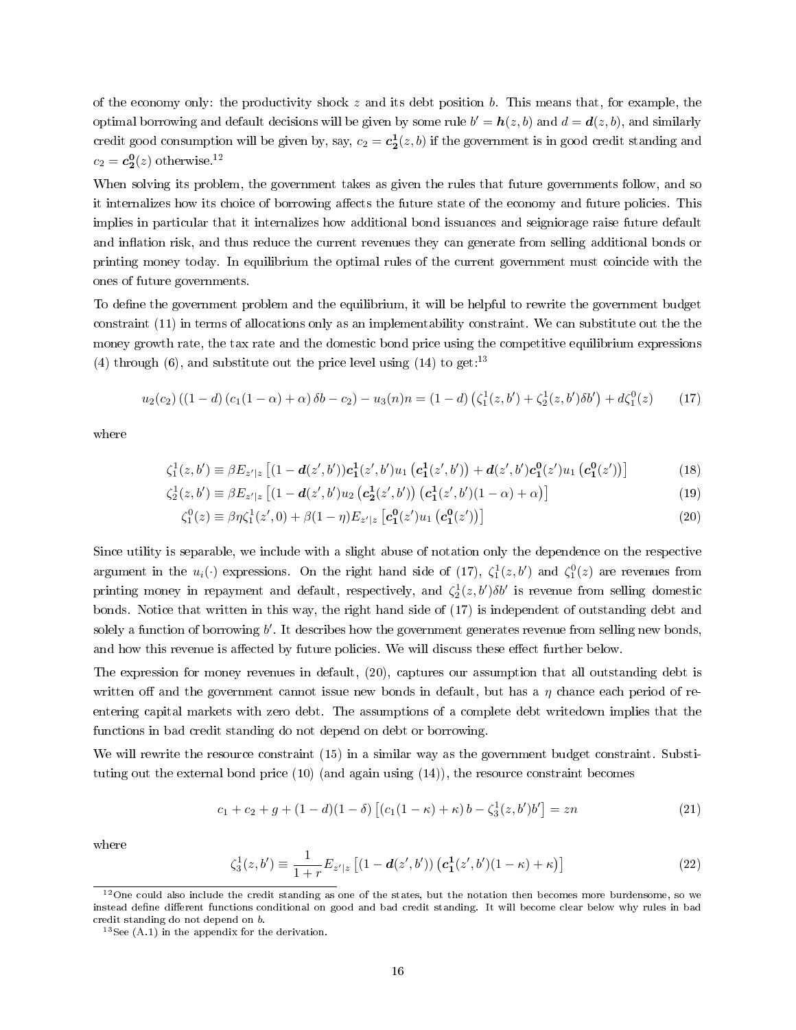of the economy only: the productivity shock z and its debt position b. This means that, for example, the optimal borrowing and default decisions will be given by some rule  $b' = \bm{h}(z, b)$  and  $d = \bm{d}(z, b)$ , and similarly credit good consumption will be given by, say,  $c_2 = c_2^1(z, b)$  if the government is in good credit standing and  $c_2 = \mathbf{c}_2^0(z)$  otherwise.<sup>[12](#page-15-0)</sup>

When solving its problem, the government takes as given the rules that future governments follow, and so it internalizes how its choice of borrowing affects the future state of the economy and future policies. This implies in particular that it internalizes how additional bond issuances and seigniorage raise future default and inflation risk, and thus reduce the current revenues they can generate from selling additional bonds or printing money today. In equilibrium the optimal rules of the current government must coincide with the ones of future governments.

To define the government problem and the equilibrium, it will be helpful to rewrite the government budget constraint [\(11\)](#page-13-2) in terms of allocations only as an implementability constraint. We can substitute out the the money growth rate, the tax rate and the domestic bond price using the competitive equilibrium expressions [\(4\)](#page-11-3) through [\(6\)](#page-11-3), and substitute out the price level using  $(14)$  to get:<sup>[13](#page-15-1)</sup>

<span id="page-15-2"></span>
$$
u_2(c_2)((1-d)(c_1(1-\alpha)+\alpha)\delta b - c_2) - u_3(n)n = (1-d)(\zeta_1^1(z,b') + \zeta_2^1(z,b')\delta b') + d\zeta_1^0(z)
$$
 (17)

where

$$
\zeta_1^1(z, b') \equiv \beta E_{z'|z} \left[ (1 - d(z', b')) c_1^1(z', b') u_1 \left( c_1^1(z', b') \right) + d(z', b') c_1^0(z') u_1 \left( c_1^0(z') \right) \right] \tag{18}
$$

$$
\zeta_2^1(z, b') \equiv \beta E_{z'|z} \left[ (1 - d(z', b')u_2 \left( c_2^1(z', b') \right) \left( c_1^1(z', b')(1 - \alpha) + \alpha \right) \right] \tag{19}
$$

<span id="page-15-6"></span><span id="page-15-5"></span><span id="page-15-3"></span>
$$
\zeta_1^0(z) \equiv \beta \eta \zeta_1^1(z',0) + \beta (1-\eta) E_{z'|z} \left[ c_1^0(z') u_1 \left( c_1^0(z') \right) \right] \tag{20}
$$

Since utility is separable, we include with a slight abuse of notation only the dependence on the respective argument in the  $u_i(\cdot)$  expressions. On the right hand side of [\(17\)](#page-15-2),  $\zeta_1^1(z, b')$  and  $\zeta_1^0(z)$  are revenues from printing money in repayment and default, respectively, and  $\zeta_2^1(z, b')\delta b'$  is revenue from selling domestic bonds. Notice that written in this way, the right hand side of [\(17\)](#page-15-2) is independent of outstanding debt and solely a function of borrowing  $b'$ . It describes how the government generates revenue from selling new bonds, and how this revenue is affected by future policies. We will discuss these effect further below.

The expression for money revenues in default, [\(20\)](#page-15-3), captures our assumption that all outstanding debt is written off and the government cannot issue new bonds in default, but has a  $\eta$  chance each period of reentering capital markets with zero debt. The assumptions of a complete debt writedown implies that the functions in bad credit standing do not depend on debt or borrowing.

We will rewrite the resource constraint [\(15\)](#page-14-1) in a similar way as the government budget constraint. Substituting out the external bond price  $(10)$  (and again using  $(14)$ ), the resource constraint becomes

<span id="page-15-4"></span>
$$
c_1 + c_2 + g + (1 - d)(1 - \delta) \left[ (c_1(1 - \kappa) + \kappa) b - \zeta_3^1(z, b')b' \right] = zn \tag{21}
$$

where

<span id="page-15-7"></span>
$$
\zeta_3^1(z, b') \equiv \frac{1}{1+r} E_{z'|z} \left[ (1 - d(z', b')) \left( c_1^1(z', b')(1 - \kappa) + \kappa \right) \right]
$$
(22)

<span id="page-15-0"></span> $12$ One could also include the credit standing as one of the states, but the notation then becomes more burdensome, so we instead define different functions conditional on good and bad credit standing. It will become clear below why rules in bad credit standing do not depend on b.

<span id="page-15-1"></span> $13$ See [\(A.1\)](#page-36-0) in the appendix for the derivation.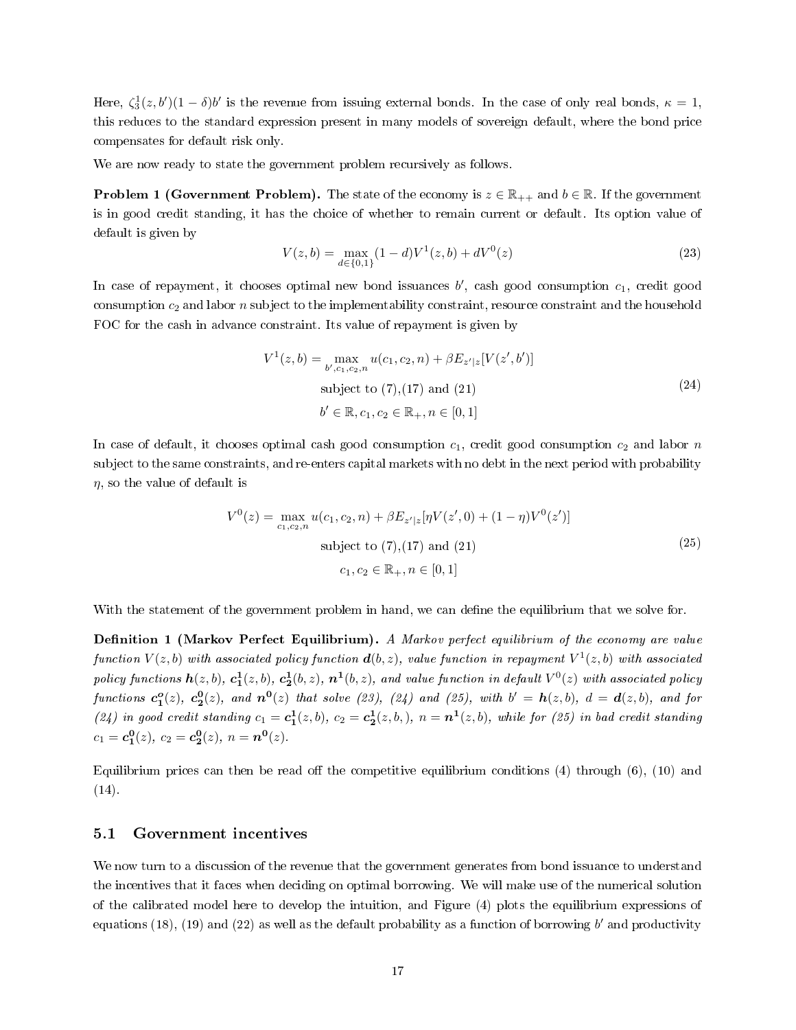Here,  $\zeta_3^1(z, b')(1 - \delta)b'$  is the revenue from issuing external bonds. In the case of only real bonds,  $\kappa = 1$ , this reduces to the standard expression present in many models of sovereign default, where the bond price compensates for default risk only.

We are now ready to state the government problem recursively as follows.

**Problem 1 (Government Problem).** The state of the economy is  $z \in \mathbb{R}_{++}$  and  $b \in \mathbb{R}$ . If the government is in good credit standing, it has the choice of whether to remain current or default. Its option value of default is given by

<span id="page-16-0"></span>
$$
V(z,b) = \max_{d \in \{0,1\}} (1-d)V^1(z,b) + dV^0(z)
$$
\n(23)

In case of repayment, it chooses optimal new bond issuances  $b'$ , cash good consumption  $c_1$ , credit good consumption  $c_2$  and labor n subject to the implementability constraint, resource constraint and the household FOC for the cash in advance constraint. Its value of repayment is given by

<span id="page-16-1"></span>
$$
V^{1}(z,b) = \max_{b',c_{1},c_{2},n} u(c_{1},c_{2},n) + \beta E_{z'|z}[V(z',b')]
$$
  
subject to (7),(17) and (21)  

$$
b' \in \mathbb{R}, c_{1}, c_{2} \in \mathbb{R}_{+}, n \in [0,1]
$$
 (24)

In case of default, it chooses optimal cash good consumption  $c_1$ , credit good consumption  $c_2$  and labor n subject to the same constraints, and re-enters capital markets with no debt in the next period with probability  $\eta$ , so the value of default is

<span id="page-16-2"></span>
$$
V^{0}(z) = \max_{c_{1}, c_{2}, n} u(c_{1}, c_{2}, n) + \beta E_{z'|z} [\eta V(z', 0) + (1 - \eta)V^{0}(z')] \text{subject to (7),(17) and (21)}
$$
\n
$$
c_{1}, c_{2} \in \mathbb{R}_{+}, n \in [0, 1]
$$
\n(25)

With the statement of the government problem in hand, we can define the equilibrium that we solve for.

**Definition 1 (Markov Perfect Equilibrium).** A Markov perfect equilibrium of the economy are value function  $V(z,b)$  with associated policy function  $\bm{d}(b,z),$  value function in repayment  $V^1(z,b)$  with associated policy functions  $\bm{h}(z,b)$ ,  $\bm{c_1^1}(z,b)$ ,  $\bm{c_2^1}(b,z)$ ,  $\bm{n^1}(b,z)$ , and value function in default  $V^0(z)$  with associated policy functions  $c_1^o(z)$ ,  $c_2^0(z)$ , and  $n^o(z)$  that solve [\(23\)](#page-16-0), [\(24\)](#page-16-1) and [\(25\)](#page-16-2), with  $b' = h(z, b)$ ,  $d = d(z, b)$ , and for [\(24\)](#page-16-1) in good credit standing  $c_1 = c_1^1(z, b)$ ,  $c_2 = c_2^1(z, b)$ ,  $n = n^1(z, b)$ , while for [\(25\)](#page-16-2) in bad credit standing  $c_1 = c_1^0(z), c_2 = c_2^0(z), n = n^0(z).$ 

Equilibrium prices can then be read off the competitive equilibrium conditions  $(4)$  through  $(6)$ ,  $(10)$  and  $(14).$  $(14).$ 

#### <span id="page-16-3"></span>5.1 Government incentives

We now turn to a discussion of the revenue that the government generates from bond issuance to understand the incentives that it faces when deciding on optimal borrowing. We will make use of the numerical solution of the calibrated model here to develop the intuition, and Figure [\(4\)](#page-17-0) plots the equilibrium expressions of equations  $(18)$ ,  $(19)$  and  $(22)$  as well as the default probability as a function of borrowing b' and productivity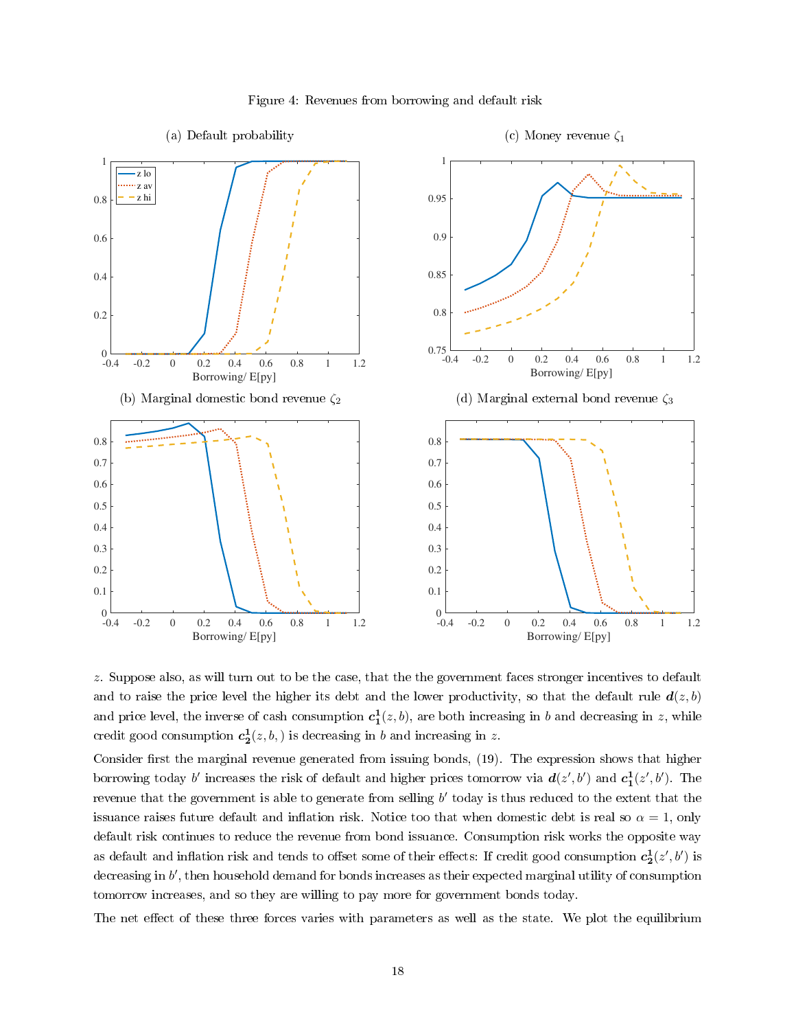<span id="page-17-0"></span>

#### Figure 4: Revenues from borrowing and default risk

z. Suppose also, as will turn out to be the case, that the the government faces stronger incentives to default and to raise the price level the higher its debt and the lower productivity, so that the default rule  $d(z, b)$ and price level, the inverse of cash consumption  $c_1^1(z,b)$ , are both increasing in  $b$  and decreasing in  $z$ , while credit good consumption  $c_2^1(z, b, )$  is decreasing in b and increasing in z.

Consider first the marginal revenue generated from issuing bonds, [\(19\)](#page-15-6). The expression shows that higher borrowing today b' increases the risk of default and higher prices tomorrow via  $d(z',b')$  and  $c_1^1(z',b')$ . The revenue that the government is able to generate from selling  $b'$  today is thus reduced to the extent that the issuance raises future default and inflation risk. Notice too that when domestic debt is real so  $\alpha = 1$ , only default risk continues to reduce the revenue from bond issuance. Consumption risk works the opposite way as default and inflation risk and tends to offset some of their effects: If credit good consumption  $c_2^1(z',b')$  is decreasing in  $b'$ , then household demand for bonds increases as their expected marginal utility of consumption tomorrow increases, and so they are willing to pay more for government bonds today.

The net effect of these three forces varies with parameters as well as the state. We plot the equilibrium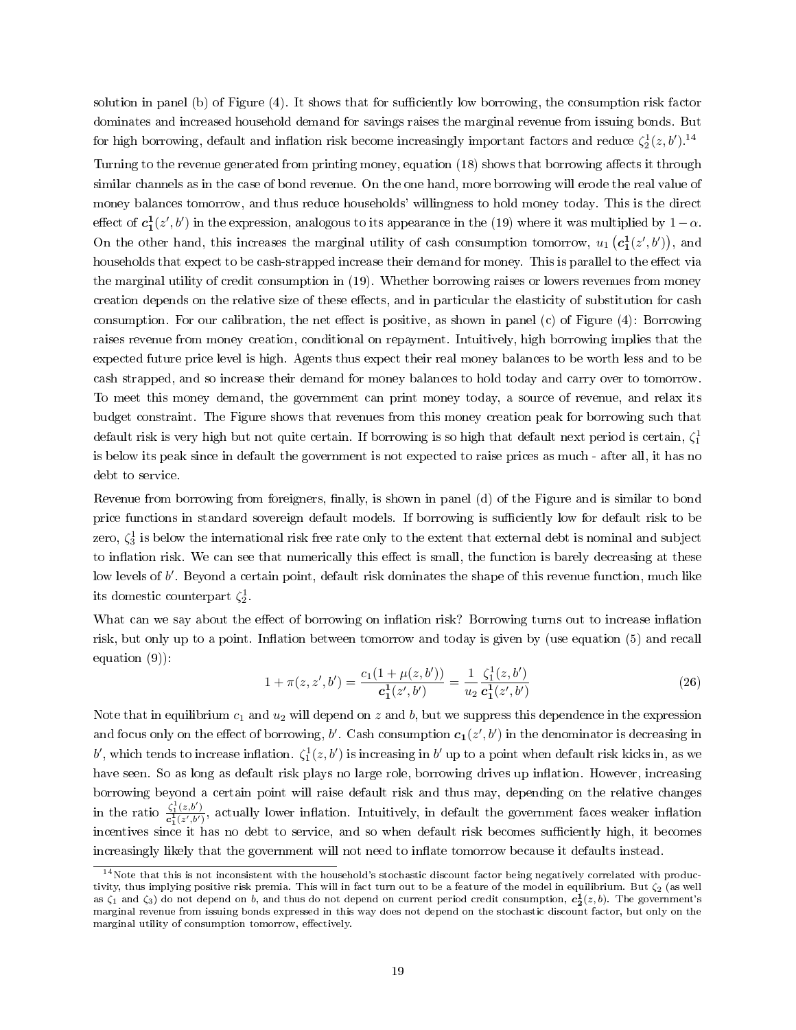dominates and increased household demand for savings raises the marginal revenue from issuing bonds. But for high borrowing, default and inflation risk become increasingly important factors and reduce  $\zeta_2^1(z,b')$ .<sup>[14](#page-18-0)</sup> Turning to the revenue generated from printing money, equation [\(18\)](#page-15-5) shows that borrowing affects it through similar channels as in the case of bond revenue. On the one hand, more borrowing will erode the real value of money balances tomorrow, and thus reduce households' willingness to hold money today. This is the direct effect of  $c_1^1(z',b')$  in the expression, analogous to its appearance in the [\(19\)](#page-15-6) where it was multiplied by  $1-\alpha$ . On the other hand, this increases the marginal utility of cash consumption tomorrow,  $u_1(c_1^1(z',b'))$ , and households that expect to be cash-strapped increase their demand for money. This is parallel to the effect via the marginal utility of credit consumption in [\(19\)](#page-15-6). Whether borrowing raises or lowers revenues from money creation depends on the relative size of these effects, and in particular the elasticity of substitution for cash consumption. For our calibration, the net effect is positive, as shown in panel (c) of Figure  $(4)$ : Borrowing raises revenue from money creation, conditional on repayment. Intuitively, high borrowing implies that the expected future price level is high. Agents thus expect their real money balances to be worth less and to be cash strapped, and so increase their demand for money balances to hold today and carry over to tomorrow. To meet this money demand, the government can print money today, a source of revenue, and relax its budget constraint. The Figure shows that revenues from this money creation peak for borrowing such that default risk is very high but not quite certain. If borrowing is so high that default next period is certain,  $\zeta_1^1$ is below its peak since in default the government is not expected to raise prices as much - after all, it has no debt to service.

solution in panel (b) of Figure  $(4)$ . It shows that for sufficiently low borrowing, the consumption risk factor

Revenue from borrowing from foreigners, finally, is shown in panel (d) of the Figure and is similar to bond price functions in standard sovereign default models. If borrowing is sufficiently low for default risk to be zero,  $\zeta_3^1$  is below the international risk free rate only to the extent that external debt is nominal and subject to inflation risk. We can see that numerically this effect is small, the function is barely decreasing at these low levels of  $b'$ . Beyond a certain point, default risk dominates the shape of this revenue function, much like its domestic counterpart  $\zeta_2^1$ .

What can we say about the effect of borrowing on inflation risk? Borrowing turns out to increase inflation risk, but only up to a point. Inflation between tomorrow and today is given by (use equation [\(5\)](#page-11-3) and recall equation [\(9\)](#page-12-3)):

<span id="page-18-1"></span>
$$
1 + \pi(z, z', b') = \frac{c_1(1 + \mu(z, b'))}{c_1^1(z', b')} = \frac{1}{u_2} \frac{\zeta_1^1(z, b')}{c_1^1(z', b')}
$$
\n(26)

Note that in equilibrium  $c_1$  and  $u_2$  will depend on z and b, but we suppress this dependence in the expression and focus only on the effect of borrowing,  $b'$ . Cash consumption  $\bm{c_1}(z',b')$  in the denominator is decreasing in b', which tends to increase inflation.  $\zeta_1^1(z,b')$  is increasing in b' up to a point when default risk kicks in, as we have seen. So as long as default risk plays no large role, borrowing drives up inflation. However, increasing borrowing beyond a certain point will raise default risk and thus may, depending on the relative changes in the ratio  $\frac{\zeta_1^1(z,b')}{\zeta_1^1(z',b')}$  $\frac{\zeta_1(z,0)}{c_1^1(z',b')}$ , actually lower inflation. Intuitively, in default the government faces weaker inflation incentives since it has no debt to service, and so when default risk becomes sufficiently high, it becomes increasingly likely that the government will not need to inflate tomorrow because it defaults instead.

<span id="page-18-0"></span><sup>&</sup>lt;sup>14</sup>Note that this is not inconsistent with the household's stochastic discount factor being negatively correlated with productivity, thus implying positive risk premia. This will in fact turn out to be a feature of the model in equilibrium. But  $\zeta_2$  (as well as  $\zeta_1$  and  $\zeta_3$ ) do not depend on  $b$ , and thus do not depend on current period credit consumption,  $c_2^1(z,b)$ . The government's marginal revenue from issuing bonds expressed in this way does not depend on the stochastic discount factor, but only on the marginal utility of consumption tomorrow, effectively.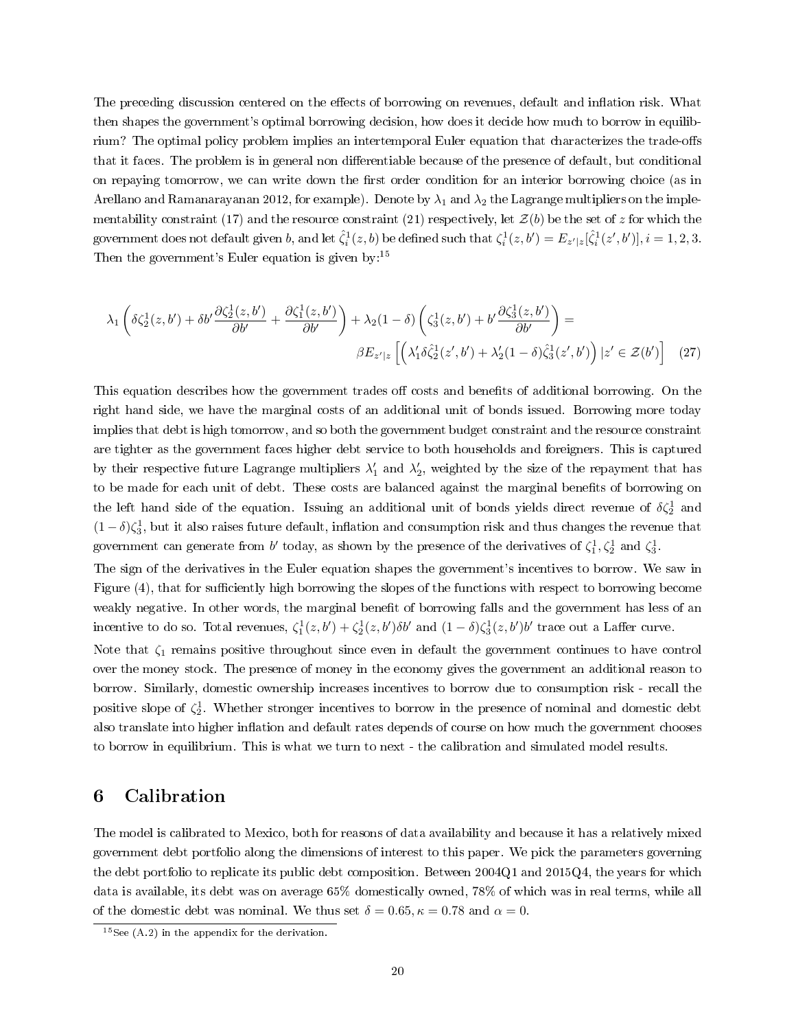<span id="page-19-1"></span>The preceding discussion centered on the effects of borrowing on revenues, default and inflation risk. What then shapes the government's optimal borrowing decision, how does it decide how much to borrow in equilibrium? The optimal policy problem implies an intertemporal Euler equation that characterizes the trade-offs that it faces. The problem is in general non differentiable because of the presence of default, but conditional on repaying tomorrow, we can write down the first order condition for an interior borrowing choice (as in [Arellano and Ramanarayanan 2012,](#page-33-14) for example). Denote by  $\lambda_1$  and  $\lambda_2$  the Lagrange multipliers on the imple-mentability constraint [\(17\)](#page-15-2) and the resource constraint [\(21\)](#page-15-4) respectively, let  $\mathcal{Z}(b)$  be the set of z for which the government does not default given b, and let  $\hat{\zeta}_i^1(z,b)$  be defined such that  $\zeta_i^1(z,b')=E_{z'|z}[\hat{\zeta}_i^1(z',b')], i=1,2,3.$ Then the government's Euler equation is given by:<sup>[15](#page-19-0)</sup>

<span id="page-19-2"></span>
$$
\lambda_1 \left( \delta \zeta_2^1(z, b') + \delta b' \frac{\partial \zeta_2^1(z, b')}{\partial b'} + \frac{\partial \zeta_1^1(z, b')}{\partial b'} \right) + \lambda_2 (1 - \delta) \left( \zeta_3^1(z, b') + b' \frac{\partial \zeta_3^1(z, b')}{\partial b'} \right) =
$$
  

$$
\beta E_{z'|z} \left[ \left( \lambda_1' \delta \zeta_2^1(z', b') + \lambda_2' (1 - \delta) \zeta_3^1(z', b') \right) | z' \in \mathcal{Z}(b') \right] \tag{27}
$$

This equation describes how the government trades of costs and benefits of additional borrowing. On the right hand side, we have the marginal costs of an additional unit of bonds issued. Borrowing more today implies that debt is high tomorrow, and so both the government budget constraint and the resource constraint are tighter as the government faces higher debt service to both households and foreigners. This is captured by their respective future Lagrange multipliers  $\lambda'_1$  and  $\lambda'_2$ , weighted by the size of the repayment that has to be made for each unit of debt. These costs are balanced against the marginal benets of borrowing on the left hand side of the equation. Issuing an additional unit of bonds yields direct revenue of  $\delta \zeta_2^1$  and  $(1-\delta)\zeta_3^1$ , but it also raises future default, inflation and consumption risk and thus changes the revenue that government can generate from b' today, as shown by the presence of the derivatives of  $\zeta_1^1, \zeta_2^1$  and  $\zeta_3^1$ .

The sign of the derivatives in the Euler equation shapes the government's incentives to borrow. We saw in Figure [\(4\)](#page-17-0), that for sufficiently high borrowing the slopes of the functions with respect to borrowing become weakly negative. In other words, the marginal benefit of borrowing falls and the government has less of an incentive to do so. Total revenues,  $\zeta_1^1(z, b') + \zeta_2^1(z, b') \delta b'$  and  $(1 - \delta) \zeta_3^1(z, b') b'$  trace out a Laffer curve.

Note that  $\zeta_1$  remains positive throughout since even in default the government continues to have control over the money stock. The presence of money in the economy gives the government an additional reason to borrow. Similarly, domestic ownership increases incentives to borrow due to consumption risk - recall the positive slope of  $\zeta_2^1$ . Whether stronger incentives to borrow in the presence of nominal and domestic debt also translate into higher inflation and default rates depends of course on how much the government chooses to borrow in equilibrium. This is what we turn to next - the calibration and simulated model results.

### 6 Calibration

The model is calibrated to Mexico, both for reasons of data availability and because it has a relatively mixed government debt portfolio along the dimensions of interest to this paper. We pick the parameters governing the debt portfolio to replicate its public debt composition. Between 2004Q1 and 2015Q4, the years for which data is available, its debt was on average 65% domestically owned, 78% of which was in real terms, while all of the domestic debt was nominal. We thus set  $\delta = 0.65, \kappa = 0.78$  and  $\alpha = 0$ .

<span id="page-19-0"></span> $15$ See [\(A.2\)](#page-36-1) in the appendix for the derivation.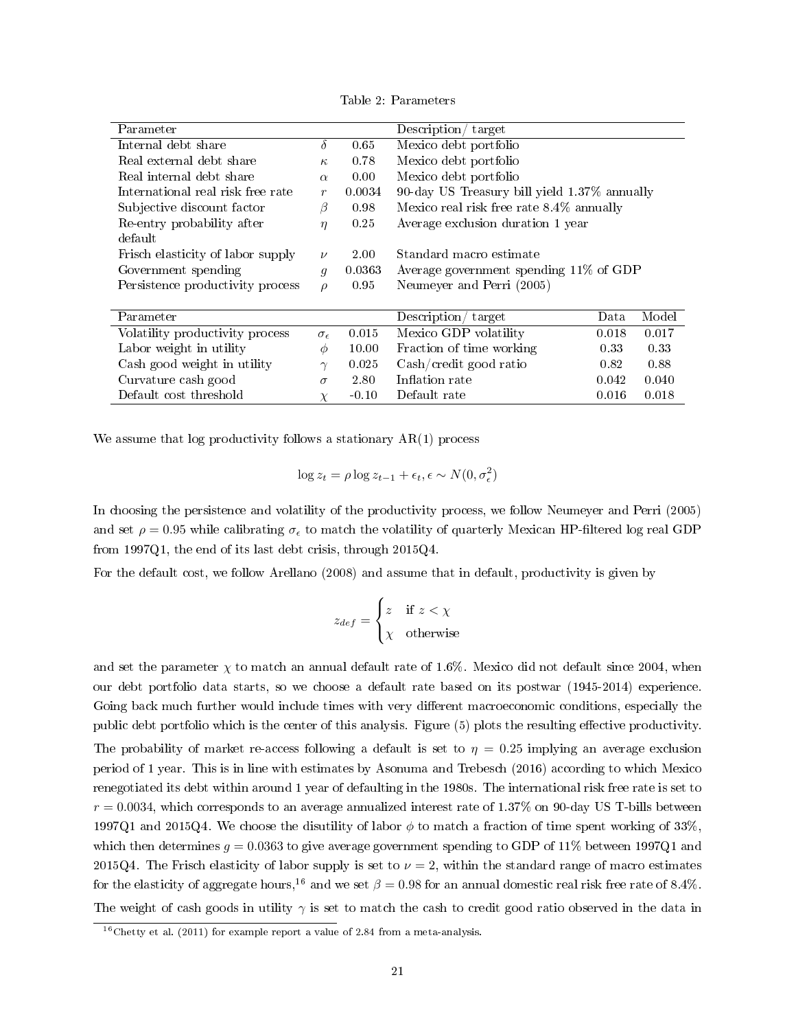<span id="page-20-2"></span><span id="page-20-1"></span>

| Description/ target<br>Parameter  |                     |                |                                              |       |       |  |
|-----------------------------------|---------------------|----------------|----------------------------------------------|-------|-------|--|
| Internal debt share               | $\delta$            | 0.65           | Mexico debt portfolio                        |       |       |  |
| Real external debt share          | $\kappa$            | 0.78           | Mexico debt portfolio                        |       |       |  |
| Real internal debt share          | $\alpha$            | $0.00^{\circ}$ | Mexico debt portfolio                        |       |       |  |
| International real risk free rate | $\boldsymbol{r}$    | 0.0034         | 90-day US Treasury bill yield 1.37% annually |       |       |  |
| Subjective discount factor        | ß                   | 0.98           | Mexico real risk free rate 8.4% annually     |       |       |  |
| Re-entry probability after        | $\eta$              | 0.25           | Average exclusion duration 1 year            |       |       |  |
| default                           |                     |                |                                              |       |       |  |
| Frisch elasticity of labor supply | $\nu$               | 2.00           | Standard macro estimate                      |       |       |  |
| Government spending               | $\overline{q}$      | 0.0363         | Average government spending 11% of GDP       |       |       |  |
| Persistence productivity process  | $\rho$              | 0.95           | Neumeyer and Perri (2005)                    |       |       |  |
|                                   |                     |                |                                              |       |       |  |
| Parameter                         |                     |                | Description/<br>target                       | Data  | Model |  |
| Volatility productivity process   | $\sigma_{\epsilon}$ | 0.015          | Mexico GDP volatility                        | 0.018 | 0.017 |  |
| Labor weight in utility           | $\phi$              | 10.00          | Fraction of time working                     | 0.33  | 0.33  |  |
| Cash good weight in utility       | $\gamma$            | 0.025          | Cash/credit good ratio<br>0.88<br>0.82       |       |       |  |
| Curvature cash good               | $\sigma$            | 2.80           | Inflation rate<br>0.040<br>0.042             |       |       |  |
| Default cost threshold            | $\chi$              | $-0.10$        | Default rate<br>0.016<br>0.018               |       |       |  |

Table 2: Parameters

We assume that  $log$  productivity follows a stationary  $AR(1)$  process

$$
\log z_t = \rho \log z_{t-1} + \epsilon_t, \epsilon \sim N(0, \sigma_{\epsilon}^2)
$$

In choosing the persistence and volatility of the productivity process, we follow [Neumeyer and Perri](#page-35-16) [\(2005\)](#page-35-16) and set  $\rho = 0.95$  while calibrating  $\sigma_{\epsilon}$  to match the volatility of quarterly Mexican HP-filtered log real GDP from 1997Q1, the end of its last debt crisis, through 2015Q4.

For the default cost, we follow [Arellano](#page-33-1) [\(2008\)](#page-33-1) and assume that in default, productivity is given by

$$
z_{def} = \begin{cases} z & \text{if } z < \chi \\ \chi & \text{otherwise} \end{cases}
$$

and set the parameter  $\chi$  to match an annual default rate of 1.6%. Mexico did not default since 2004, when our debt portfolio data starts, so we choose a default rate based on its postwar (1945-2014) experience. Going back much further would include times with very different macroeconomic conditions, especially the public debt portfolio which is the center of this analysis. Figure [\(5\)](#page-21-0) plots the resulting effective productivity. The probability of market re-access following a default is set to  $\eta = 0.25$  implying an average exclusion period of 1 year. This is in line with estimates by [Asonuma and Trebesch](#page-33-15) [\(2016\)](#page-33-15) according to which Mexico renegotiated its debt within around 1 year of defaulting in the 1980s. The international risk free rate is set to  $r = 0.0034$ , which corresponds to an average annualized interest rate of 1.37% on 90-day US T-bills between 1997Q1 and 2015Q4. We choose the disutility of labor  $\phi$  to match a fraction of time spent working of 33%. which then determines  $g = 0.0363$  to give average government spending to GDP of 11% between 1997Q1 and 2015Q4. The Frisch elasticity of labor supply is set to  $\nu = 2$ , within the standard range of macro estimates for the elasticity of aggregate hours,<sup>[16](#page-20-0)</sup> and we set  $\beta = 0.98$  for an annual domestic real risk free rate of 8.4%. The weight of cash goods in utility  $\gamma$  is set to match the cash to credit good ratio observed in the data in

<span id="page-20-0"></span><sup>&</sup>lt;sup>16</sup>[Chetty et al.](#page-34-17) [\(2011\)](#page-34-17) for example report a value of 2.84 from a meta-analysis.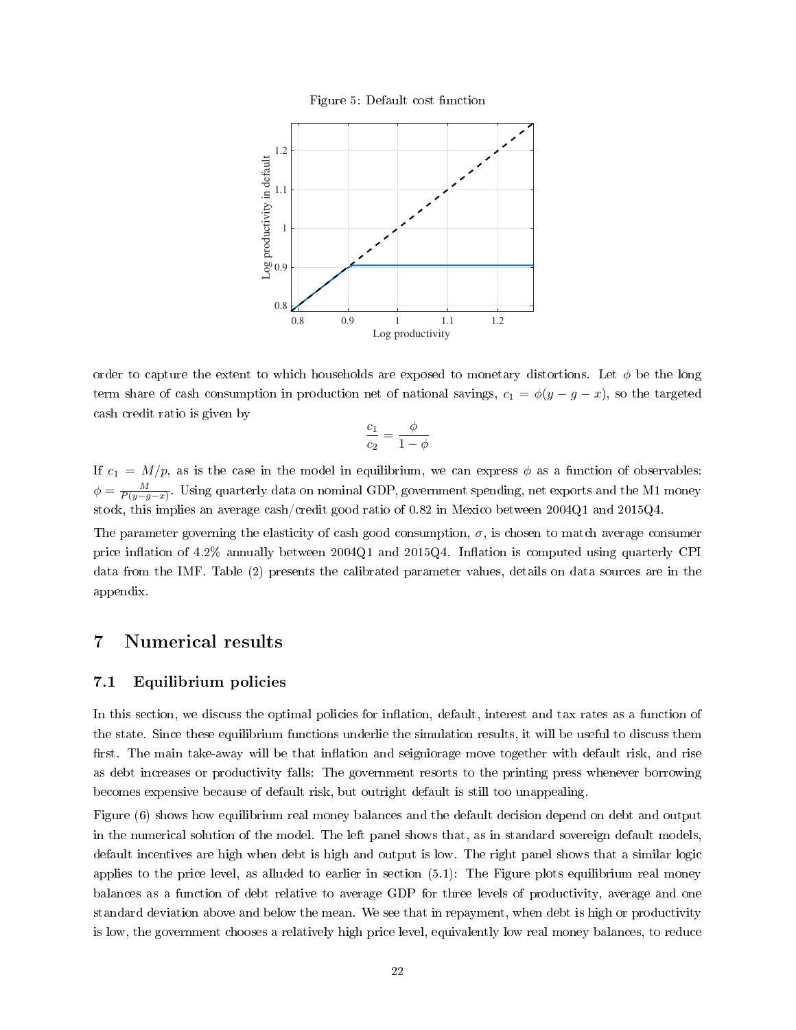

<span id="page-21-0"></span>

order to capture the extent to which households are exposed to monetary distortions. Let  $\phi$  be the long term share of cash consumption in production net of national savings,  $c_1 = \phi(y - g - x)$ , so the targeted cash credit ratio is given by

$$
\frac{c_1}{c_2} = \frac{\phi}{1 - \phi}
$$

If  $c_1 = M/p$ , as is the case in the model in equilibrium, we can express  $\phi$  as a function of observables:  $\phi = \frac{M}{P(y-g-x)}$ . Using quarterly data on nominal GDP, government spending, net exports and the M1 money stock, this implies an average cash/credit good ratio of 0.82 in Mexico between 2004Q1 and 2015Q4.

The parameter governing the elasticity of cash good consumption,  $\sigma$ , is chosen to match average consumer price inflation of  $4.2\%$  annually between  $2004Q1$  and  $2015Q4$ . Inflation is computed using quarterly CPI data from the IMF. Table [\(2\)](#page-20-1) presents the calibrated parameter values, details on data sources are in the appendix.

## 7 Numerical results

#### 7.1 Equilibrium policies

In this section, we discuss the optimal policies for inflation, default, interest and tax rates as a function of the state. Since these equilibrium functions underlie the simulation results, it will be useful to discuss them first. The main take-away will be that inflation and seigniorage move together with default risk, and rise as debt increases or productivity falls: The government resorts to the printing press whenever borrowing becomes expensive because of default risk, but outright default is still too unappealing.

Figure [\(6\)](#page-22-0) shows how equilibrium real money balances and the default decision depend on debt and output in the numerical solution of the model. The left panel shows that, as in standard sovereign default models, default incentives are high when debt is high and output is low. The right panel shows that a similar logic applies to the price level, as alluded to earlier in section [\(5.1\)](#page-16-3): The Figure plots equilibrium real money balances as a function of debt relative to average GDP for three levels of productivity, average and one standard deviation above and below the mean. We see that in repayment, when debt is high or productivity is low, the government chooses a relatively high price level, equivalently low real money balances, to reduce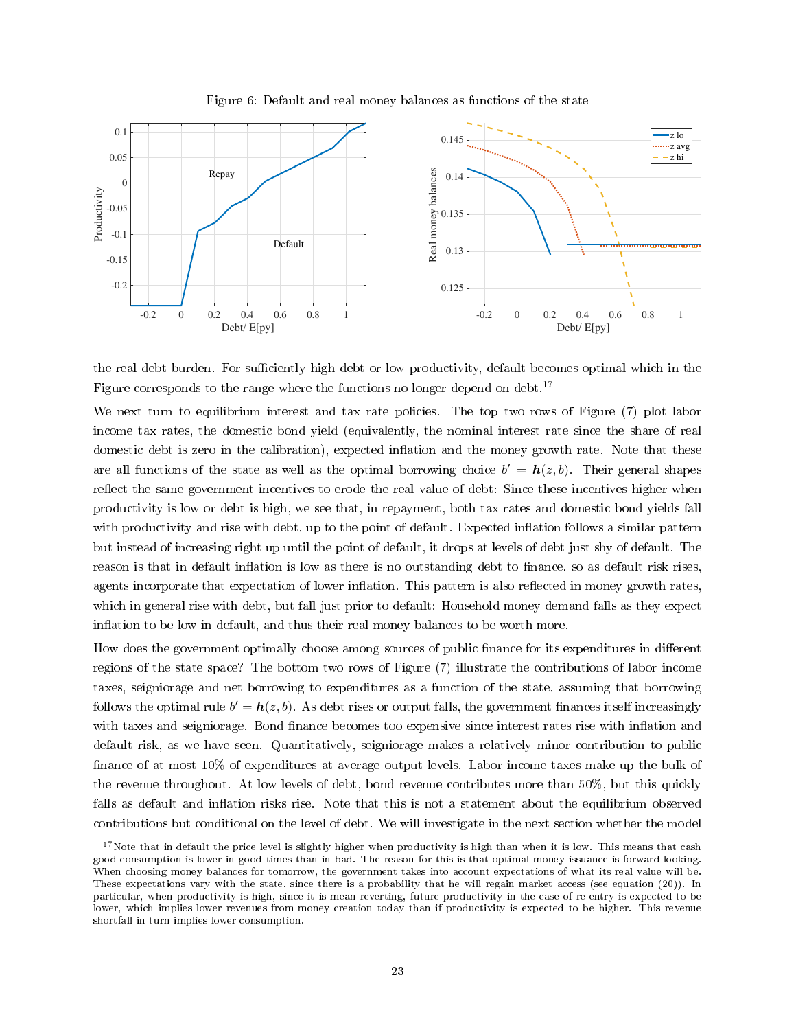<span id="page-22-0"></span>

Figure 6: Default and real money balances as functions of the state

the real debt burden. For sufficiently high debt or low productivity, default becomes optimal which in the Figure corresponds to the range where the functions no longer depend on debt.<sup>[17](#page-22-1)</sup>

We next turn to equilibrium interest and tax rate policies. The top two rows of Figure [\(7\)](#page-23-0) plot labor income tax rates, the domestic bond yield (equivalently, the nominal interest rate since the share of real domestic debt is zero in the calibration), expected inflation and the money growth rate. Note that these are all functions of the state as well as the optimal borrowing choice  $b' = h(z, b)$ . Their general shapes reflect the same government incentives to erode the real value of debt: Since these incentives higher when productivity is low or debt is high, we see that, in repayment, both tax rates and domestic bond yields fall with productivity and rise with debt, up to the point of default. Expected inflation follows a similar pattern but instead of increasing right up until the point of default, it drops at levels of debt just shy of default. The reason is that in default inflation is low as there is no outstanding debt to finance, so as default risk rises, agents incorporate that expectation of lower inflation. This pattern is also reflected in money growth rates, which in general rise with debt, but fall just prior to default: Household money demand falls as they expect inflation to be low in default, and thus their real money balances to be worth more.

How does the government optimally choose among sources of public finance for its expenditures in different regions of the state space? The bottom two rows of Figure [\(7\)](#page-23-0) illustrate the contributions of labor income taxes, seigniorage and net borrowing to expenditures as a function of the state, assuming that borrowing follows the optimal rule  $b' = h(z, b)$ . As debt rises or output falls, the government finances itself increasingly with taxes and seigniorage. Bond finance becomes too expensive since interest rates rise with inflation and default risk, as we have seen. Quantitatively, seigniorage makes a relatively minor contribution to public finance of at most 10% of expenditures at average output levels. Labor income taxes make up the bulk of the revenue throughout. At low levels of debt, bond revenue contributes more than 50%, but this quickly falls as default and inflation risks rise. Note that this is not a statement about the equilibrium observed contributions but conditional on the level of debt. We will investigate in the next section whether the model

<span id="page-22-1"></span> $17$  Note that in default the price level is slightly higher when productivity is high than when it is low. This means that cash good consumption is lower in good times than in bad. The reason for this is that optimal money issuance is forward-looking. When choosing money balances for tomorrow, the government takes into account expectations of what its real value will be. These expectations vary with the state, since there is a probability that he will regain market access (see equation [\(20\)](#page-15-3)). In particular, when productivity is high, since it is mean reverting, future productivity in the case of re-entry is expected to be lower, which implies lower revenues from money creation today than if productivity is expected to be higher. This revenue shortfall in turn implies lower consumption.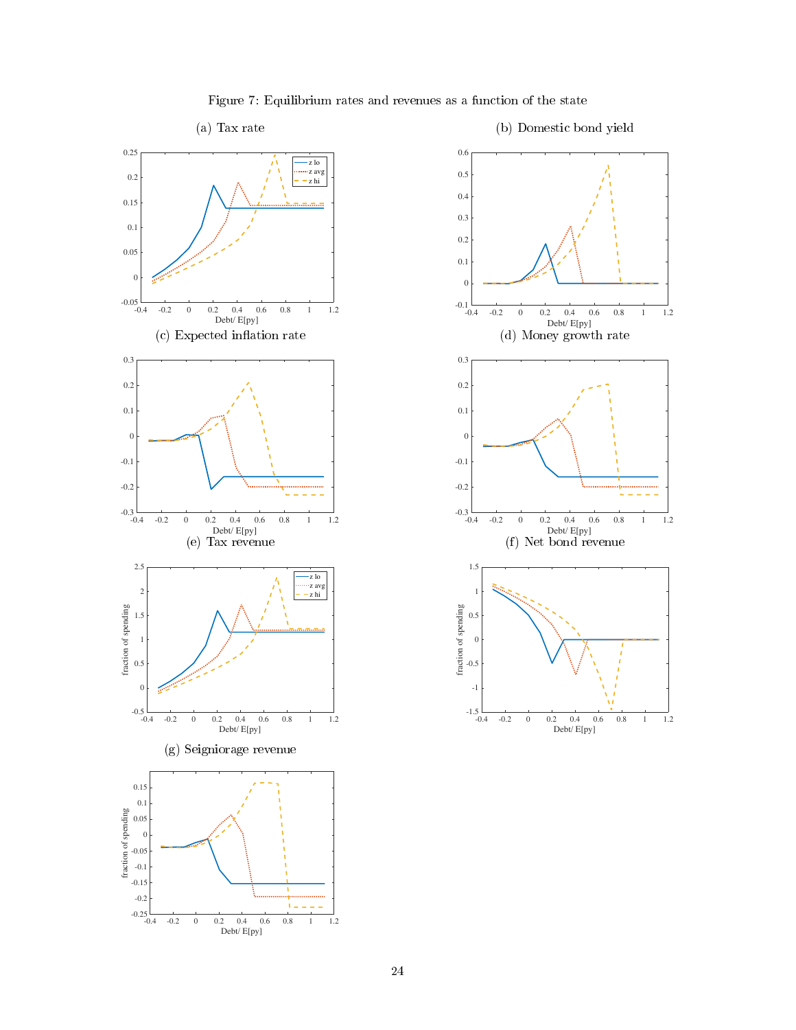<span id="page-23-0"></span>



Figure 7: Equilibrium rates and revenues as a function of the state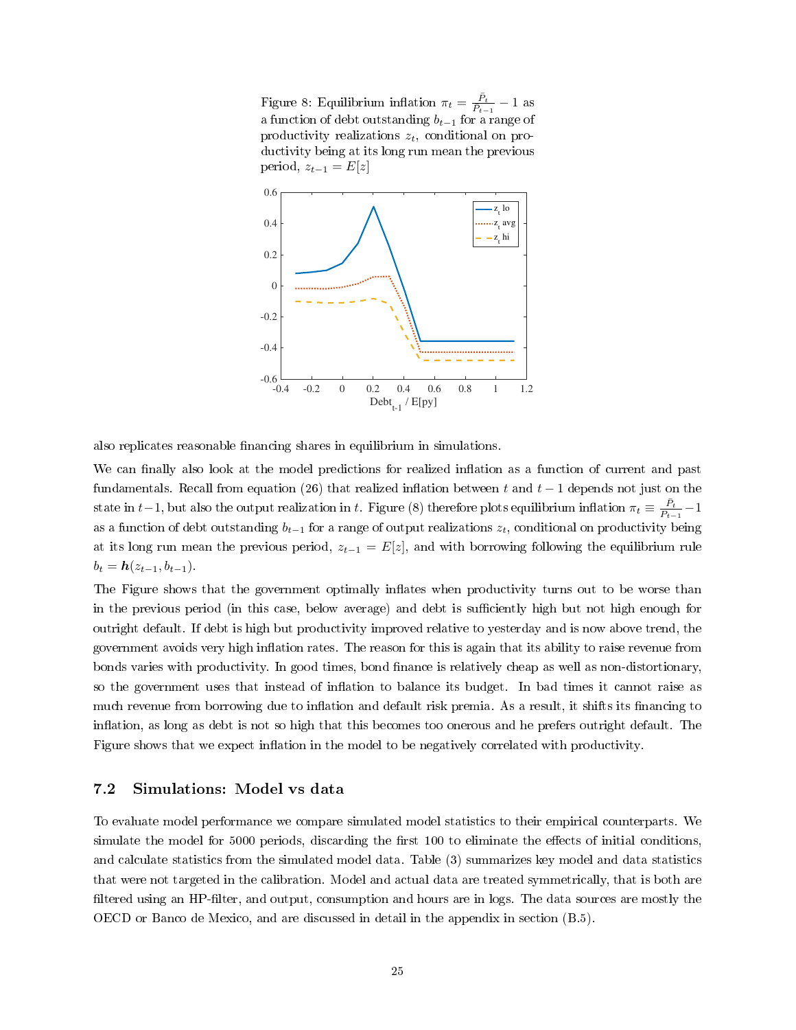<span id="page-24-0"></span>Figure 8: Equilibrium inflation  $\pi_t = \frac{\bar{P}_t}{\bar{P}_{t-1}} - 1$  as a function of debt outstanding  $b_{t-1}$  for a range of productivity realizations  $z_t$ , conditional on productivity being at its long run mean the previous period,  $z_{t-1} = E[z]$ 



also replicates reasonable financing shares in equilibrium in simulations.

We can finally also look at the model predictions for realized inflation as a function of current and past fundamentals. Recall from equation [\(26\)](#page-18-1) that realized inflation between t and  $t-1$  depends not just on the state in t−1, but also the output realization in t. Figure [\(8\)](#page-24-0) therefore plots equilibrium inflation  $\pi_t \equiv \frac{\bar{P}_t}{\bar{P}_{t-1}} - 1$ as a function of debt outstanding  $b_{t-1}$  for a range of output realizations  $z_t$ , conditional on productivity being at its long run mean the previous period,  $z_{t-1} = E[z]$ , and with borrowing following the equilibrium rule  $b_t = h(z_{t-1}, b_{t-1}).$ 

The Figure shows that the government optimally inflates when productivity turns out to be worse than in the previous period (in this case, below average) and debt is sufficiently high but not high enough for outright default. If debt is high but productivity improved relative to yesterday and is now above trend, the government avoids very high inflation rates. The reason for this is again that its ability to raise revenue from bonds varies with productivity. In good times, bond finance is relatively cheap as well as non-distortionary, so the government uses that instead of inflation to balance its budget. In bad times it cannot raise as much revenue from borrowing due to inflation and default risk premia. As a result, it shifts its financing to inflation, as long as debt is not so high that this becomes too onerous and he prefers outright default. The Figure shows that we expect inflation in the model to be negatively correlated with productivity.

#### 7.2 Simulations: Model vs data

To evaluate model performance we compare simulated model statistics to their empirical counterparts. We simulate the model for 5000 periods, discarding the first 100 to eliminate the effects of initial conditions. and calculate statistics from the simulated model data. Table [\(3\)](#page-25-0) summarizes key model and data statistics that were not targeted in the calibration. Model and actual data are treated symmetrically, that is both are filtered using an HP-filter, and output, consumption and hours are in logs. The data sources are mostly the OECD or Banco de Mexico, and are discussed in detail in the appendix in section [\(B.5\)](#page-39-0).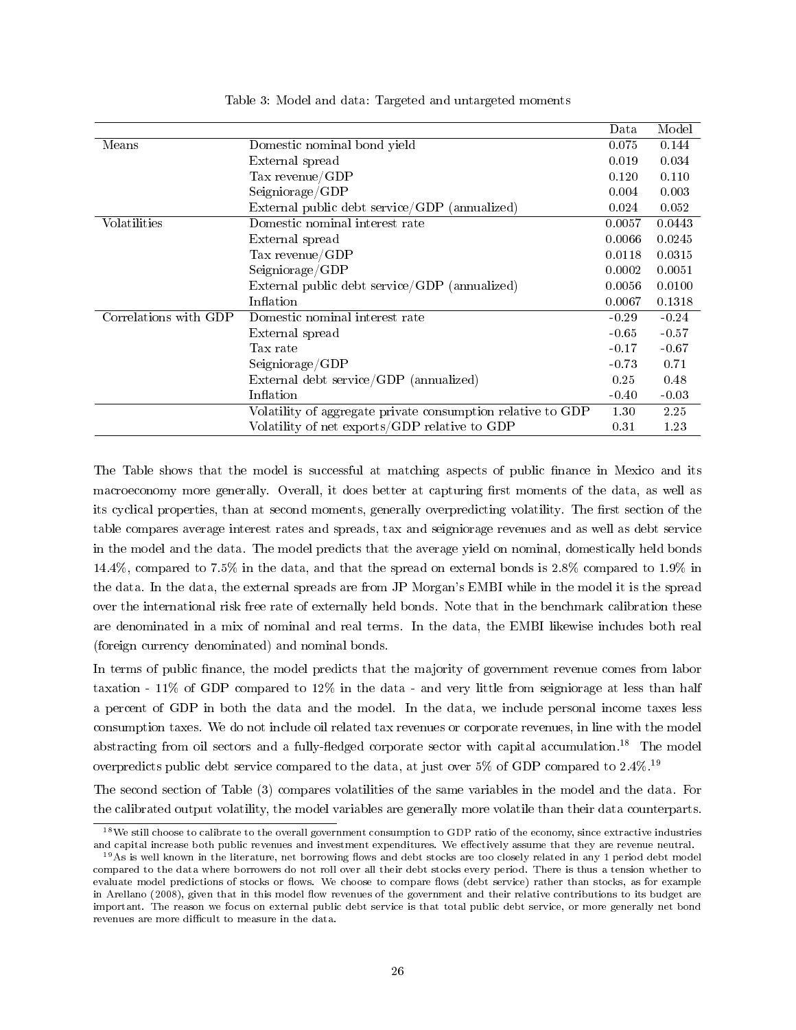<span id="page-25-3"></span><span id="page-25-0"></span>

|                       |                                                             | Data    | Model   |
|-----------------------|-------------------------------------------------------------|---------|---------|
| Means                 | Domestic nominal bond yield                                 | 0.075   | 0.144   |
|                       | External spread                                             | 0.019   | 0.034   |
|                       | Tax revenue/GDP                                             | 0.120   | 0.110   |
|                       | Seigniorage/GDP                                             | 0.004   | 0.003   |
|                       | External public debt service/GDP (annualized)               | 0.024   | 0.052   |
| Volatilities          | Domestic nominal interest rate                              | 0.0057  | 0.0443  |
|                       | External spread                                             | 0.0066  | 0.0245  |
|                       | Tax revenue/ $GDP$                                          | 0.0118  | 0.0315  |
|                       | Seigniorage/GDP                                             | 0.0002  | 0.0051  |
|                       | External public debt service/GDP (annualized)               | 0.0056  | 0.0100  |
|                       | Inflation                                                   | 0.0067  | 0.1318  |
| Correlations with GDP | Domestic nominal interest rate                              | $-0.29$ | $-0.24$ |
|                       | External spread                                             | $-0.65$ | $-0.57$ |
|                       | Tax rate                                                    | $-0.17$ | $-0.67$ |
|                       | Seigniorage/GDP                                             | $-0.73$ | 0.71    |
|                       | External debt service/GDP (annualized)                      | 0.25    | 0.48    |
|                       | Inflation                                                   | $-0.40$ | $-0.03$ |
|                       | Volatility of aggregate private consumption relative to GDP | 1.30    | 2.25    |
|                       | Volatility of net exports/GDP relative to GDP               | 0.31    | 1.23    |
|                       |                                                             |         |         |

Table 3: Model and data: Targeted and untargeted moments

The Table shows that the model is successful at matching aspects of public finance in Mexico and its macroeconomy more generally. Overall, it does better at capturing first moments of the data, as well as its cyclical properties, than at second moments, generally overpredicting volatility. The first section of the table compares average interest rates and spreads, tax and seigniorage revenues and as well as debt service in the model and the data. The model predicts that the average yield on nominal, domestically held bonds 14.4%, compared to 7.5% in the data, and that the spread on external bonds is 2.8% compared to 1.9% in the data. In the data, the external spreads are from JP Morgan's EMBI while in the model it is the spread over the international risk free rate of externally held bonds. Note that in the benchmark calibration these are denominated in a mix of nominal and real terms. In the data, the EMBI likewise includes both real (foreign currency denominated) and nominal bonds.

In terms of public finance, the model predicts that the majority of government revenue comes from labor taxation - 11% of GDP compared to 12% in the data - and very little from seigniorage at less than half a percent of GDP in both the data and the model. In the data, we include personal income taxes less consumption taxes. We do not include oil related tax revenues or corporate revenues, in line with the model abstracting from oil sectors and a fully-fledged corporate sector with capital accumulation.<sup>[18](#page-25-1)</sup> The model overpredicts public debt service compared to the data, at just over 5% of GDP compared to 2.4%.[19](#page-25-2)

The second section of Table [\(3\)](#page-25-0) compares volatilities of the same variables in the model and the data. For the calibrated output volatility, the model variables are generally more volatile than their data counterparts.

<span id="page-25-1"></span> $18$ We still choose to calibrate to the overall government consumption to GDP ratio of the economy, since extractive industries and capital increase both public revenues and investment expenditures. We effectively assume that they are revenue neutral.

<span id="page-25-2"></span> $19As$  is well known in the literature, net borrowing flows and debt stocks are too closely related in any 1 period debt model compared to the data where borrowers do not roll over all their debt stocks every period. There is thus a tension whether to evaluate model predictions of stocks or flows. We choose to compare flows (debt service) rather than stocks, as for example in [Arellano](#page-33-1) [\(2008\)](#page-33-1), given that in this model flow revenues of the government and their relative contributions to its budget are important. The reason we focus on external public debt service is that total public debt service, or more generally net bond revenues are more difficult to measure in the data.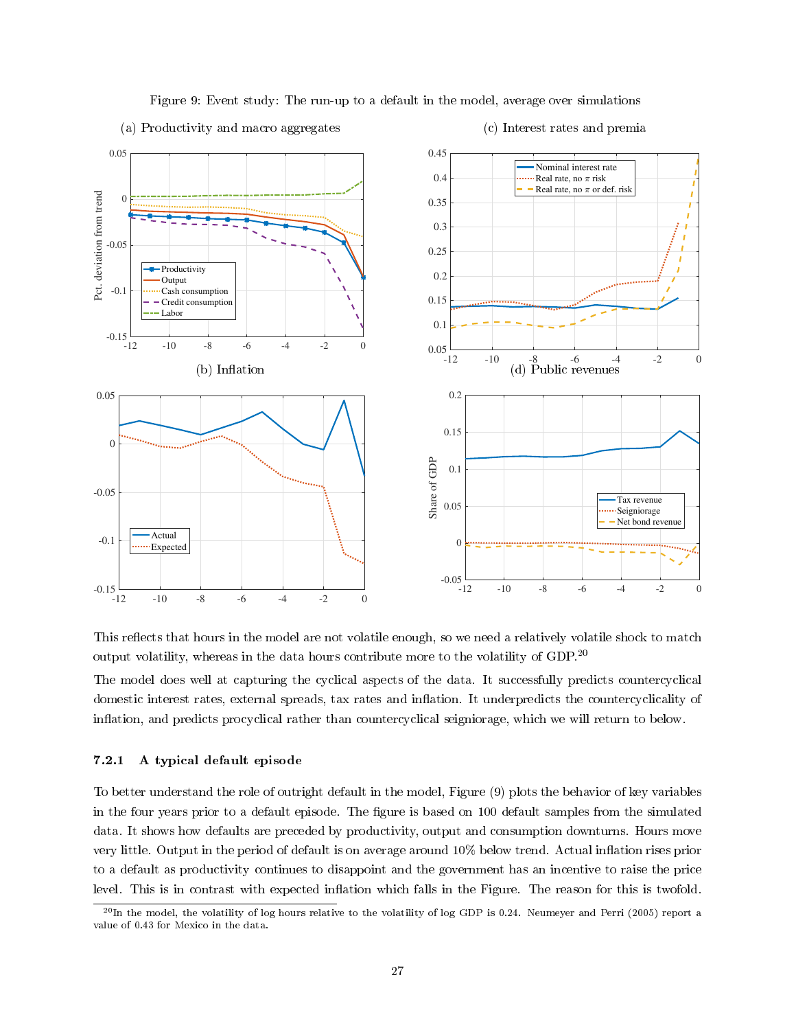

<span id="page-26-2"></span>Figure 9: Event study: The run-up to a default in the model, average over simulations

<span id="page-26-1"></span>(a) Productivity and macro aggregates



This reflects that hours in the model are not volatile enough, so we need a relatively volatile shock to match output volatility, whereas in the data hours contribute more to the volatility of GDP.[20](#page-26-0)

The model does well at capturing the cyclical aspects of the data. It successfully predicts countercyclical domestic interest rates, external spreads, tax rates and inflation. It underpredicts the countercyclicality of inflation, and predicts procyclical rather than countercyclical seigniorage, which we will return to below.

#### 7.2.1 A typical default episode

To better understand the role of outright default in the model, Figure [\(9\)](#page-26-1) plots the behavior of key variables in the four years prior to a default episode. The figure is based on 100 default samples from the simulated data. It shows how defaults are preceded by productivity, output and consumption downturns. Hours move very little. Output in the period of default is on average around 10% below trend. Actual inflation rises prior to a default as productivity continues to disappoint and the government has an incentive to raise the price level. This is in contrast with expected inflation which falls in the Figure. The reason for this is twofold.

<span id="page-26-0"></span> $^{20}$ In the model, the volatility of log hours relative to the volatility of log GDP is 0.24. [Neumeyer and Perri](#page-35-16) [\(2005\)](#page-35-16) report a value of 0.43 for Mexico in the data.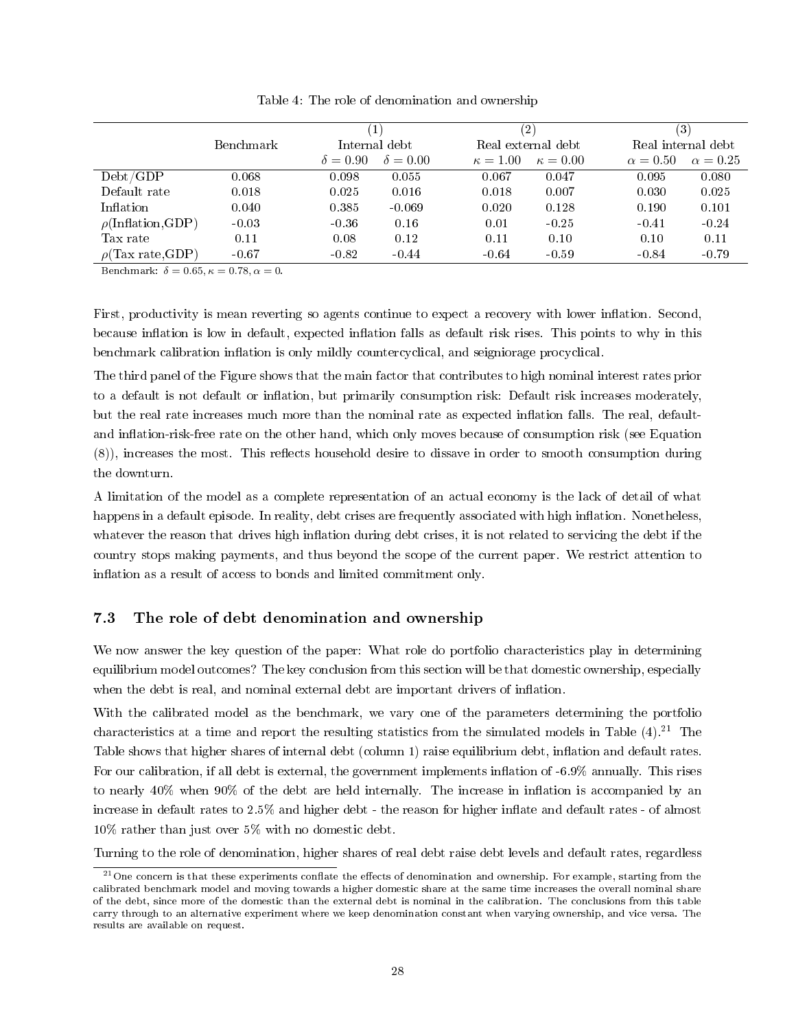<span id="page-27-0"></span>

|                                     |                  |                 | $\mathbf{1}$    |                 | $^{\prime 2)}$     |                 | $\left( 3\right)$  |
|-------------------------------------|------------------|-----------------|-----------------|-----------------|--------------------|-----------------|--------------------|
|                                     | <b>Benchmark</b> |                 | Internal debt   |                 | Real external debt |                 | Real internal debt |
|                                     |                  | $\delta = 0.90$ | $\delta = 0.00$ | $\kappa = 1.00$ | $\kappa = 0.00$    | $\alpha = 0.50$ | $\alpha = 0.25$    |
| Debt/GDP                            | 0.068            | 0.098           | 0.055           | 0.067           | 0.047              | 0.095           | 0.080              |
| Default rate                        | 0.018            | 0.025           | 0.016           | 0.018           | 0.007              | 0.030           | 0.025              |
| Inflation                           | 0.040            | 0.385           | $-0.069$        | 0.020           | 0.128              | 0.190           | 0.101              |
| $\rho(\text{Inflation},\text{GDP})$ | $-0.03$          | $-0.36$         | 0.16            | 0.01            | $-0.25$            | $-0.41$         | $-0.24$            |
| Tax rate                            | 0.11             | 0.08            | 0.12            | 0.11            | 0.10               | 0.10            | 0.11               |
| $\rho$ (Tax rate,GDP)               | $-0.67$          | $-0.82$         | $-0.44$         | $-0.64$         | $-0.59$            | $-0.84$         | $-0.79$            |

Table 4: The role of denomination and ownership

Benchmark:  $\delta = 0.65, \kappa = 0.78, \alpha = 0.$ 

First, productivity is mean reverting so agents continue to expect a recovery with lower inflation. Second, because inflation is low in default, expected inflation falls as default risk rises. This points to why in this benchmark calibration inflation is only mildly countercyclical, and seigniorage procyclical.

The third panel of the Figure shows that the main factor that contributes to high nominal interest rates prior to a default is not default or inflation, but primarily consumption risk: Default risk increases moderately, but the real rate increases much more than the nominal rate as expected inflation falls. The real, defaultand inflation-risk-free rate on the other hand, which only moves because of consumption risk (see Equation  $(8)$ ), increases the most. This reflects household desire to dissave in order to smooth consumption during the downturn.

A limitation of the model as a complete representation of an actual economy is the lack of detail of what happens in a default episode. In reality, debt crises are frequently associated with high inflation. Nonetheless, whatever the reason that drives high inflation during debt crises, it is not related to servicing the debt if the country stops making payments, and thus beyond the scope of the current paper. We restrict attention to inflation as a result of access to bonds and limited commitment only.

#### <span id="page-27-2"></span>7.3 The role of debt denomination and ownership

We now answer the key question of the paper: What role do portfolio characteristics play in determining equilibrium model outcomes? The key conclusion from this section will be that domestic ownership, especially when the debt is real, and nominal external debt are important drivers of inflation.

With the calibrated model as the benchmark, we vary one of the parameters determining the portfolio characteristics at a time and report the resulting statistics from the simulated models in Table  $(4)$ .<sup>[21](#page-27-1)</sup> The Table shows that higher shares of internal debt (column 1) raise equilibrium debt, inflation and default rates. For our calibration, if all debt is external, the government implements inflation of -6.9% annually. This rises to nearly 40% when 90% of the debt are held internally. The increase in inflation is accompanied by an increase in default rates to  $2.5\%$  and higher debt - the reason for higher inflate and default rates - of almost 10% rather than just over 5% with no domestic debt.

Turning to the role of denomination, higher shares of real debt raise debt levels and default rates, regardless

<span id="page-27-1"></span> $^{21}$ One concern is that these experiments conflate the effects of denomination and ownership. For example, starting from the calibrated benchmark model and moving towards a higher domestic share at the same time increases the overall nominal share of the debt, since more of the domestic than the external debt is nominal in the calibration. The conclusions from this table carry through to an alternative experiment where we keep denomination constant when varying ownership, and vice versa. The results are available on request.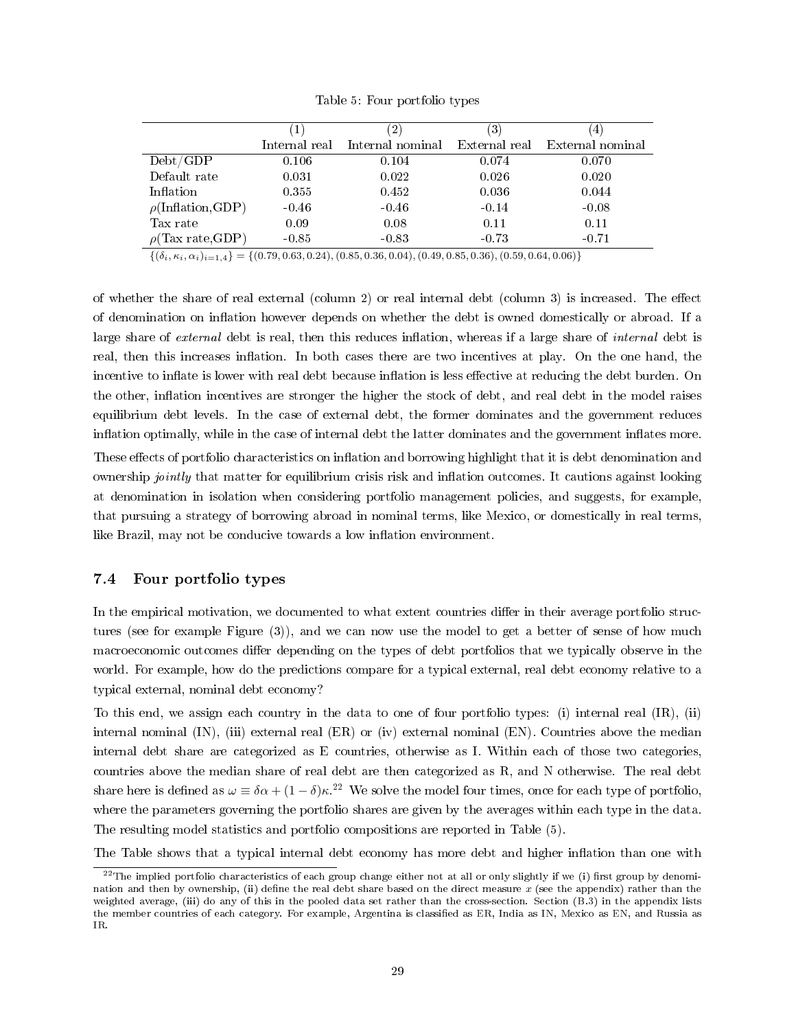<span id="page-28-1"></span>

|                                     | T             |                  | $\left 3\right\rangle$ |                  |
|-------------------------------------|---------------|------------------|------------------------|------------------|
|                                     | Internal real | Internal nominal | External real          | External nominal |
| Debt/GDP                            | 0.106         | 0.104            | 0.074                  | 0.070            |
| Default rate                        | 0.031         | 0.022            | 0.026                  | 0.020            |
| Inflation                           | 0.355         | 0.452            | 0.036                  | 0.044            |
| $\rho(\text{Inflation},\text{GDP})$ | $-0.46$       | $-0.46$          | $-0.14$                | $-0.08$          |
| Tax rate                            | 0.09          | 0.08             | 0.11                   | 0.11             |
| $\rho$ (Tax rate, GDP)              | $-0.85$       | $-0.83$          | $-0.73$                | $-0.71$          |

Table 5: Four portfolio types

 $\{(\delta_i, \kappa_i, \alpha_i)_{i=1,4}\} = \{ (0.79, 0.63, 0.24), (0.85, 0.36, 0.04), (0.49, 0.85, 0.36), (0.59, 0.64, 0.06) \}$ 

of whether the share of real external (column 2) or real internal debt (column 3) is increased. The effect of denomination on inflation however depends on whether the debt is owned domestically or abroad. If a large share of external debt is real, then this reduces inflation, whereas if a large share of internal debt is real, then this increases inflation. In both cases there are two incentives at play. On the one hand, the incentive to inflate is lower with real debt because inflation is less effective at reducing the debt burden. On the other, inflation incentives are stronger the higher the stock of debt, and real debt in the model raises equilibrium debt levels. In the case of external debt, the former dominates and the government reduces inflation optimally, while in the case of internal debt the latter dominates and the government inflates more.

These effects of portfolio characteristics on inflation and borrowing highlight that it is debt denomination and ownership *jointly* that matter for equilibrium crisis risk and inflation outcomes. It cautions against looking at denomination in isolation when considering portfolio management policies, and suggests, for example, that pursuing a strategy of borrowing abroad in nominal terms, like Mexico, or domestically in real terms, like Brazil, may not be conducive towards a low inflation environment.

#### 7.4 Four portfolio types

In the empirical motivation, we documented to what extent countries differ in their average portfolio structures (see for example Figure [\(3\)](#page-8-1)), and we can now use the model to get a better of sense of how much macroeconomic outcomes differ depending on the types of debt portfolios that we typically observe in the world. For example, how do the predictions compare for a typical external, real debt economy relative to a typical external, nominal debt economy?

To this end, we assign each country in the data to one of four portfolio types: (i) internal real (IR), (ii) internal nominal (IN), (iii) external real (ER) or (iv) external nominal (EN). Countries above the median internal debt share are categorized as E countries, otherwise as I. Within each of those two categories, countries above the median share of real debt are then categorized as R, and N otherwise. The real debt share here is defined as  $\omega = \delta \alpha + (1 - \delta) \kappa^{2}$ . We solve the model four times, once for each type of portfolio, where the parameters governing the portfolio shares are given by the averages within each type in the data. The resulting model statistics and portfolio compositions are reported in Table [\(5\)](#page-28-1).

The Table shows that a typical internal debt economy has more debt and higher inflation than one with

<span id="page-28-0"></span> $^{22}$ The implied portfolio characteristics of each group change either not at all or only slightly if we (i) first group by denomination and then by ownership, (ii) define the real debt share based on the direct measure x (see the appendix) rather than the weighted average, (iii) do any of this in the pooled data set rather than the cross-section. Section [\(B.3\)](#page-38-0) in the appendix lists the member countries of each category. For example, Argentina is classified as ER, India as IN, Mexico as EN, and Russia as IR.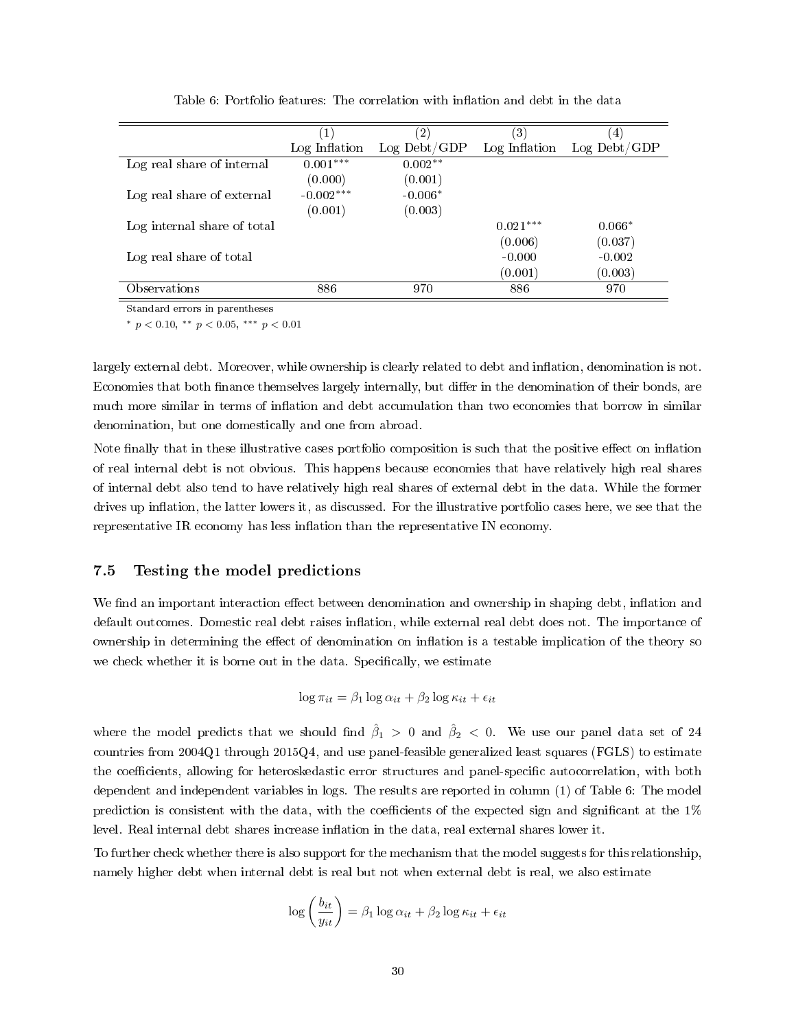<span id="page-29-0"></span>

|                             | (1)           | $^{\prime}2)$ | $\left(3\right)$ | 4 <sub>1</sub> |
|-----------------------------|---------------|---------------|------------------|----------------|
|                             | Log Inflation | Log Debt/GDP  | Log Inflation    | $Log$ Debt/GDP |
| Log real share of internal  | $0.001***$    | $0.002**$     |                  |                |
|                             | (0.000)       | (0.001)       |                  |                |
| Log real share of external  | $-0.002***$   | $-0.006*$     |                  |                |
|                             | (0.001)       | (0.003)       |                  |                |
| Log internal share of total |               |               | $0.021***$       | $0.066*$       |
|                             |               |               | (0.006)          | (0.037)        |
| Log real share of total     |               |               | $-0.000$         | $-0.002$       |
|                             |               |               | (0.001)          | (0.003)        |
| Observations                | 886           | 970           | 886              | 970            |

Table 6: Portfolio features: The correlation with inflation and debt in the data

Standard errors in parentheses

\*  $p < 0.10,$  \*\*  $p < 0.05,$  \*\*\*  $p < 0.01$ 

largely external debt. Moreover, while ownership is clearly related to debt and inflation, denomination is not. Economies that both finance themselves largely internally, but differ in the denomination of their bonds, are much more similar in terms of inflation and debt accumulation than two economies that borrow in similar denomination, but one domestically and one from abroad.

Note finally that in these illustrative cases portfolio composition is such that the positive effect on inflation of real internal debt is not obvious. This happens because economies that have relatively high real shares of internal debt also tend to have relatively high real shares of external debt in the data. While the former drives up inflation, the latter lowers it, as discussed. For the illustrative portfolio cases here, we see that the representative IR economy has less inflation than the representative IN economy.

#### 7.5 Testing the model predictions

We find an important interaction effect between denomination and ownership in shaping debt, inflation and default outcomes. Domestic real debt raises inflation, while external real debt does not. The importance of ownership in determining the effect of denomination on inflation is a testable implication of the theory so we check whether it is borne out in the data. Specifically, we estimate

$$
\log \pi_{it} = \beta_1 \log \alpha_{it} + \beta_2 \log \kappa_{it} + \epsilon_{it}
$$

where the model predicts that we should find  $\hat{\beta}_1 > 0$  and  $\hat{\beta}_2 < 0$ . We use our panel data set of 24 countries from  $2004Q1$  through  $2015Q4$ , and use panel-feasible generalized least squares (FGLS) to estimate the coefficients, allowing for heteroskedastic error structures and panel-specific autocorrelation, with both dependent and independent variables in logs. The results are reported in column (1) of Table [6:](#page-29-0) The model prediction is consistent with the data, with the coefficients of the expected sign and significant at the  $1\%$ level. Real internal debt shares increase inflation in the data, real external shares lower it.

To further check whether there is also support for the mechanism that the model suggests for this relationship, namely higher debt when internal debt is real but not when external debt is real, we also estimate

$$
\log\left(\frac{b_{it}}{y_{it}}\right) = \beta_1 \log \alpha_{it} + \beta_2 \log \kappa_{it} + \epsilon_{it}
$$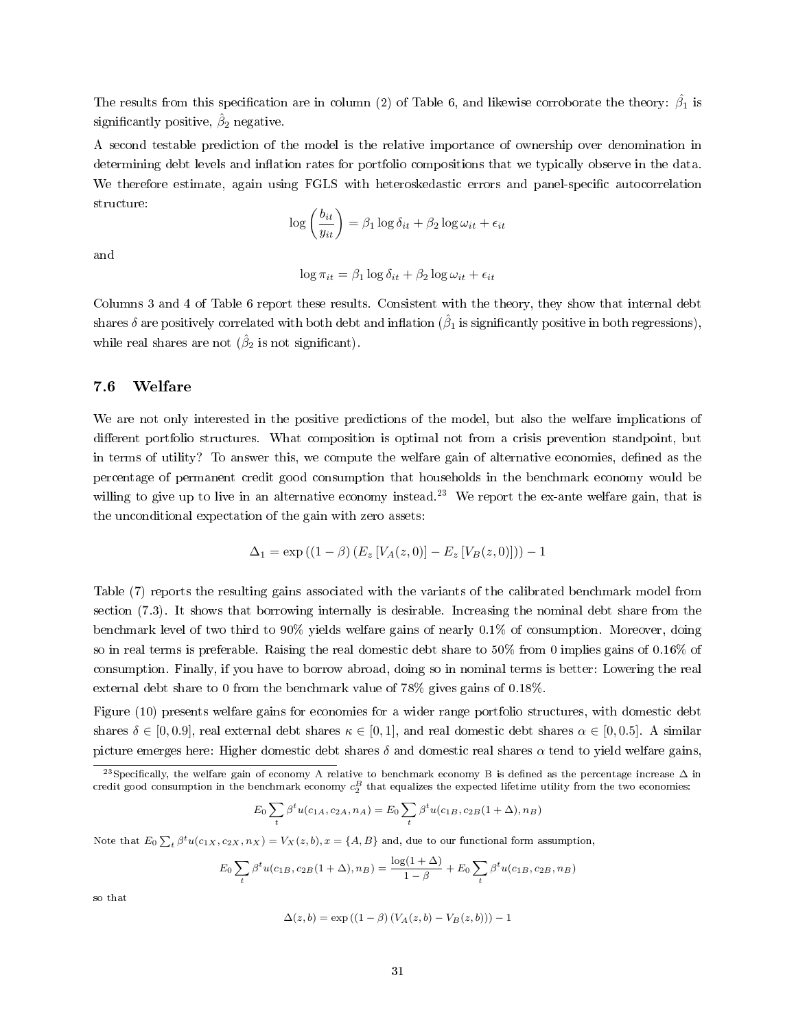The results from this specification are in column (2) of Table [6,](#page-29-0) and likewise corroborate the theory:  $\hat{\beta_1}$  is significantly positive,  $\hat{\beta}_2$  negative.

A second testable prediction of the model is the relative importance of ownership over denomination in determining debt levels and inflation rates for portfolio compositions that we typically observe in the data. We therefore estimate, again using FGLS with heteroskedastic errors and panel-specific autocorrelation structure:

$$
\log\left(\frac{b_{it}}{y_{it}}\right) = \beta_1 \log \delta_{it} + \beta_2 \log \omega_{it} + \epsilon_{it}
$$

and

$$
\log \pi_{it} = \beta_1 \log \delta_{it} + \beta_2 \log \omega_{it} + \epsilon_{it}
$$

Columns 3 and 4 of Table [6](#page-29-0) report these results. Consistent with the theory, they show that internal debt shares  $\delta$  are positively correlated with both debt and inflation ( $\hat\beta_1$  is significantly positive in both regressions), while real shares are not  $(\hat{\beta}_2$  is not significant).

#### 7.6 Welfare

We are not only interested in the positive predictions of the model, but also the welfare implications of different portfolio structures. What composition is optimal not from a crisis prevention standpoint, but in terms of utility? To answer this, we compute the welfare gain of alternative economies, defined as the percentage of permanent credit good consumption that households in the benchmark economy would be willing to give up to live in an alternative economy instead.<sup>[23](#page-30-0)</sup> We report the ex-ante welfare gain, that is the unconditional expectation of the gain with zero assets:

$$
\Delta_1 = \exp ((1 - \beta) (E_z [V_A(z, 0)] - E_z [V_B(z, 0)])) - 1
$$

Table [\(7\)](#page-31-0) reports the resulting gains associated with the variants of the calibrated benchmark model from section [\(7.3\)](#page-27-2). It shows that borrowing internally is desirable. Increasing the nominal debt share from the benchmark level of two third to 90% yields welfare gains of nearly 0.1% of consumption. Moreover, doing so in real terms is preferable. Raising the real domestic debt share to 50% from 0 implies gains of 0.16% of consumption. Finally, if you have to borrow abroad, doing so in nominal terms is better: Lowering the real external debt share to 0 from the benchmark value of 78% gives gains of 0.18%.

Figure [\(10\)](#page-31-1) presents welfare gains for economies for a wider range portfolio structures, with domestic debt shares  $\delta \in [0, 0.9]$ , real external debt shares  $\kappa \in [0, 1]$ , and real domestic debt shares  $\alpha \in [0, 0.5]$ . A similar picture emerges here: Higher domestic debt shares  $\delta$  and domestic real shares  $\alpha$  tend to yield welfare gains,

$$
E_0 \sum_t \beta^t u(c_{1A}, c_{2A}, n_A) = E_0 \sum_t \beta^t u(c_{1B}, c_{2B}(1 + \Delta), n_B)
$$

Note that  $E_0 \sum_t \beta^t u(c_{1X}, c_{2X}, n_X) = V_X(z, b), x = \{A, B\}$  and, due to our functional form assumption,

$$
E_0 \sum_t \beta^t u(c_{1B}, c_{2B}(1+\Delta), n_B) = \frac{\log(1+\Delta)}{1-\beta} + E_0 \sum_t \beta^t u(c_{1B}, c_{2B}, n_B)
$$

so that

$$
\Delta(z, b) = \exp((1 - \beta) (V_A(z, b) - V_B(z, b))) - 1
$$

<span id="page-30-0"></span><sup>&</sup>lt;sup>23</sup>Specifically, the welfare gain of economy A relative to benchmark economy B is defined as the percentage increase  $\Delta$  in credit good consumption in the benchmark economy  $c_2^B$  that equalizes the expected lifetime utility from the two economies: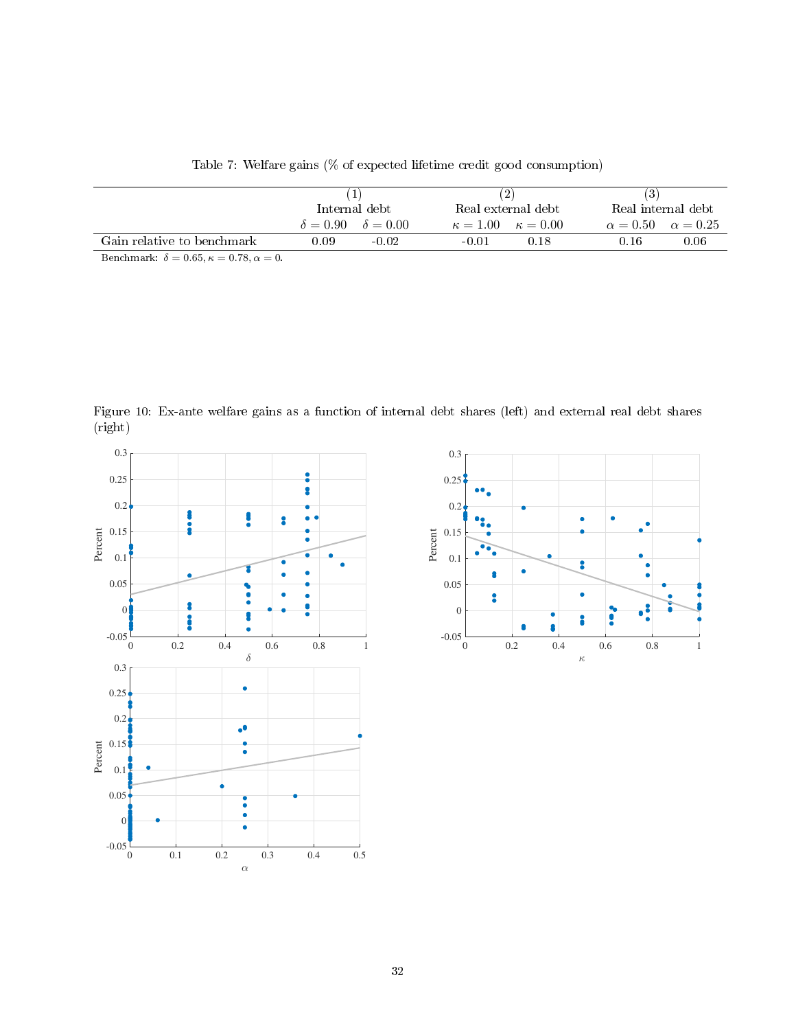<span id="page-31-0"></span>

|                                                                                                                    |      | Internal debt                       |         | Real external debt                  | Real internal debt                  |                |
|--------------------------------------------------------------------------------------------------------------------|------|-------------------------------------|---------|-------------------------------------|-------------------------------------|----------------|
|                                                                                                                    |      | $\delta = 0.90 \quad \delta = 0.00$ |         | $\kappa = 1.00 \quad \kappa = 0.00$ | $\alpha = 0.50 \quad \alpha = 0.25$ |                |
| Gain relative to benchmark                                                                                         | 0.09 | $-0.02$                             | $-0.01$ | 0.18                                | 0.16                                | $0.06^{\circ}$ |
| $\mathbf{E}$ $\mathbf{E}$ $\mathbf{E}$ $\mathbf{E}$ $\mathbf{E}$ $\mathbf{E}$ $\mathbf{E}$<br>$\sim$ $\sim$ $\sim$ |      |                                     |         |                                     |                                     |                |

Benchmark:  $\delta = 0.65, \kappa = 0.78, \alpha = 0.$ 

<span id="page-31-1"></span>Figure 10: Ex-ante welfare gains as a function of internal debt shares (left) and external real debt shares (right)



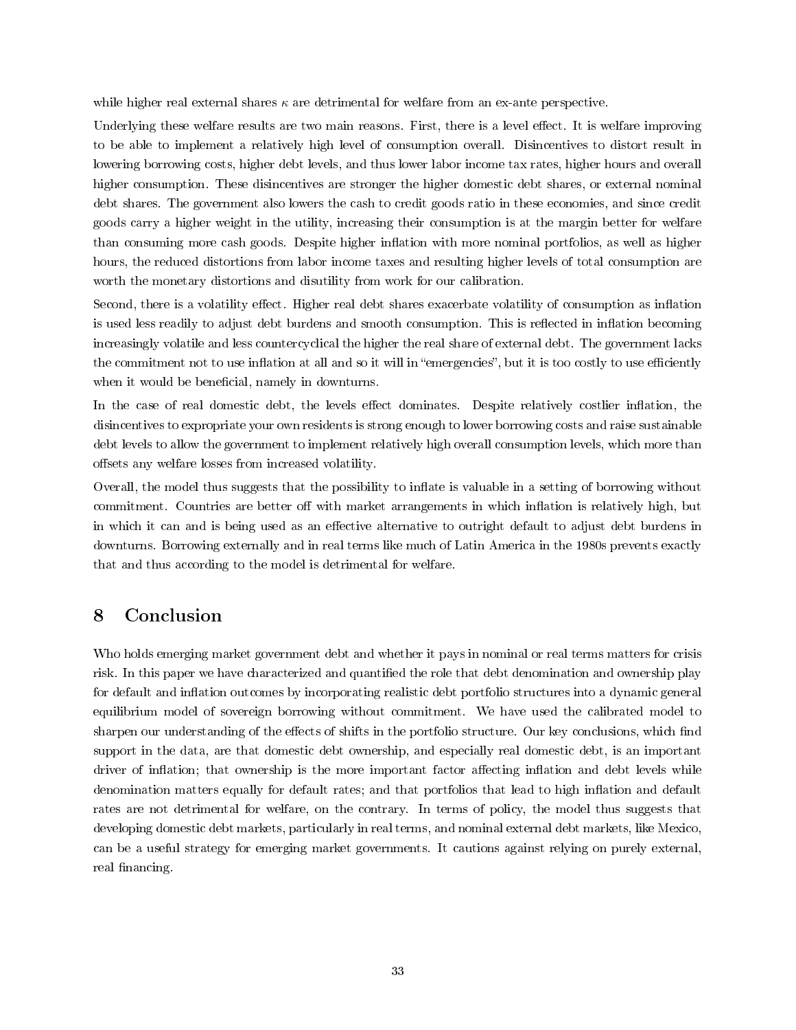while higher real external shares  $\kappa$  are detrimental for welfare from an ex-ante perspective.

Underlying these welfare results are two main reasons. First, there is a level effect. It is welfare improving to be able to implement a relatively high level of consumption overall. Disincentives to distort result in lowering borrowing costs, higher debt levels, and thus lower labor income tax rates, higher hours and overall higher consumption. These disincentives are stronger the higher domestic debt shares, or external nominal debt shares. The government also lowers the cash to credit goods ratio in these economies, and since credit goods carry a higher weight in the utility, increasing their consumption is at the margin better for welfare than consuming more cash goods. Despite higher inflation with more nominal portfolios, as well as higher hours, the reduced distortions from labor income taxes and resulting higher levels of total consumption are worth the monetary distortions and disutility from work for our calibration.

Second, there is a volatility effect. Higher real debt shares exacerbate volatility of consumption as inflation is used less readily to adjust debt burdens and smooth consumption. This is reflected in inflation becoming increasingly volatile and less countercyclical the higher the real share of external debt. The government lacks the commitment not to use inflation at all and so it will in "emergencies", but it is too costly to use efficiently when it would be beneficial, namely in downturns.

In the case of real domestic debt, the levels effect dominates. Despite relatively costlier inflation, the disincentives to expropriate your own residents is strong enough to lower borrowing costs and raise sustainable debt levels to allow the government to implement relatively high overall consumption levels, which more than offsets any welfare losses from increased volatility.

Overall, the model thus suggests that the possibility to inflate is valuable in a setting of borrowing without commitment. Countries are better off with market arrangements in which inflation is relatively high, but in which it can and is being used as an effective alternative to outright default to adjust debt burdens in downturns. Borrowing externally and in real terms like much of Latin America in the 1980s prevents exactly that and thus according to the model is detrimental for welfare.

## 8 Conclusion

Who holds emerging market government debt and whether it pays in nominal or real terms matters for crisis risk. In this paper we have characterized and quantified the role that debt denomination and ownership play for default and inflation outcomes by incorporating realistic debt portfolio structures into a dynamic general equilibrium model of sovereign borrowing without commitment. We have used the calibrated model to sharpen our understanding of the effects of shifts in the portfolio structure. Our key conclusions, which find support in the data, are that domestic debt ownership, and especially real domestic debt, is an important driver of inflation; that ownership is the more important factor affecting inflation and debt levels while denomination matters equally for default rates; and that portfolios that lead to high inflation and default rates are not detrimental for welfare, on the contrary. In terms of policy, the model thus suggests that developing domestic debt markets, particularly in real terms, and nominal external debt markets, like Mexico, can be a useful strategy for emerging market governments. It cautions against relying on purely external, real financing.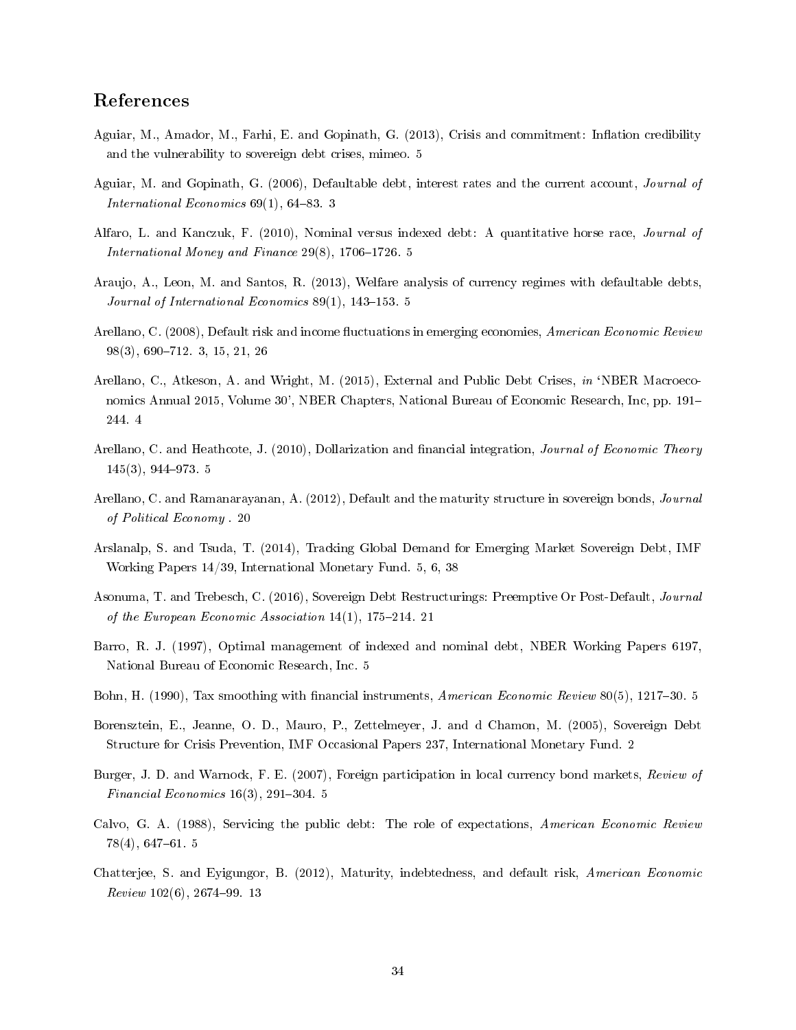## References

- <span id="page-33-6"></span>Aguiar, M., Amador, M., Farhi, E. and Gopinath, G. (2013), Crisis and commitment: Inflation credibility and the vulnerability to sovereign debt crises, mimeo. [5](#page-4-1)
- <span id="page-33-2"></span>Aguiar, M. and Gopinath, G. (2006), Defaultable debt, interest rates and the current account, Journal of International Economics  $69(1)$ ,  $64-83$ . [3](#page-2-0)
- <span id="page-33-4"></span>Alfaro, L. and Kanczuk, F. (2010), Nominal versus indexed debt: A quantitative horse race, Journal of International Money and Finance  $29(8)$ , 1706-1726. [5](#page-4-1)
- <span id="page-33-7"></span>Araujo, A., Leon, M. and Santos, R. (2013), Welfare analysis of currency regimes with defaultable debts, Journal of International Economics  $89(1)$ , 143-153. [5](#page-4-1)
- <span id="page-33-1"></span>Arellano, C. (2008), Default risk and income fluctuations in emerging economies, American Economic Review 98(3), 690-712. [3,](#page-2-0) [15,](#page-14-2) [21,](#page-20-2) [26](#page-25-3)
- <span id="page-33-3"></span>Arellano, C., Atkeson, A. and Wright, M. (2015), External and Public Debt Crises, in 'NBER Macroeconomics Annual 2015, Volume 30', NBER Chapters, National Bureau of Economic Research, Inc, pp. 191 244. [4](#page-3-0)
- <span id="page-33-5"></span>Arellano, C. and Heathcote, J. (2010), Dollarization and financial integration, *Journal of Economic Theory*  $145(3)$ , 944–973. [5](#page-4-1)
- <span id="page-33-14"></span>Arellano, C. and Ramanarayanan, A. (2012), Default and the maturity structure in sovereign bonds, *Journal* of Political Economy . [20](#page-19-1)
- <span id="page-33-10"></span>Arslanalp, S. and Tsuda, T. (2014), Tracking Global Demand for Emerging Market Sovereign Debt, IMF Working Papers 14/39, International Monetary Fund. [5,](#page-4-1) [6,](#page-5-2) [38](#page-37-1)
- <span id="page-33-15"></span>Asonuma, T. and Trebesch, C. (2016), Sovereign Debt Restructurings: Preemptive Or Post-Default, Journal of the European Economic Association  $14(1)$ ,  $175-214$ . [21](#page-20-2)
- <span id="page-33-12"></span>Barro, R. J. (1997), Optimal management of indexed and nominal debt, NBER Working Papers 6197, National Bureau of Economic Research, Inc. [5](#page-4-1)
- <span id="page-33-11"></span>Bohn, H. (1990), Tax smoothing with financial instruments, American Economic Review 80(5), 1217–30. [5](#page-4-1)
- <span id="page-33-0"></span>Borensztein, E., Jeanne, O. D., Mauro, P., Zettelmeyer, J. and d Chamon, M. (2005), Sovereign Debt Structure for Crisis Prevention, IMF Occasional Papers 237, International Monetary Fund. [2](#page-1-1)
- <span id="page-33-9"></span>Burger, J. D. and Warnock, F. E. (2007), Foreign participation in local currency bond markets, Review of Financial Economics  $16(3)$ , 291-304. [5](#page-4-1)
- <span id="page-33-8"></span>Calvo, G. A. (1988), Servicing the public debt: The role of expectations, American Economic Review  $78(4)$ , 647-61. [5](#page-4-1)
- <span id="page-33-13"></span>Chatterjee, S. and Eyigungor, B. (2012), Maturity, indebtedness, and default risk, American Economic  $Review 102(6), 2674-99.13$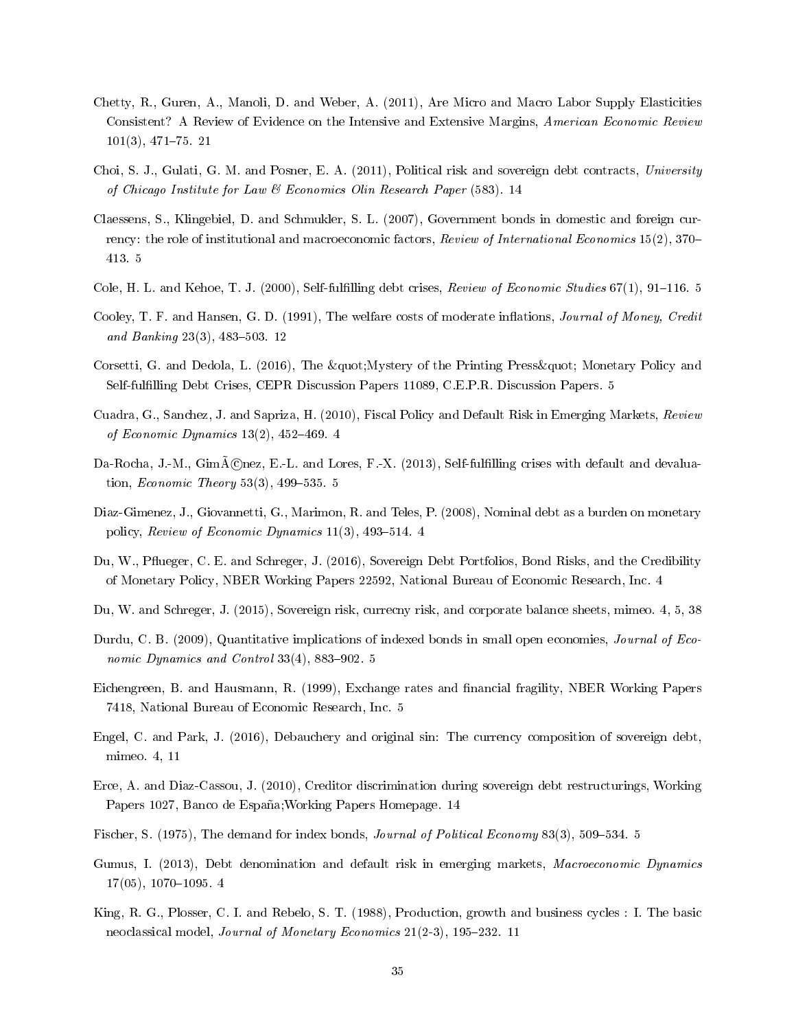- <span id="page-34-17"></span>Chetty, R., Guren, A., Manoli, D. and Weber, A. (2011), Are Micro and Macro Labor Supply Elasticities Consistent? A Review of Evidence on the Intensive and Extensive Margins, American Economic Review  $101(3), 471-75. 21$  $101(3), 471-75. 21$
- <span id="page-34-15"></span>Choi, S. J., Gulati, G. M. and Posner, E. A. (2011), Political risk and sovereign debt contracts, University of Chicago Institute for Law & Economics Olin Research Paper (583). [14](#page-13-3)
- <span id="page-34-11"></span>Claessens, S., Klingebiel, D. and Schmukler, S. L. (2007), Government bonds in domestic and foreign currency: the role of institutional and macroeconomic factors, Review of International Economics 15(2), 370– 413. [5](#page-4-1)
- <span id="page-34-9"></span>Cole, H. L. and Kehoe, T. J. (2000), Self-fulfilling debt crises, Review of Economic Studies  $67(1)$ , 91–116. [5](#page-4-1)
- <span id="page-34-14"></span>Cooley, T. F. and Hansen, G. D. (1991), The welfare costs of moderate inflations, *Journal of Money, Credit* and Banking  $23(3)$ ,  $483-503$ . [12](#page-11-4)
- <span id="page-34-8"></span>Corsetti, G. and Dedola, L. (2016), The " Mystery of the Printing Press" Monetary Policy and Self-fullling Debt Crises, CEPR Discussion Papers 11089, C.E.P.R. Discussion Papers. [5](#page-4-1)
- <span id="page-34-5"></span>Cuadra, G., Sanchez, J. and Sapriza, H. (2010), Fiscal Policy and Default Risk in Emerging Markets, Review of Economic Dynamics  $13(2)$ ,  $452-469$ . [4](#page-3-0)
- <span id="page-34-7"></span>Da-Rocha, J.-M., Gim $\bar{A}$ Cnez, E.-L. and Lores, F.-X. (2013), Self-fulfilling crises with default and devaluation, *Economic Theory*  $53(3)$ ,  $499-535.$  [5](#page-4-1)
- <span id="page-34-0"></span>Diaz-Gimenez, J., Giovannetti, G., Marimon, R. and Teles, P. (2008), Nominal debt as a burden on monetary policy, Review of Economic Dynamics  $11(3)$ , [4](#page-3-0)93-514. 4
- <span id="page-34-1"></span>Du, W., Pflueger, C. E. and Schreger, J. (2016), Sovereign Debt Portfolios, Bond Risks, and the Credibility of Monetary Policy, NBER Working Papers 22592, National Bureau of Economic Research, Inc. [4](#page-3-0)
- <span id="page-34-3"></span>Du, W. and Schreger, J. (2015), Sovereign risk, currecny risk, and corporate balance sheets, mimeo. [4,](#page-3-0) [5,](#page-4-1) [38](#page-37-1)
- <span id="page-34-6"></span>Durdu, C. B. (2009), Quantitative implications of indexed bonds in small open economies, *Journal of Eco*nomic Dynamics and Control  $33(4)$ ,  $883-902.5$
- <span id="page-34-10"></span>Eichengreen, B. and Hausmann, R. (1999), Exchange rates and financial fragility, NBER Working Papers 7418, National Bureau of Economic Research, Inc. [5](#page-4-1)
- <span id="page-34-2"></span>Engel, C. and Park, J. (2016), Debauchery and original sin: The currency composition of sovereign debt, mimeo. [4,](#page-3-0) [11](#page-10-3)
- <span id="page-34-16"></span>Erce, A. and Diaz-Cassou, J. (2010), Creditor discrimination during sovereign debt restructurings, Working Papers 1027, Banco de España;Working Papers Homepage. [14](#page-13-3)
- <span id="page-34-12"></span>Fischer, S. (1975), The demand for index bonds, *Journal of Political Economy* 83(3), [5](#page-4-1)09–534. 5
- <span id="page-34-4"></span>Gumus, I. (2013), Debt denomination and default risk in emerging markets, Macroeconomic Dynamics  $17(05)$ ,  $1070-1095$ . [4](#page-3-0)
- <span id="page-34-13"></span>King, R. G., Plosser, C. I. and Rebelo, S. T. (1988), Production, growth and business cycles : I. The basic neoclassical model, *Journal of Monetary Economics* 21(2-3), 195-232. [11](#page-10-3)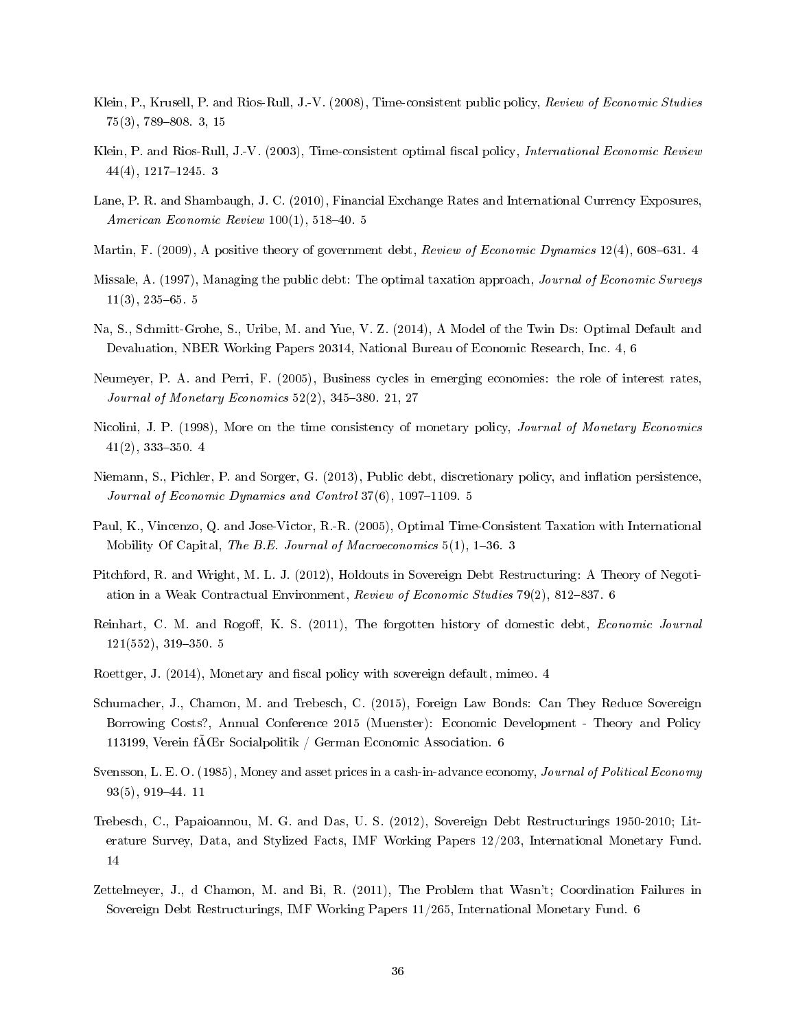- <span id="page-35-0"></span>Klein, P., Krusell, P. and Rios-Rull, J.-V. (2008), Time-consistent public policy, Review of Economic Studies  $75(3)$ , 789-808. [3,](#page-2-0) [15](#page-14-2)
- <span id="page-35-1"></span>Klein, P. and Rios-Rull, J.-V. (2003), Time-consistent optimal fiscal policy, *International Economic Review*  $44(4)$ , 1217–1245. [3](#page-2-0)
- <span id="page-35-9"></span>Lane, P. R. and Shambaugh, J. C. (2010), Financial Exchange Rates and International Currency Exposures, American Economic Review  $100(1)$ , [5](#page-4-1)18-40. 5
- <span id="page-35-3"></span>Martin, F. (2009), A positive theory of government debt, Review of Economic Dynamics 12(4), 608–631. [4](#page-3-0)
- <span id="page-35-10"></span>Missale, A. (1997), Managing the public debt: The optimal taxation approach, Journal of Economic Surveys  $11(3)$ ,  $235-65.5$
- <span id="page-35-5"></span>Na, S., Schmitt-Grohe, S., Uribe, M. and Yue, V. Z. (2014), A Model of the Twin Ds: Optimal Default and Devaluation, NBER Working Papers 20314, National Bureau of Economic Research, Inc. [4,](#page-3-0) [6](#page-5-2)
- <span id="page-35-16"></span>Neumeyer, P. A. and Perri, F. (2005), Business cycles in emerging economies: the role of interest rates, Journal of Monetary Economics  $52(2)$ ,  $345-380$ . [21,](#page-20-2) [27](#page-26-2)
- <span id="page-35-4"></span>Nicolini, J. P. (1998), More on the time consistency of monetary policy, Journal of Monetary Economics  $41(2)$ , 333-350. [4](#page-3-0)
- <span id="page-35-7"></span>Niemann, S., Pichler, P. and Sorger, G. (2013), Public debt, discretionary policy, and inflation persistence. Journal of Economic Dynamics and Control  $37(6)$ ,  $1097-1109.5$
- <span id="page-35-2"></span>Paul, K., Vincenzo, Q. and Jose-Victor, R.-R. (2005), Optimal Time-Consistent Taxation with International Mobility Of Capital, The B.E. Journal of Macroeconomics  $5(1)$ ,  $1-36.3$
- <span id="page-35-12"></span>Pitchford, R. and Wright, M. L. J. (2012), Holdouts in Sovereign Debt Restructuring: A Theory of Negoti-ation in a Weak Contractual Environment, Review of Economic Studies 79(2), 812-837. [6](#page-5-2)
- <span id="page-35-8"></span>Reinhart, C. M. and Rogoff, K. S. (2011), The forgotten history of domestic debt, *Economic Journal*  $121(552), 319-350. 5$  $121(552), 319-350. 5$
- <span id="page-35-6"></span>Roettger, J. (2014), Monetary and fiscal policy with sovereign default, mimeo. [4](#page-3-0)
- <span id="page-35-13"></span>Schumacher, J., Chamon, M. and Trebesch, C. (2015), Foreign Law Bonds: Can They Reduce Sovereign Borrowing Costs?, Annual Conference 2015 (Muenster): Economic Development - Theory and Policy 113199, Verein f $\bar{A}$ Gr Socialpolitik / German Economic Association. [6](#page-5-2)
- <span id="page-35-14"></span>Svensson, L. E. O. (1985), Money and asset prices in a cash-in-advance economy, Journal of Political Economy  $93(5), 919-44.11$
- <span id="page-35-15"></span>Trebesch, C., Papaioannou, M. G. and Das, U. S. (2012), Sovereign Debt Restructurings 1950-2010; Literature Survey, Data, and Stylized Facts, IMF Working Papers 12/203, International Monetary Fund. [14](#page-13-3)
- <span id="page-35-11"></span>Zettelmeyer, J., d Chamon, M. and Bi, R. (2011), The Problem that Wasn't; Coordination Failures in Sovereign Debt Restructurings, IMF Working Papers 11/265, International Monetary Fund. [6](#page-5-2)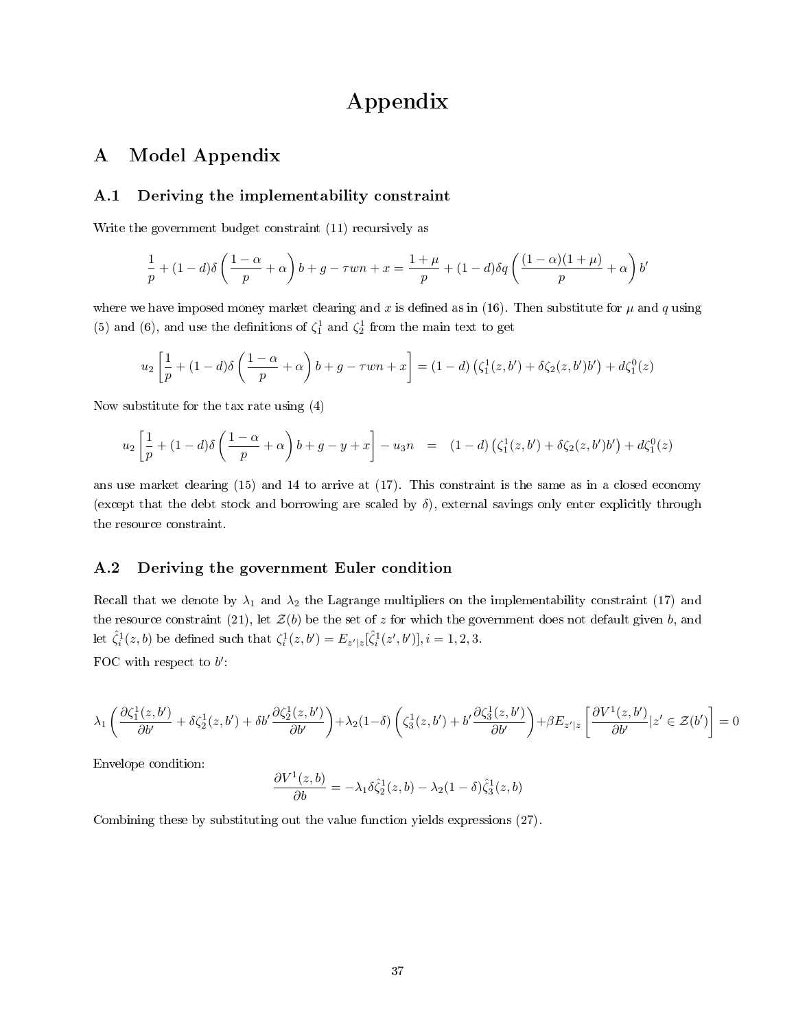## Appendix

## A Model Appendix

#### <span id="page-36-0"></span>A.1 Deriving the implementability constraint

Write the government budget constraint [\(11\)](#page-13-2) recursively as

$$
\frac{1}{p} + (1-d)\delta\left(\frac{1-\alpha}{p} + \alpha\right)b + g - \tau w n + x = \frac{1+\mu}{p} + (1-d)\delta q\left(\frac{(1-\alpha)(1+\mu)}{p} + \alpha\right)b'
$$

where we have imposed money market clearing and x is defined as in [\(16\)](#page-14-3). Then substitute for  $\mu$  and q using [\(5\)](#page-11-3) and [\(6\)](#page-11-3), and use the definitions of  $\zeta_1^1$  and  $\zeta_2^1$  from the main text to get

$$
u_2\left[\frac{1}{p} + (1-d)\delta\left(\frac{1-\alpha}{p} + \alpha\right)b + g - \tau w n + x\right] = (1-d)\left(\zeta_1^1(z,b') + \delta\zeta_2(z,b')b'\right) + d\zeta_1^0(z)
$$

Now substitute for the tax rate using [\(4\)](#page-11-3)

$$
u_2 \left[ \frac{1}{p} + (1-d)\delta \left( \frac{1-\alpha}{p} + \alpha \right) b + g - y + x \right] - u_3 n = (1-d) \left( \zeta_1^1(z, b') + \delta \zeta_2(z, b') b' \right) + d\zeta_1^0(z)
$$

ans use market clearing [\(15\)](#page-14-1) and [14](#page-14-0) to arrive at [\(17\)](#page-15-2). This constraint is the same as in a closed economy (except that the debt stock and borrowing are scaled by  $\delta$ ), external savings only enter explicitly through the resource constraint.

#### <span id="page-36-1"></span>A.2 Deriving the government Euler condition

Recall that we denote by  $\lambda_1$  and  $\lambda_2$  the Lagrange multipliers on the implementability constraint [\(17\)](#page-15-2) and the resource constraint [\(21\)](#page-15-4), let  $\mathcal{Z}(b)$  be the set of z for which the government does not default given b, and let  $\hat{\zeta}_i^1(z, b)$  be defined such that  $\zeta_i^1(z, b') = E_{z'|z}[\hat{\zeta}_i^1(z', b')]$ ,  $i = 1, 2, 3$ . FOC with respect to  $b'$ :

$$
\lambda_1\left(\frac{\partial\zeta_1^1(z,b')}{\partial b'}+\delta\zeta_2^1(z,b')+\delta b'\frac{\partial\zeta_2^1(z,b')}{\partial b'}\right)+\lambda_2(1-\delta)\left(\zeta_3^1(z,b')+b'\frac{\partial\zeta_3^1(z,b')}{\partial b'}\right)+\beta E_{z'|z}\left[\frac{\partial V^1(z,b')}{\partial b'}|z'\in\mathcal{Z}(b')\right]=0
$$

Envelope condition:

$$
\frac{\partial V^1(z,b)}{\partial b} = -\lambda_1 \delta \hat{\zeta}_2^1(z,b) - \lambda_2 (1-\delta) \hat{\zeta}_3^1(z,b)
$$

Combining these by substituting out the value function yields expressions [\(27\)](#page-19-2).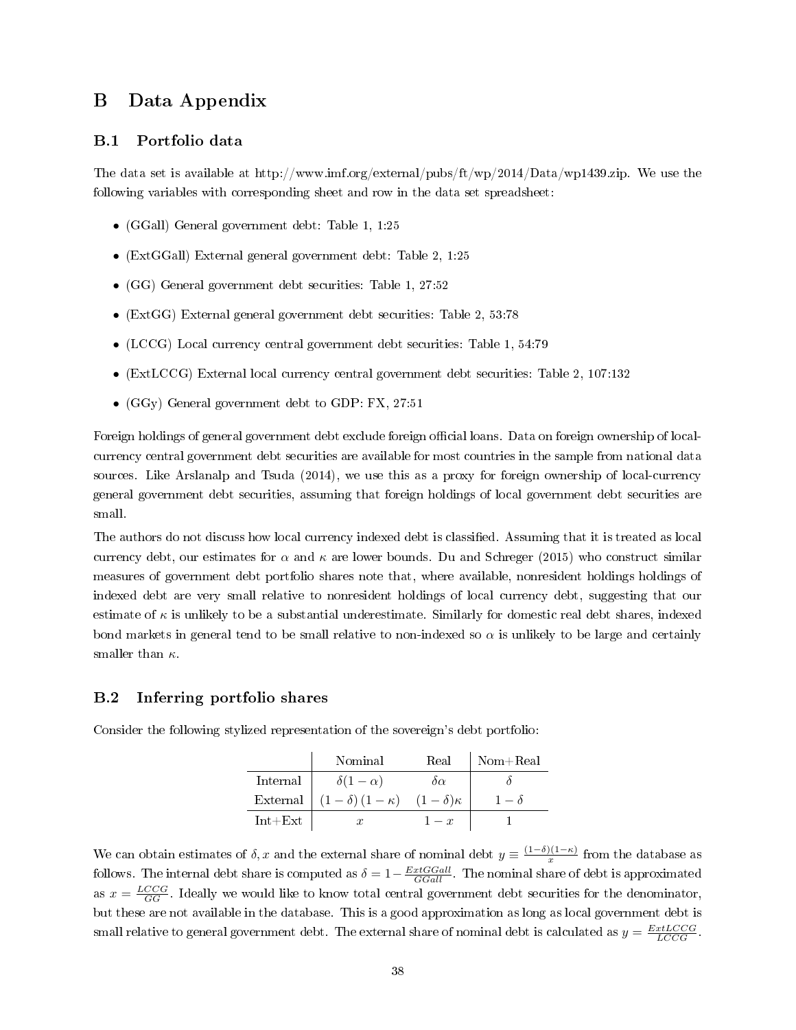## <span id="page-37-1"></span><span id="page-37-0"></span>B Data Appendix

#### B.1 Portfolio data

The data set is available at [http://www.imf.org/external/pubs/ft/wp/2014/Data/wp1439.zip.](http://www.imf.org/external/pubs/ft/wp/2014/Data/wp1439.zip) We use the following variables with corresponding sheet and row in the data set spreadsheet:

- (GGall) General government debt: Table 1, 1:25
- (ExtGGall) External general government debt: Table 2, 1:25
- (GG) General government debt securities: Table 1, 27:52
- (ExtGG) External general government debt securities: Table 2, 53:78
- (LCCG) Local currency central government debt securities: Table 1, 54:79
- (ExtLCCG) External local currency central government debt securities: Table 2, 107:132
- (GGy) General government debt to GDP: FX, 27:51

Foreign holdings of general government debt exclude foreign official loans. Data on foreign ownership of localcurrency central government debt securities are available for most countries in the sample from national data sources. Like [Arslanalp and Tsuda](#page-33-10) [\(2014\)](#page-33-10), we use this as a proxy for foreign ownership of local-currency general government debt securities, assuming that foreign holdings of local government debt securities are small.

The authors do not discuss how local currency indexed debt is classified. Assuming that it is treated as local currency debt, our estimates for  $\alpha$  and  $\kappa$  are lower bounds. [Du and Schreger](#page-34-3) [\(2015\)](#page-34-3) who construct similar measures of government debt portfolio shares note that, where available, nonresident holdings holdings of indexed debt are very small relative to nonresident holdings of local currency debt, suggesting that our estimate of  $\kappa$  is unlikely to be a substantial underestimate. Similarly for domestic real debt shares, indexed bond markets in general tend to be small relative to non-indexed so  $\alpha$  is unlikely to be large and certainly smaller than  $\kappa$ .

#### B.2 Inferring portfolio shares

|             | Nominal                | Real               | $Nom + Real$ |
|-------------|------------------------|--------------------|--------------|
| Internal    | $\delta(1-\alpha)$     | $\delta \alpha$    |              |
| External    | $(1-\delta)(1-\kappa)$ | $(1-\delta)\kappa$ | $1-\delta$   |
| $Int + Ext$ | $\boldsymbol{x}$       | $1-x$              |              |

Consider the following stylized representation of the sovereign's debt portfolio:

We can obtain estimates of  $\delta$ , x and the external share of nominal debt  $y \equiv \frac{(1-\delta)(1-\kappa)}{x}$  $\frac{f(1-\kappa)}{x}$  from the database as follows. The internal debt share is computed as  $\delta = 1-\frac{ExtGGall}{GGall}$ . The nominal share of debt is approximated as  $x = \frac{LCCG}{GG}$ . Ideally we would like to know total central government debt securities for the denominator, but these are not available in the database. This is a good approximation as long as local government debt is small relative to general government debt. The external share of nominal debt is calculated as  $y = \frac{ExtLCCG}{LCCG}$ .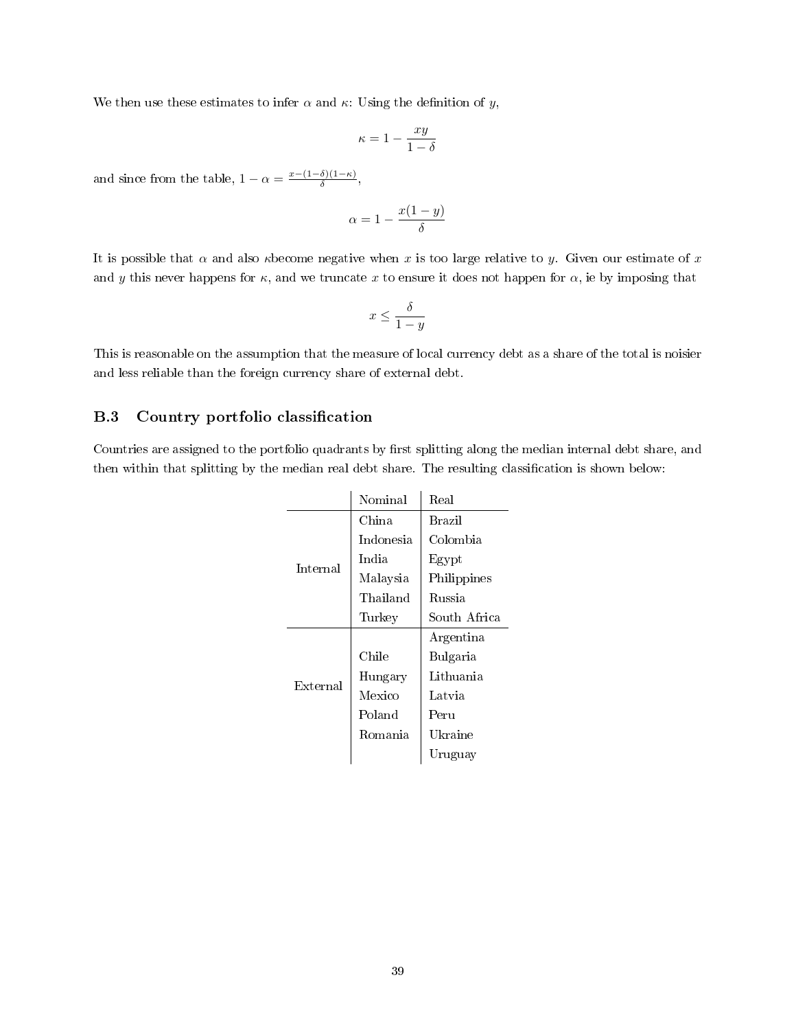We then use these estimates to infer  $\alpha$  and  $\kappa$ : Using the definition of y,

$$
\kappa = 1 - \frac{xy}{1 - \delta}
$$

and since from the table,  $1 - \alpha = \frac{x - (1 - \delta)(1 - \kappa)}{\delta}$  $\frac{\delta(1-\kappa)}{\delta}$ ,

$$
\alpha = 1 - \frac{x(1-y)}{\delta}
$$

It is possible that  $\alpha$  and also *k* become negative when x is too large relative to y. Given our estimate of x and y this never happens for  $\kappa$ , and we truncate x to ensure it does not happen for  $\alpha$ , ie by imposing that

$$
x\leq \frac{\delta}{1-y}
$$

This is reasonable on the assumption that the measure of local currency debt as a share of the total is noisier and less reliable than the foreign currency share of external debt.

#### <span id="page-38-0"></span>B.3 Country portfolio classification

Countries are assigned to the portfolio quadrants by first splitting along the median internal debt share, and then within that splitting by the median real debt share. The resulting classication is shown below:

|          | Nominal   | Real          |
|----------|-----------|---------------|
|          | China     | <b>Brazil</b> |
|          | Indonesia | Colombia      |
| Internal | India     | Egypt         |
|          | Malaysia  | Philippines   |
|          | Thailand  | <b>Russia</b> |
|          | Turkey    | South Africa  |
|          |           | Argentina     |
|          | Chile     | Bulgaria      |
| External | Hungary   | Lithuania     |
|          | Mexico    | Latvia        |
|          | Poland    | Peru          |
|          | Romania   | Ukraine       |
|          |           | Uruguay       |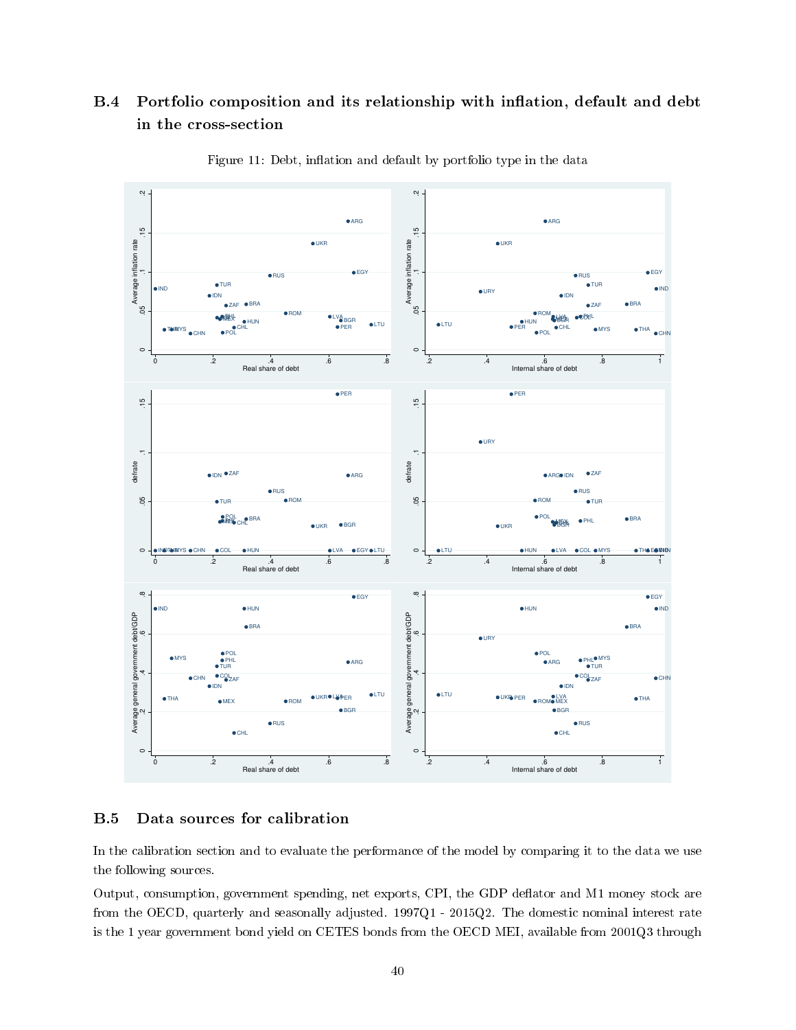## B.4 Portfolio composition and its relationship with inflation, default and debt in the cross-section



Figure 11: Debt, inflation and default by portfolio type in the data

#### <span id="page-39-0"></span>B.5 Data sources for calibration

In the calibration section and to evaluate the performance of the model by comparing it to the data we use the following sources.

Output, consumption, government spending, net exports, CPI, the GDP deflator and M1 money stock are from the OECD, quarterly and seasonally adjusted. 1997Q1 - 2015Q2. The domestic nominal interest rate is the 1 year government bond yield on CETES bonds from the OECD MEI, available from 2001Q3 through